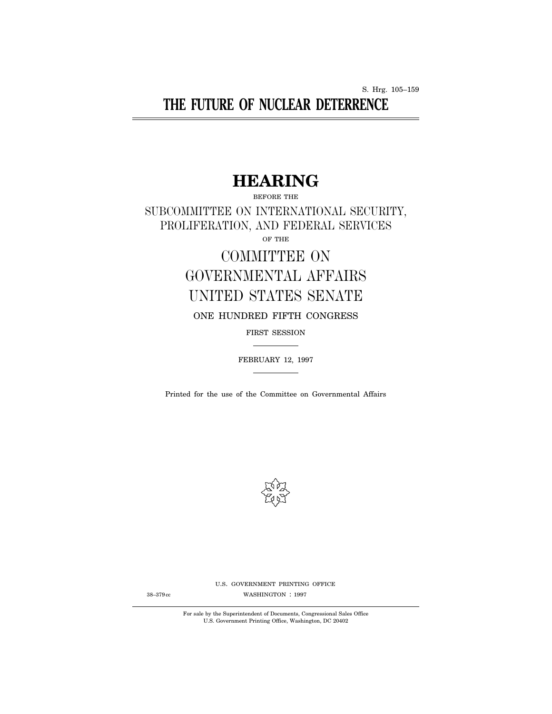S. Hrg. 105–159

# **THE FUTURE OF NUCLEAR DETERRENCE**

# **HEARING**

BEFORE THE SUBCOMMITTEE ON INTERNATIONAL SECURITY, PROLIFERATION, AND FEDERAL SERVICES OF THE

# COMMITTEE ON GOVERNMENTAL AFFAIRS UNITED STATES SENATE ONE HUNDRED FIFTH CONGRESS

FIRST SESSION

FEBRUARY 12, 1997

Printed for the use of the Committee on Governmental Affairs



U.S. GOVERNMENT PRINTING OFFICE

38–379 cc WASHINGTON : 1997

For sale by the Superintendent of Documents, Congressional Sales Office U.S. Government Printing Office, Washington, DC 20402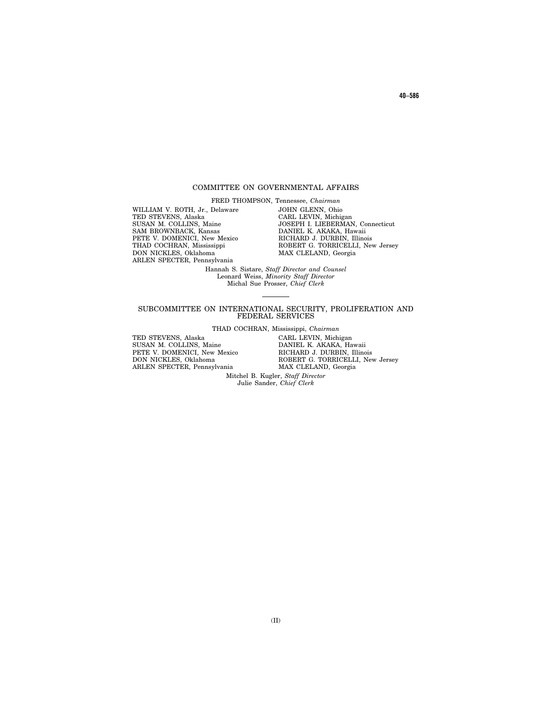## COMMITTEE ON GOVERNMENTAL AFFAIRS

FRED THOMPSON, Tennessee, *Chairman*

WILLIAM V. ROTH, Jr., Delaware TED STEVENS, Alaska SUSAN M. COLLINS, Maine SAM BROWNBACK, Kansas PETE V. DOMENICI, New Mexico THAD COCHRAN, Mississippi DON NICKLES, Oklahoma ARLEN SPECTER, Pennsylvania

JOHN GLENN, Ohio CARL LEVIN, Michigan JOSEPH I. LIEBERMAN, Connecticut DANIEL K. AKAKA, Hawaii RICHARD J. DURBIN, Illinois ROBERT G. TORRICELLI, New Jersey MAX CLELAND, Georgia

Hannah S. Sistare, *Staff Director and Counsel* Leonard Weiss, *Minority Staff Director* Michal Sue Prosser, *Chief Clerk*

## SUBCOMMITTEE ON INTERNATIONAL SECURITY, PROLIFERATION AND FEDERAL SERVICES

THAD COCHRAN, Mississippi, *Chairman*

TED STEVENS, Alaska SUSAN M. COLLINS, Maine PETE V. DOMENICI, New Mexico DON NICKLES, Oklahoma ARLEN SPECTER, Pennsylvania

CARL LEVIN, Michigan DANIEL K. AKAKA, Hawaii RICHARD J. DURBIN, Illinois ROBERT G. TORRICELLI, New Jersey MAX CLELAND, Georgia

Mitchel B. Kugler, *Staff Director* Julie Sander, *Chief Clerk*

**40–586**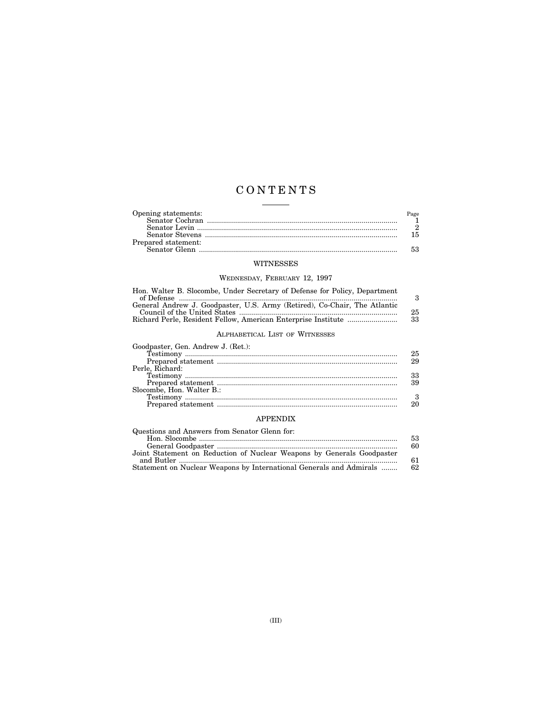## C O N T E N T S  $\overline{\phantom{a}}$

| Opening statements: | age |
|---------------------|-----|
|                     |     |
|                     |     |
|                     | 15  |
| Prepared statement: |     |
|                     |     |

## WITNESSES

## WEDNESDAY, FEBRUARY 12, 1997

| Hon. Walter B. Slocombe, Under Secretary of Defense for Policy, Department |    |
|----------------------------------------------------------------------------|----|
|                                                                            | З  |
| General Andrew J. Goodpaster, U.S. Army (Retired), Co-Chair, The Atlantic  |    |
|                                                                            | 25 |
|                                                                            | 33 |
| ALPHABETICAL LIST OF WITNESSES                                             |    |
|                                                                            |    |
| Goodpaster, Gen. Andrew J. (Ret.):                                         |    |
|                                                                            | 25 |
|                                                                            | 29 |
| Perle, Richard:                                                            |    |
|                                                                            | 33 |
|                                                                            | 39 |
| Slocombe, Hon. Walter B.:                                                  |    |
|                                                                            | 3  |
|                                                                            | 20 |
|                                                                            |    |

## APPENDIX

| Questions and Answers from Senator Glenn for:                          |    |
|------------------------------------------------------------------------|----|
|                                                                        | 53 |
|                                                                        | 60 |
| Joint Statement on Reduction of Nuclear Weapons by Generals Goodpaster |    |
|                                                                        |    |
| Statement on Nuclear Weapons by International Generals and Admirals    | 62 |
|                                                                        |    |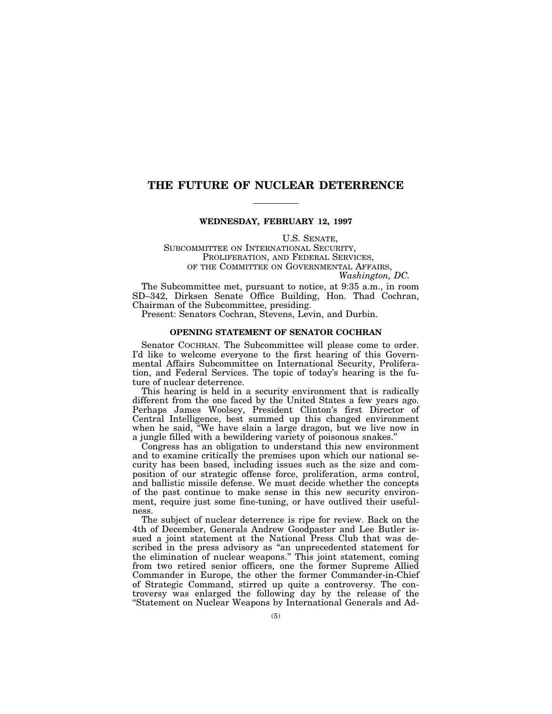## **THE FUTURE OF NUCLEAR DETERRENCE**

## **WEDNESDAY, FEBRUARY 12, 1997**

U.S. SENATE,

SUBCOMMITTEE ON INTERNATIONAL SECURITY, PROLIFERATION, AND FEDERAL SERVICES, OF THE COMMITTEE ON GOVERNMENTAL AFFAIRS, *Washington, DC.*

The Subcommittee met, pursuant to notice, at 9:35 a.m., in room SD–342, Dirksen Senate Office Building, Hon. Thad Cochran, Chairman of the Subcommittee, presiding.

Present: Senators Cochran, Stevens, Levin, and Durbin.

## **OPENING STATEMENT OF SENATOR COCHRAN**

Senator COCHRAN. The Subcommittee will please come to order. I'd like to welcome everyone to the first hearing of this Governmental Affairs Subcommittee on International Security, Proliferation, and Federal Services. The topic of today's hearing is the future of nuclear deterrence.

This hearing is held in a security environment that is radically different from the one faced by the United States a few years ago. Perhaps James Woolsey, President Clinton's first Director of Central Intelligence, best summed up this changed environment when he said, ''We have slain a large dragon, but we live now in a jungle filled with a bewildering variety of poisonous snakes.''

Congress has an obligation to understand this new environment and to examine critically the premises upon which our national security has been based, including issues such as the size and composition of our strategic offense force, proliferation, arms control, and ballistic missile defense. We must decide whether the concepts of the past continue to make sense in this new security environment, require just some fine-tuning, or have outlived their usefulness.

The subject of nuclear deterrence is ripe for review. Back on the 4th of December, Generals Andrew Goodpaster and Lee Butler issued a joint statement at the National Press Club that was described in the press advisory as "an unprecedented statement for the elimination of nuclear weapons.'' This joint statement, coming from two retired senior officers, one the former Supreme Allied Commander in Europe, the other the former Commander-in-Chief of Strategic Command, stirred up quite a controversy. The controversy was enlarged the following day by the release of the ''Statement on Nuclear Weapons by International Generals and Ad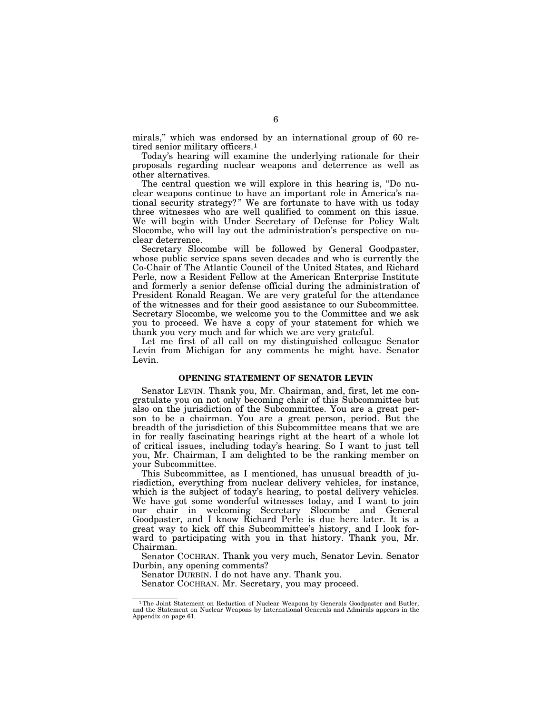mirals,'' which was endorsed by an international group of 60 retired senior military officers.1

Today's hearing will examine the underlying rationale for their proposals regarding nuclear weapons and deterrence as well as other alternatives.

The central question we will explore in this hearing is, ''Do nuclear weapons continue to have an important role in America's national security strategy?" We are fortunate to have with us today three witnesses who are well qualified to comment on this issue. We will begin with Under Secretary of Defense for Policy Walt Slocombe, who will lay out the administration's perspective on nuclear deterrence.

Secretary Slocombe will be followed by General Goodpaster, whose public service spans seven decades and who is currently the Co-Chair of The Atlantic Council of the United States, and Richard Perle, now a Resident Fellow at the American Enterprise Institute and formerly a senior defense official during the administration of President Ronald Reagan. We are very grateful for the attendance of the witnesses and for their good assistance to our Subcommittee. Secretary Slocombe, we welcome you to the Committee and we ask you to proceed. We have a copy of your statement for which we thank you very much and for which we are very grateful.

Let me first of all call on my distinguished colleague Senator Levin from Michigan for any comments he might have. Senator Levin.

## **OPENING STATEMENT OF SENATOR LEVIN**

Senator LEVIN. Thank you, Mr. Chairman, and, first, let me congratulate you on not only becoming chair of this Subcommittee but also on the jurisdiction of the Subcommittee. You are a great person to be a chairman. You are a great person, period. But the breadth of the jurisdiction of this Subcommittee means that we are in for really fascinating hearings right at the heart of a whole lot of critical issues, including today's hearing. So I want to just tell you, Mr. Chairman, I am delighted to be the ranking member on your Subcommittee.

This Subcommittee, as I mentioned, has unusual breadth of jurisdiction, everything from nuclear delivery vehicles, for instance, which is the subject of today's hearing, to postal delivery vehicles. We have got some wonderful witnesses today, and I want to join our chair in welcoming Secretary Slocombe and General Goodpaster, and I know Richard Perle is due here later. It is a great way to kick off this Subcommittee's history, and I look forward to participating with you in that history. Thank you, Mr. Chairman.

Senator COCHRAN. Thank you very much, Senator Levin. Senator Durbin, any opening comments?

Senator DURBIN. I do not have any. Thank you.

Senator COCHRAN. Mr. Secretary, you may proceed.

<sup>&</sup>lt;sup>1</sup>The Joint Statement on Reduction of Nuclear Weapons by Generals Goodpaster and Butler, and the Statement on Nuclear Weapons by International Generals and Admirals appears in the Appendix on page 61.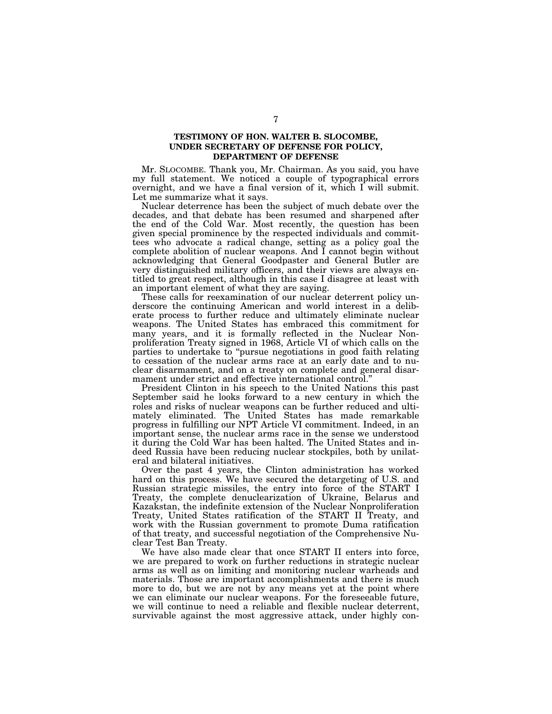## **TESTIMONY OF HON. WALTER B. SLOCOMBE, UNDER SECRETARY OF DEFENSE FOR POLICY, DEPARTMENT OF DEFENSE**

Mr. SLOCOMBE. Thank you, Mr. Chairman. As you said, you have my full statement. We noticed a couple of typographical errors overnight, and we have a final version of it, which I will submit. Let me summarize what it says.

Nuclear deterrence has been the subject of much debate over the decades, and that debate has been resumed and sharpened after the end of the Cold War. Most recently, the question has been given special prominence by the respected individuals and committees who advocate a radical change, setting as a policy goal the complete abolition of nuclear weapons. And I cannot begin without acknowledging that General Goodpaster and General Butler are very distinguished military officers, and their views are always entitled to great respect, although in this case I disagree at least with an important element of what they are saying.

These calls for reexamination of our nuclear deterrent policy underscore the continuing American and world interest in a deliberate process to further reduce and ultimately eliminate nuclear weapons. The United States has embraced this commitment for many years, and it is formally reflected in the Nuclear Nonproliferation Treaty signed in 1968, Article VI of which calls on the parties to undertake to ''pursue negotiations in good faith relating to cessation of the nuclear arms race at an early date and to nuclear disarmament, and on a treaty on complete and general disarmament under strict and effective international control.''

President Clinton in his speech to the United Nations this past September said he looks forward to a new century in which the roles and risks of nuclear weapons can be further reduced and ultimately eliminated. The United States has made remarkable progress in fulfilling our NPT Article VI commitment. Indeed, in an important sense, the nuclear arms race in the sense we understood it during the Cold War has been halted. The United States and indeed Russia have been reducing nuclear stockpiles, both by unilateral and bilateral initiatives.

Over the past 4 years, the Clinton administration has worked hard on this process. We have secured the detargeting of U.S. and Russian strategic missiles, the entry into force of the START I Treaty, the complete denuclearization of Ukraine, Belarus and Kazakstan, the indefinite extension of the Nuclear Nonproliferation Treaty, United States ratification of the START II Treaty, and work with the Russian government to promote Duma ratification of that treaty, and successful negotiation of the Comprehensive Nuclear Test Ban Treaty.

We have also made clear that once START II enters into force, we are prepared to work on further reductions in strategic nuclear arms as well as on limiting and monitoring nuclear warheads and materials. Those are important accomplishments and there is much more to do, but we are not by any means yet at the point where we can eliminate our nuclear weapons. For the foreseeable future, we will continue to need a reliable and flexible nuclear deterrent, survivable against the most aggressive attack, under highly con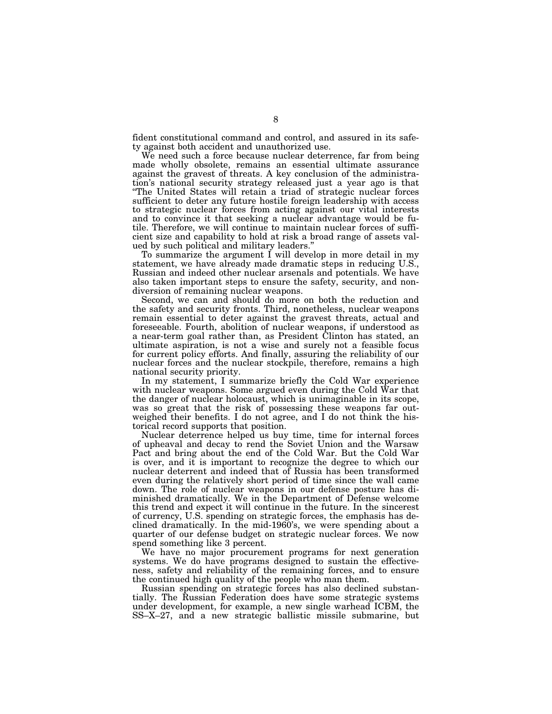fident constitutional command and control, and assured in its safety against both accident and unauthorized use.

We need such a force because nuclear deterrence, far from being made wholly obsolete, remains an essential ultimate assurance against the gravest of threats. A key conclusion of the administration's national security strategy released just a year ago is that ''The United States will retain a triad of strategic nuclear forces sufficient to deter any future hostile foreign leadership with access to strategic nuclear forces from acting against our vital interests and to convince it that seeking a nuclear advantage would be futile. Therefore, we will continue to maintain nuclear forces of sufficient size and capability to hold at risk a broad range of assets valued by such political and military leaders.''

To summarize the argument I will develop in more detail in my statement, we have already made dramatic steps in reducing U.S., Russian and indeed other nuclear arsenals and potentials. We have also taken important steps to ensure the safety, security, and nondiversion of remaining nuclear weapons.

Second, we can and should do more on both the reduction and the safety and security fronts. Third, nonetheless, nuclear weapons remain essential to deter against the gravest threats, actual and foreseeable. Fourth, abolition of nuclear weapons, if understood as a near-term goal rather than, as President Clinton has stated, an ultimate aspiration, is not a wise and surely not a feasible focus for current policy efforts. And finally, assuring the reliability of our nuclear forces and the nuclear stockpile, therefore, remains a high national security priority.

In my statement, I summarize briefly the Cold War experience with nuclear weapons. Some argued even during the Cold War that the danger of nuclear holocaust, which is unimaginable in its scope, was so great that the risk of possessing these weapons far outweighed their benefits. I do not agree, and I do not think the historical record supports that position.

Nuclear deterrence helped us buy time, time for internal forces of upheaval and decay to rend the Soviet Union and the Warsaw Pact and bring about the end of the Cold War. But the Cold War is over, and it is important to recognize the degree to which our nuclear deterrent and indeed that of Russia has been transformed even during the relatively short period of time since the wall came down. The role of nuclear weapons in our defense posture has diminished dramatically. We in the Department of Defense welcome this trend and expect it will continue in the future. In the sincerest of currency, U.S. spending on strategic forces, the emphasis has declined dramatically. In the mid-1960's, we were spending about a quarter of our defense budget on strategic nuclear forces. We now spend something like 3 percent.

We have no major procurement programs for next generation systems. We do have programs designed to sustain the effectiveness, safety and reliability of the remaining forces, and to ensure the continued high quality of the people who man them.

Russian spending on strategic forces has also declined substantially. The Russian Federation does have some strategic systems under development, for example, a new single warhead ICBM, the SS–X–27, and a new strategic ballistic missile submarine, but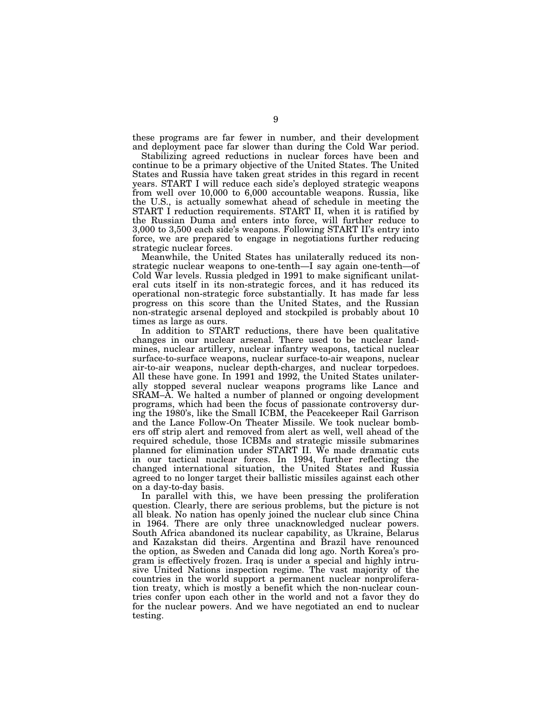these programs are far fewer in number, and their development and deployment pace far slower than during the Cold War period.

Stabilizing agreed reductions in nuclear forces have been and continue to be a primary objective of the United States. The United States and Russia have taken great strides in this regard in recent years. START I will reduce each side's deployed strategic weapons from well over 10,000 to 6,000 accountable weapons. Russia, like the U.S., is actually somewhat ahead of schedule in meeting the START I reduction requirements. START II, when it is ratified by the Russian Duma and enters into force, will further reduce to 3,000 to 3,500 each side's weapons. Following START II's entry into force, we are prepared to engage in negotiations further reducing strategic nuclear forces.

Meanwhile, the United States has unilaterally reduced its nonstrategic nuclear weapons to one-tenth—I say again one-tenth—of Cold War levels. Russia pledged in 1991 to make significant unilateral cuts itself in its non-strategic forces, and it has reduced its operational non-strategic force substantially. It has made far less progress on this score than the United States, and the Russian non-strategic arsenal deployed and stockpiled is probably about 10 times as large as ours.

In addition to START reductions, there have been qualitative changes in our nuclear arsenal. There used to be nuclear landmines, nuclear artillery, nuclear infantry weapons, tactical nuclear surface-to-surface weapons, nuclear surface-to-air weapons, nuclear air-to-air weapons, nuclear depth-charges, and nuclear torpedoes. All these have gone. In 1991 and 1992, the United States unilaterally stopped several nuclear weapons programs like Lance and SRAM–A. We halted a number of planned or ongoing development programs, which had been the focus of passionate controversy during the 1980's, like the Small ICBM, the Peacekeeper Rail Garrison and the Lance Follow-On Theater Missile. We took nuclear bombers off strip alert and removed from alert as well, well ahead of the required schedule, those ICBMs and strategic missile submarines planned for elimination under START II. We made dramatic cuts in our tactical nuclear forces. In 1994, further reflecting the changed international situation, the United States and Russia agreed to no longer target their ballistic missiles against each other on a day-to-day basis.

In parallel with this, we have been pressing the proliferation question. Clearly, there are serious problems, but the picture is not all bleak. No nation has openly joined the nuclear club since China in 1964. There are only three unacknowledged nuclear powers. South Africa abandoned its nuclear capability, as Ukraine, Belarus and Kazakstan did theirs. Argentina and Brazil have renounced the option, as Sweden and Canada did long ago. North Korea's program is effectively frozen. Iraq is under a special and highly intrusive United Nations inspection regime. The vast majority of the countries in the world support a permanent nuclear nonproliferation treaty, which is mostly a benefit which the non-nuclear countries confer upon each other in the world and not a favor they do for the nuclear powers. And we have negotiated an end to nuclear testing.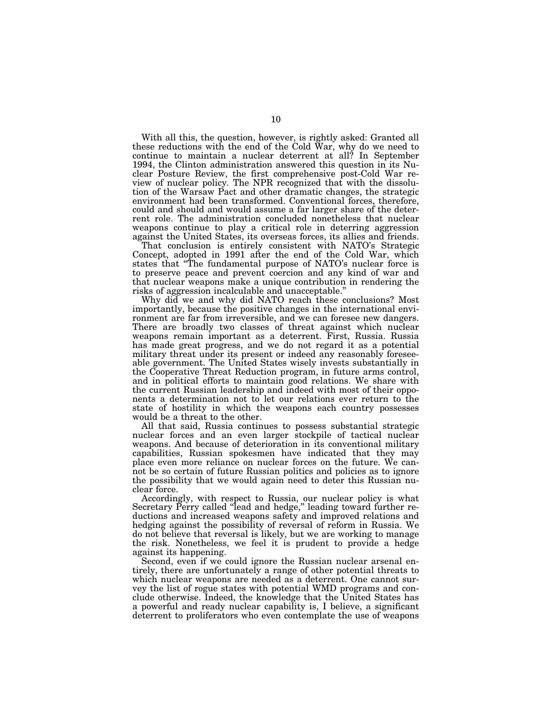With all this, the question, however, is rightly asked: Granted all these reductions with the end of the Cold War, why do we need to continue to maintain a nuclear deterrent at all? In September 1994, the Clinton administration answered this question in its Nuclear Posture Review, the first comprehensive post-Cold War review of nuclear policy. The NPR recognized that with the dissolution of the Warsaw Pact and other dramatic changes, the strategic environment had been transformed. Conventional forces, therefore, could and should and would assume a far larger share of the deterrent role. The administration concluded nonetheless that nuclear weapons continue to play a critical role in deterring aggression against the United States, its overseas forces, its allies and friends.

That conclusion is entirely consistent with NATO's Strategic Concept, adopted in 1991 after the end of the Cold War, which states that ''The fundamental purpose of NATO's nuclear force is to preserve peace and prevent coercion and any kind of war and that nuclear weapons make a unique contribution in rendering the risks of aggression incalculable and unacceptable.''

Why did we and why did NATO reach these conclusions? Most importantly, because the positive changes in the international environment are far from irreversible, and we can foresee new dangers. There are broadly two classes of threat against which nuclear weapons remain important as a deterrent. First, Russia. Russia has made great progress, and we do not regard it as a potential military threat under its present or indeed any reasonably foreseeable government. The United States wisely invests substantially in the Cooperative Threat Reduction program, in future arms control, and in political efforts to maintain good relations. We share with the current Russian leadership and indeed with most of their opponents a determination not to let our relations ever return to the state of hostility in which the weapons each country possesses would be a threat to the other.

All that said, Russia continues to possess substantial strategic nuclear forces and an even larger stockpile of tactical nuclear weapons. And because of deterioration in its conventional military capabilities, Russian spokesmen have indicated that they may place even more reliance on nuclear forces on the future. We cannot be so certain of future Russian politics and policies as to ignore the possibility that we would again need to deter this Russian nuclear force.

Accordingly, with respect to Russia, our nuclear policy is what Secretary Perry called ''lead and hedge,'' leading toward further reductions and increased weapons safety and improved relations and hedging against the possibility of reversal of reform in Russia. We do not believe that reversal is likely, but we are working to manage the risk. Nonetheless, we feel it is prudent to provide a hedge against its happening.

Second, even if we could ignore the Russian nuclear arsenal entirely, there are unfortunately a range of other potential threats to which nuclear weapons are needed as a deterrent. One cannot survey the list of rogue states with potential WMD programs and conclude otherwise. Indeed, the knowledge that the United States has a powerful and ready nuclear capability is, I believe, a significant deterrent to proliferators who even contemplate the use of weapons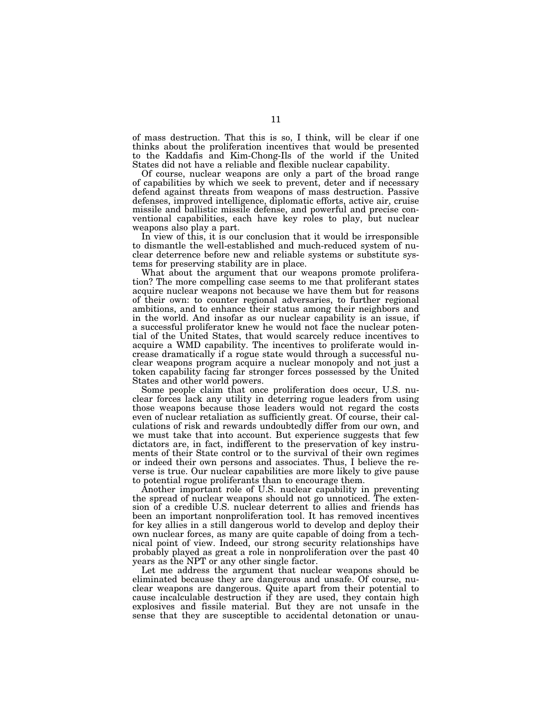of mass destruction. That this is so, I think, will be clear if one thinks about the proliferation incentives that would be presented to the Kaddafis and Kim-Chong-Ils of the world if the United States did not have a reliable and flexible nuclear capability.

Of course, nuclear weapons are only a part of the broad range of capabilities by which we seek to prevent, deter and if necessary defend against threats from weapons of mass destruction. Passive defenses, improved intelligence, diplomatic efforts, active air, cruise missile and ballistic missile defense, and powerful and precise conventional capabilities, each have key roles to play, but nuclear weapons also play a part.

In view of this, it is our conclusion that it would be irresponsible to dismantle the well-established and much-reduced system of nuclear deterrence before new and reliable systems or substitute systems for preserving stability are in place.

What about the argument that our weapons promote proliferation? The more compelling case seems to me that proliferant states acquire nuclear weapons not because we have them but for reasons of their own: to counter regional adversaries, to further regional ambitions, and to enhance their status among their neighbors and in the world. And insofar as our nuclear capability is an issue, if a successful proliferator knew he would not face the nuclear potential of the United States, that would scarcely reduce incentives to acquire a WMD capability. The incentives to proliferate would increase dramatically if a rogue state would through a successful nuclear weapons program acquire a nuclear monopoly and not just a token capability facing far stronger forces possessed by the United States and other world powers.

Some people claim that once proliferation does occur, U.S. nuclear forces lack any utility in deterring rogue leaders from using those weapons because those leaders would not regard the costs even of nuclear retaliation as sufficiently great. Of course, their calculations of risk and rewards undoubtedly differ from our own, and we must take that into account. But experience suggests that few dictators are, in fact, indifferent to the preservation of key instruments of their State control or to the survival of their own regimes or indeed their own persons and associates. Thus, I believe the reverse is true. Our nuclear capabilities are more likely to give pause to potential rogue proliferants than to encourage them.

Another important role of U.S. nuclear capability in preventing the spread of nuclear weapons should not go unnoticed. The extension of a credible U.S. nuclear deterrent to allies and friends has been an important nonproliferation tool. It has removed incentives for key allies in a still dangerous world to develop and deploy their own nuclear forces, as many are quite capable of doing from a technical point of view. Indeed, our strong security relationships have probably played as great a role in nonproliferation over the past 40 years as the NPT or any other single factor.

Let me address the argument that nuclear weapons should be eliminated because they are dangerous and unsafe. Of course, nuclear weapons are dangerous. Quite apart from their potential to cause incalculable destruction if they are used, they contain high explosives and fissile material. But they are not unsafe in the sense that they are susceptible to accidental detonation or unau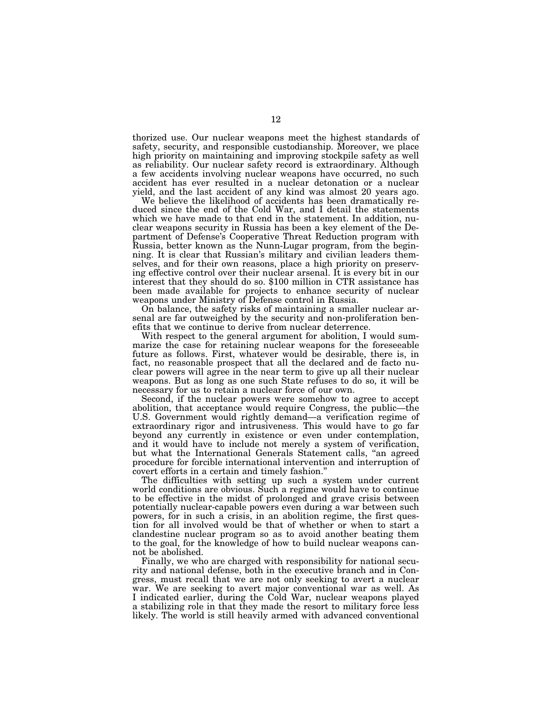thorized use. Our nuclear weapons meet the highest standards of safety, security, and responsible custodianship. Moreover, we place high priority on maintaining and improving stockpile safety as well as reliability. Our nuclear safety record is extraordinary. Although a few accidents involving nuclear weapons have occurred, no such accident has ever resulted in a nuclear detonation or a nuclear yield, and the last accident of any kind was almost 20 years ago.

We believe the likelihood of accidents has been dramatically reduced since the end of the Cold War, and I detail the statements which we have made to that end in the statement. In addition, nuclear weapons security in Russia has been a key element of the Department of Defense's Cooperative Threat Reduction program with Russia, better known as the Nunn-Lugar program, from the beginning. It is clear that Russian's military and civilian leaders themselves, and for their own reasons, place a high priority on preserving effective control over their nuclear arsenal. It is every bit in our interest that they should do so. \$100 million in CTR assistance has been made available for projects to enhance security of nuclear weapons under Ministry of Defense control in Russia.

On balance, the safety risks of maintaining a smaller nuclear arsenal are far outweighed by the security and non-proliferation benefits that we continue to derive from nuclear deterrence.

With respect to the general argument for abolition, I would summarize the case for retaining nuclear weapons for the foreseeable future as follows. First, whatever would be desirable, there is, in fact, no reasonable prospect that all the declared and de facto nuclear powers will agree in the near term to give up all their nuclear weapons. But as long as one such State refuses to do so, it will be necessary for us to retain a nuclear force of our own.

Second, if the nuclear powers were somehow to agree to accept abolition, that acceptance would require Congress, the public—the U.S. Government would rightly demand—a verification regime of extraordinary rigor and intrusiveness. This would have to go far beyond any currently in existence or even under contemplation, and it would have to include not merely a system of verification, but what the International Generals Statement calls, ''an agreed procedure for forcible international intervention and interruption of covert efforts in a certain and timely fashion.''

The difficulties with setting up such a system under current world conditions are obvious. Such a regime would have to continue to be effective in the midst of prolonged and grave crisis between potentially nuclear-capable powers even during a war between such powers, for in such a crisis, in an abolition regime, the first question for all involved would be that of whether or when to start a clandestine nuclear program so as to avoid another beating them to the goal, for the knowledge of how to build nuclear weapons cannot be abolished.

Finally, we who are charged with responsibility for national security and national defense, both in the executive branch and in Congress, must recall that we are not only seeking to avert a nuclear war. We are seeking to avert major conventional war as well. As I indicated earlier, during the Cold War, nuclear weapons played a stabilizing role in that they made the resort to military force less likely. The world is still heavily armed with advanced conventional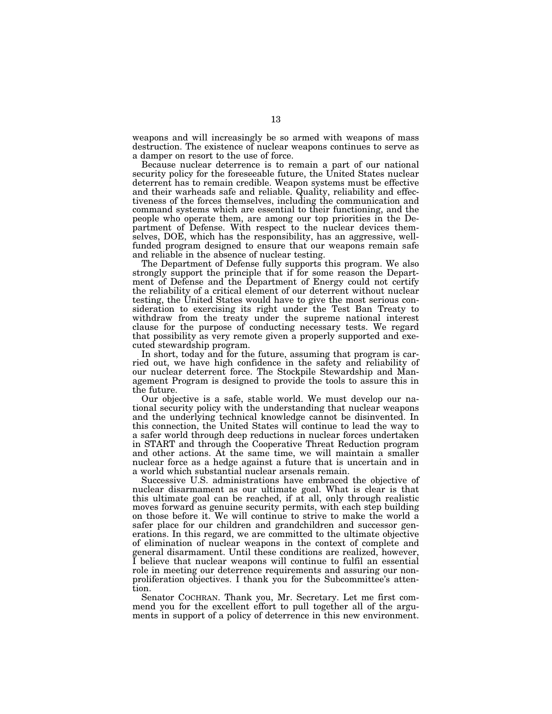weapons and will increasingly be so armed with weapons of mass destruction. The existence of nuclear weapons continues to serve as a damper on resort to the use of force.

Because nuclear deterrence is to remain a part of our national security policy for the foreseeable future, the United States nuclear deterrent has to remain credible. Weapon systems must be effective and their warheads safe and reliable. Quality, reliability and effectiveness of the forces themselves, including the communication and command systems which are essential to their functioning, and the people who operate them, are among our top priorities in the Department of Defense. With respect to the nuclear devices themselves, DOE, which has the responsibility, has an aggressive, wellfunded program designed to ensure that our weapons remain safe and reliable in the absence of nuclear testing.

The Department of Defense fully supports this program. We also strongly support the principle that if for some reason the Department of Defense and the Department of Energy could not certify the reliability of a critical element of our deterrent without nuclear testing, the United States would have to give the most serious consideration to exercising its right under the Test Ban Treaty to withdraw from the treaty under the supreme national interest clause for the purpose of conducting necessary tests. We regard that possibility as very remote given a properly supported and executed stewardship program.

In short, today and for the future, assuming that program is carried out, we have high confidence in the safety and reliability of our nuclear deterrent force. The Stockpile Stewardship and Management Program is designed to provide the tools to assure this in the future.

Our objective is a safe, stable world. We must develop our national security policy with the understanding that nuclear weapons and the underlying technical knowledge cannot be disinvented. In this connection, the United States will continue to lead the way to a safer world through deep reductions in nuclear forces undertaken in START and through the Cooperative Threat Reduction program and other actions. At the same time, we will maintain a smaller nuclear force as a hedge against a future that is uncertain and in a world which substantial nuclear arsenals remain.

Successive U.S. administrations have embraced the objective of nuclear disarmament as our ultimate goal. What is clear is that this ultimate goal can be reached, if at all, only through realistic moves forward as genuine security permits, with each step building on those before it. We will continue to strive to make the world a safer place for our children and grandchildren and successor generations. In this regard, we are committed to the ultimate objective of elimination of nuclear weapons in the context of complete and general disarmament. Until these conditions are realized, however, I believe that nuclear weapons will continue to fulfil an essential role in meeting our deterrence requirements and assuring our nonproliferation objectives. I thank you for the Subcommittee's attention.

Senator COCHRAN. Thank you, Mr. Secretary. Let me first commend you for the excellent effort to pull together all of the arguments in support of a policy of deterrence in this new environment.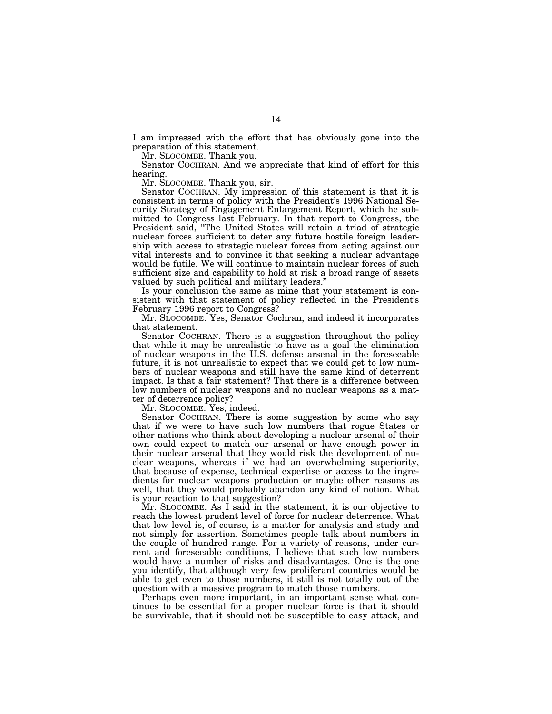I am impressed with the effort that has obviously gone into the preparation of this statement.

Mr. SLOCOMBE. Thank you.

Senator COCHRAN. And we appreciate that kind of effort for this hearing.

Mr. SLOCOMBE. Thank you, sir.

Senator COCHRAN. My impression of this statement is that it is consistent in terms of policy with the President's 1996 National Security Strategy of Engagement Enlargement Report, which he submitted to Congress last February. In that report to Congress, the President said, "The United States will retain a triad of strategic nuclear forces sufficient to deter any future hostile foreign leadership with access to strategic nuclear forces from acting against our vital interests and to convince it that seeking a nuclear advantage would be futile. We will continue to maintain nuclear forces of such sufficient size and capability to hold at risk a broad range of assets valued by such political and military leaders.''

Is your conclusion the same as mine that your statement is consistent with that statement of policy reflected in the President's February 1996 report to Congress?

Mr. SLOCOMBE. Yes, Senator Cochran, and indeed it incorporates that statement.

Senator COCHRAN. There is a suggestion throughout the policy that while it may be unrealistic to have as a goal the elimination of nuclear weapons in the U.S. defense arsenal in the foreseeable future, it is not unrealistic to expect that we could get to low numbers of nuclear weapons and still have the same kind of deterrent impact. Is that a fair statement? That there is a difference between low numbers of nuclear weapons and no nuclear weapons as a matter of deterrence policy?

Mr. SLOCOMBE. Yes, indeed.

Senator COCHRAN. There is some suggestion by some who say that if we were to have such low numbers that rogue States or other nations who think about developing a nuclear arsenal of their own could expect to match our arsenal or have enough power in their nuclear arsenal that they would risk the development of nuclear weapons, whereas if we had an overwhelming superiority, that because of expense, technical expertise or access to the ingredients for nuclear weapons production or maybe other reasons as well, that they would probably abandon any kind of notion. What is your reaction to that suggestion?

Mr. SLOCOMBE. As I said in the statement, it is our objective to reach the lowest prudent level of force for nuclear deterrence. What that low level is, of course, is a matter for analysis and study and not simply for assertion. Sometimes people talk about numbers in the couple of hundred range. For a variety of reasons, under current and foreseeable conditions, I believe that such low numbers would have a number of risks and disadvantages. One is the one you identify, that although very few proliferant countries would be able to get even to those numbers, it still is not totally out of the question with a massive program to match those numbers.

Perhaps even more important, in an important sense what continues to be essential for a proper nuclear force is that it should be survivable, that it should not be susceptible to easy attack, and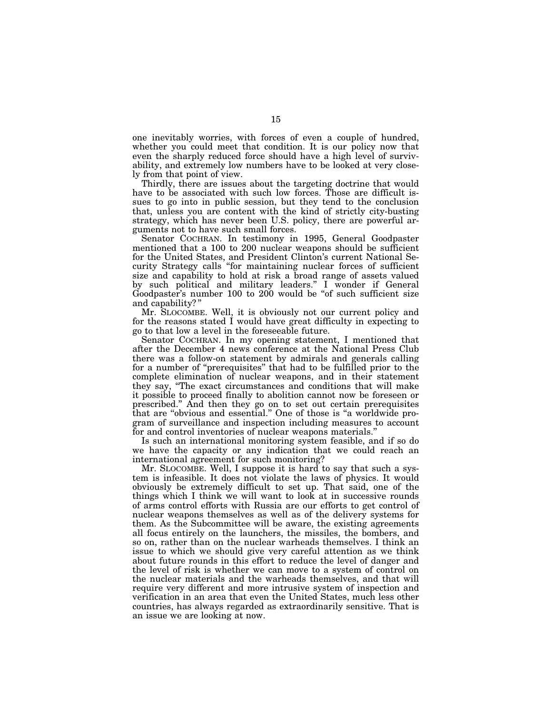one inevitably worries, with forces of even a couple of hundred, whether you could meet that condition. It is our policy now that even the sharply reduced force should have a high level of survivability, and extremely low numbers have to be looked at very closely from that point of view.

Thirdly, there are issues about the targeting doctrine that would have to be associated with such low forces. Those are difficult issues to go into in public session, but they tend to the conclusion that, unless you are content with the kind of strictly city-busting strategy, which has never been U.S. policy, there are powerful arguments not to have such small forces.

Senator COCHRAN. In testimony in 1995, General Goodpaster mentioned that a 100 to 200 nuclear weapons should be sufficient for the United States, and President Clinton's current National Security Strategy calls ''for maintaining nuclear forces of sufficient size and capability to hold at risk a broad range of assets valued by such political and military leaders.'' I wonder if General Goodpaster's number 100 to 200 would be ''of such sufficient size and capability? ''

Mr. SLOCOMBE. Well, it is obviously not our current policy and for the reasons stated I would have great difficulty in expecting to go to that low a level in the foreseeable future.

Senator COCHRAN. In my opening statement, I mentioned that after the December 4 news conference at the National Press Club there was a follow-on statement by admirals and generals calling for a number of ''prerequisites'' that had to be fulfilled prior to the complete elimination of nuclear weapons, and in their statement they say, ''The exact circumstances and conditions that will make it possible to proceed finally to abolition cannot now be foreseen or prescribed.'' And then they go on to set out certain prerequisites that are ''obvious and essential.'' One of those is ''a worldwide program of surveillance and inspection including measures to account for and control inventories of nuclear weapons materials.''

Is such an international monitoring system feasible, and if so do we have the capacity or any indication that we could reach an international agreement for such monitoring?

Mr. SLOCOMBE. Well, I suppose it is hard to say that such a system is infeasible. It does not violate the laws of physics. It would obviously be extremely difficult to set up. That said, one of the things which I think we will want to look at in successive rounds of arms control efforts with Russia are our efforts to get control of nuclear weapons themselves as well as of the delivery systems for them. As the Subcommittee will be aware, the existing agreements all focus entirely on the launchers, the missiles, the bombers, and so on, rather than on the nuclear warheads themselves. I think an issue to which we should give very careful attention as we think about future rounds in this effort to reduce the level of danger and the level of risk is whether we can move to a system of control on the nuclear materials and the warheads themselves, and that will require very different and more intrusive system of inspection and verification in an area that even the United States, much less other countries, has always regarded as extraordinarily sensitive. That is an issue we are looking at now.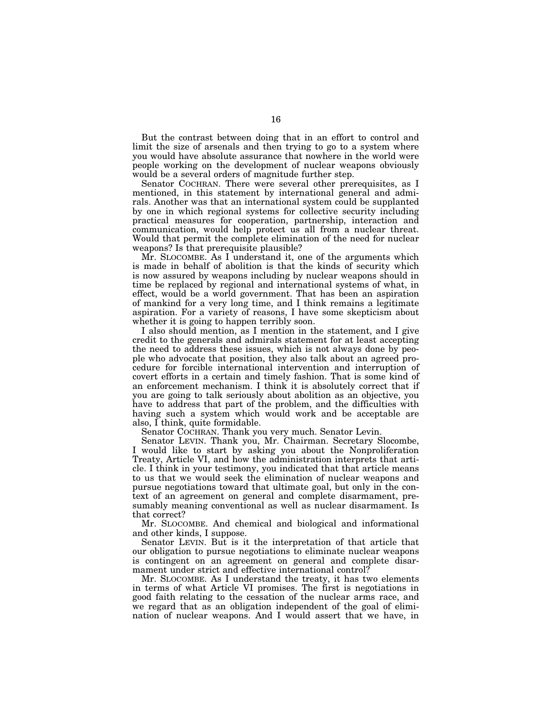But the contrast between doing that in an effort to control and limit the size of arsenals and then trying to go to a system where you would have absolute assurance that nowhere in the world were people working on the development of nuclear weapons obviously would be a several orders of magnitude further step.

Senator COCHRAN. There were several other prerequisites, as I mentioned, in this statement by international general and admirals. Another was that an international system could be supplanted by one in which regional systems for collective security including practical measures for cooperation, partnership, interaction and communication, would help protect us all from a nuclear threat. Would that permit the complete elimination of the need for nuclear weapons? Is that prerequisite plausible?

Mr. SLOCOMBE. As I understand it, one of the arguments which is made in behalf of abolition is that the kinds of security which is now assured by weapons including by nuclear weapons should in time be replaced by regional and international systems of what, in effect, would be a world government. That has been an aspiration of mankind for a very long time, and I think remains a legitimate aspiration. For a variety of reasons, I have some skepticism about whether it is going to happen terribly soon.

I also should mention, as I mention in the statement, and I give credit to the generals and admirals statement for at least accepting the need to address these issues, which is not always done by people who advocate that position, they also talk about an agreed procedure for forcible international intervention and interruption of covert efforts in a certain and timely fashion. That is some kind of an enforcement mechanism. I think it is absolutely correct that if you are going to talk seriously about abolition as an objective, you have to address that part of the problem, and the difficulties with having such a system which would work and be acceptable are also, I think, quite formidable.

Senator COCHRAN. Thank you very much. Senator Levin.

Senator LEVIN. Thank you, Mr. Chairman. Secretary Slocombe, I would like to start by asking you about the Nonproliferation Treaty, Article VI, and how the administration interprets that article. I think in your testimony, you indicated that that article means to us that we would seek the elimination of nuclear weapons and pursue negotiations toward that ultimate goal, but only in the context of an agreement on general and complete disarmament, presumably meaning conventional as well as nuclear disarmament. Is that correct?

Mr. SLOCOMBE. And chemical and biological and informational and other kinds, I suppose.

Senator LEVIN. But is it the interpretation of that article that our obligation to pursue negotiations to eliminate nuclear weapons is contingent on an agreement on general and complete disarmament under strict and effective international control?

Mr. SLOCOMBE. As I understand the treaty, it has two elements in terms of what Article VI promises. The first is negotiations in good faith relating to the cessation of the nuclear arms race, and we regard that as an obligation independent of the goal of elimination of nuclear weapons. And I would assert that we have, in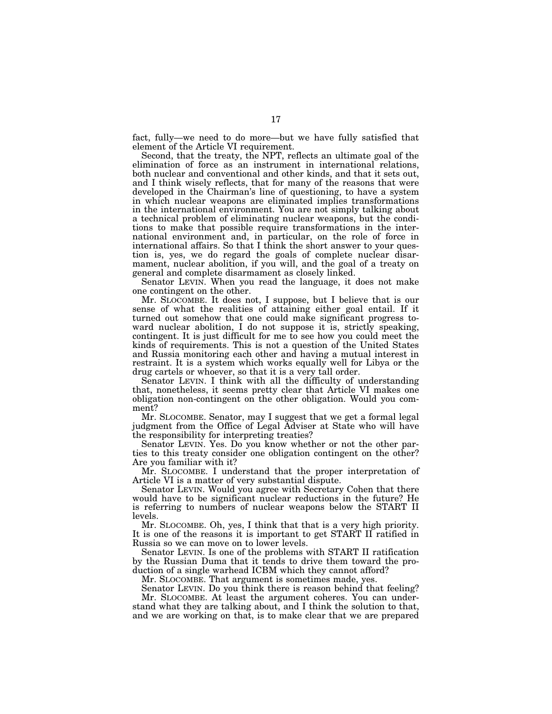fact, fully—we need to do more—but we have fully satisfied that element of the Article VI requirement.

Second, that the treaty, the NPT, reflects an ultimate goal of the elimination of force as an instrument in international relations, both nuclear and conventional and other kinds, and that it sets out, and I think wisely reflects, that for many of the reasons that were developed in the Chairman's line of questioning, to have a system in which nuclear weapons are eliminated implies transformations in the international environment. You are not simply talking about a technical problem of eliminating nuclear weapons, but the conditions to make that possible require transformations in the international environment and, in particular, on the role of force in international affairs. So that I think the short answer to your question is, yes, we do regard the goals of complete nuclear disarmament, nuclear abolition, if you will, and the goal of a treaty on general and complete disarmament as closely linked.

Senator LEVIN. When you read the language, it does not make one contingent on the other.

Mr. SLOCOMBE. It does not, I suppose, but I believe that is our sense of what the realities of attaining either goal entail. If it turned out somehow that one could make significant progress toward nuclear abolition, I do not suppose it is, strictly speaking, contingent. It is just difficult for me to see how you could meet the kinds of requirements. This is not a question of the United States and Russia monitoring each other and having a mutual interest in restraint. It is a system which works equally well for Libya or the drug cartels or whoever, so that it is a very tall order.

Senator LEVIN. I think with all the difficulty of understanding that, nonetheless, it seems pretty clear that Article VI makes one obligation non-contingent on the other obligation. Would you comment?

Mr. SLOCOMBE. Senator, may I suggest that we get a formal legal judgment from the Office of Legal Adviser at State who will have the responsibility for interpreting treaties?

Senator LEVIN. Yes. Do you know whether or not the other parties to this treaty consider one obligation contingent on the other? Are you familiar with it?

Mr. SLOCOMBE. I understand that the proper interpretation of Article VI is a matter of very substantial dispute.

Senator LEVIN. Would you agree with Secretary Cohen that there would have to be significant nuclear reductions in the future? He is referring to numbers of nuclear weapons below the START II levels.

Mr. SLOCOMBE. Oh, yes, I think that that is a very high priority. It is one of the reasons it is important to get START II ratified in Russia so we can move on to lower levels.

Senator LEVIN. Is one of the problems with START II ratification by the Russian Duma that it tends to drive them toward the production of a single warhead ICBM which they cannot afford?

Mr. SLOCOMBE. That argument is sometimes made, yes.

Senator LEVIN. Do you think there is reason behind that feeling?

Mr. SLOCOMBE. At least the argument coheres. You can understand what they are talking about, and I think the solution to that, and we are working on that, is to make clear that we are prepared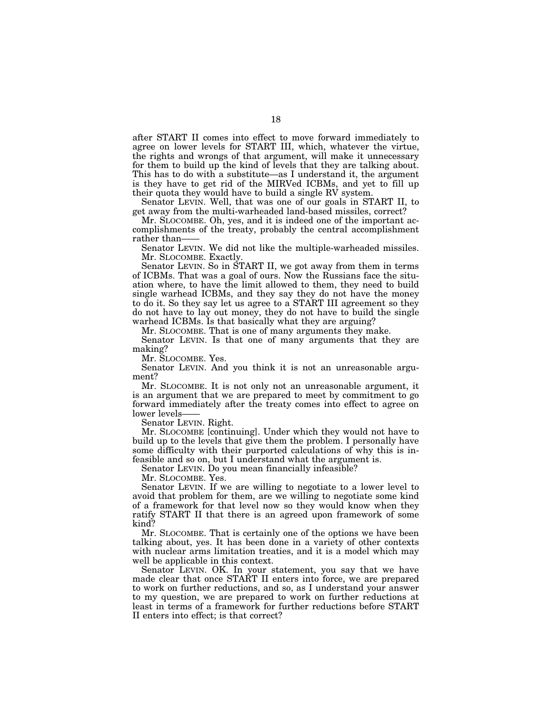after START II comes into effect to move forward immediately to agree on lower levels for START III, which, whatever the virtue, the rights and wrongs of that argument, will make it unnecessary for them to build up the kind of levels that they are talking about. This has to do with a substitute—as I understand it, the argument is they have to get rid of the MIRVed ICBMs, and yet to fill up their quota they would have to build a single RV system.

Senator LEVIN. Well, that was one of our goals in START II, to get away from the multi-warheaded land-based missiles, correct?

Mr. SLOCOMBE. Oh, yes, and it is indeed one of the important accomplishments of the treaty, probably the central accomplishment rather than——

Senator LEVIN. We did not like the multiple-warheaded missiles. Mr. SLOCOMBE. Exactly.

Senator LEVIN. So in START II, we got away from them in terms of ICBMs. That was a goal of ours. Now the Russians face the situation where, to have the limit allowed to them, they need to build single warhead ICBMs, and they say they do not have the money to do it. So they say let us agree to a START III agreement so they do not have to lay out money, they do not have to build the single warhead ICBMs. Is that basically what they are arguing?

Mr. SLOCOMBE. That is one of many arguments they make.

Senator LEVIN. Is that one of many arguments that they are making?

Mr. SLOCOMBE. Yes.

Senator LEVIN. And you think it is not an unreasonable argument?

Mr. SLOCOMBE. It is not only not an unreasonable argument, it is an argument that we are prepared to meet by commitment to go forward immediately after the treaty comes into effect to agree on lower levels——

Senator LEVIN. Right.

Mr. SLOCOMBE [continuing]. Under which they would not have to build up to the levels that give them the problem. I personally have some difficulty with their purported calculations of why this is infeasible and so on, but I understand what the argument is.

Senator LEVIN. Do you mean financially infeasible?

Mr. SLOCOMBE. Yes.

Senator LEVIN. If we are willing to negotiate to a lower level to avoid that problem for them, are we willing to negotiate some kind of a framework for that level now so they would know when they ratify START II that there is an agreed upon framework of some kind?

Mr. SLOCOMBE. That is certainly one of the options we have been talking about, yes. It has been done in a variety of other contexts with nuclear arms limitation treaties, and it is a model which may well be applicable in this context.

Senator LEVIN. OK. In your statement, you say that we have made clear that once START II enters into force, we are prepared to work on further reductions, and so, as I understand your answer to my question, we are prepared to work on further reductions at least in terms of a framework for further reductions before START II enters into effect; is that correct?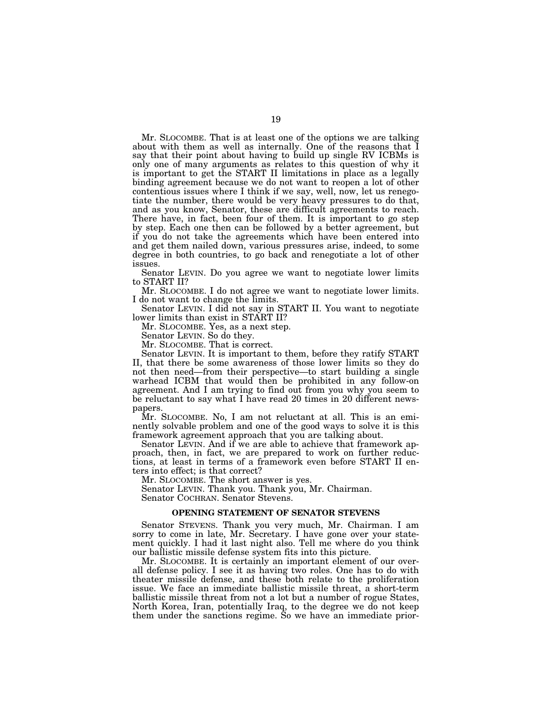Mr. SLOCOMBE. That is at least one of the options we are talking about with them as well as internally. One of the reasons that I say that their point about having to build up single RV ICBMs is only one of many arguments as relates to this question of why it is important to get the START II limitations in place as a legally binding agreement because we do not want to reopen a lot of other contentious issues where I think if we say, well, now, let us renegotiate the number, there would be very heavy pressures to do that, and as you know, Senator, these are difficult agreements to reach. There have, in fact, been four of them. It is important to go step by step. Each one then can be followed by a better agreement, but if you do not take the agreements which have been entered into and get them nailed down, various pressures arise, indeed, to some degree in both countries, to go back and renegotiate a lot of other issues.

Senator LEVIN. Do you agree we want to negotiate lower limits to START II?

Mr. SLOCOMBE. I do not agree we want to negotiate lower limits. I do not want to change the limits.

Senator LEVIN. I did not say in START II. You want to negotiate lower limits than exist in START II?

Mr. SLOCOMBE. Yes, as a next step.

Senator LEVIN. So do they.

Mr. SLOCOMBE. That is correct.

Senator LEVIN. It is important to them, before they ratify START II, that there be some awareness of those lower limits so they do not then need—from their perspective—to start building a single warhead ICBM that would then be prohibited in any follow-on agreement. And I am trying to find out from you why you seem to be reluctant to say what I have read 20 times in 20 different newspapers.

Mr. SLOCOMBE. No, I am not reluctant at all. This is an eminently solvable problem and one of the good ways to solve it is this framework agreement approach that you are talking about.

Senator LEVIN. And if we are able to achieve that framework approach, then, in fact, we are prepared to work on further reductions, at least in terms of a framework even before START II enters into effect; is that correct?

Mr. SLOCOMBE. The short answer is yes.

Senator LEVIN. Thank you. Thank you, Mr. Chairman. Senator COCHRAN. Senator Stevens.

## **OPENING STATEMENT OF SENATOR STEVENS**

Senator STEVENS. Thank you very much, Mr. Chairman. I am sorry to come in late, Mr. Secretary. I have gone over your statement quickly. I had it last night also. Tell me where do you think our ballistic missile defense system fits into this picture.

Mr. SLOCOMBE. It is certainly an important element of our overall defense policy. I see it as having two roles. One has to do with theater missile defense, and these both relate to the proliferation issue. We face an immediate ballistic missile threat, a short-term ballistic missile threat from not a lot but a number of rogue States, North Korea, Iran, potentially Iraq, to the degree we do not keep them under the sanctions regime. So we have an immediate prior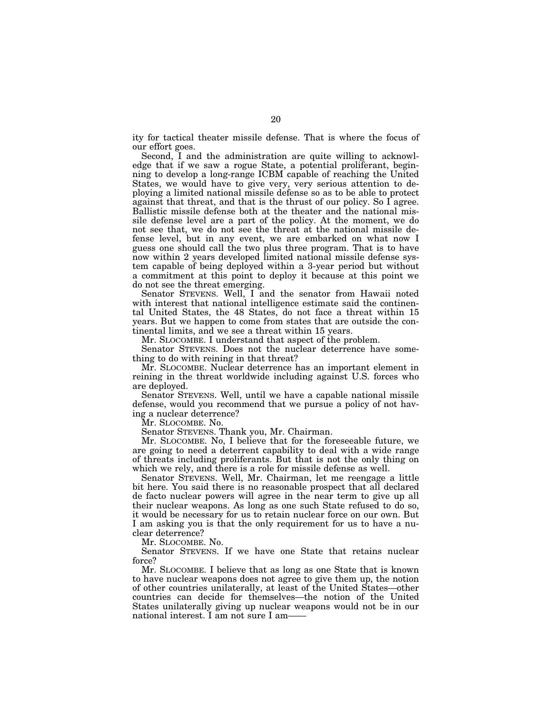ity for tactical theater missile defense. That is where the focus of our effort goes.

Second, I and the administration are quite willing to acknowledge that if we saw a rogue State, a potential proliferant, beginning to develop a long-range ICBM capable of reaching the United States, we would have to give very, very serious attention to deploying a limited national missile defense so as to be able to protect against that threat, and that is the thrust of our policy. So I agree. Ballistic missile defense both at the theater and the national missile defense level are a part of the policy. At the moment, we do not see that, we do not see the threat at the national missile defense level, but in any event, we are embarked on what now I guess one should call the two plus three program. That is to have now within 2 years developed limited national missile defense system capable of being deployed within a 3-year period but without a commitment at this point to deploy it because at this point we do not see the threat emerging.

Senator STEVENS. Well, I and the senator from Hawaii noted with interest that national intelligence estimate said the continental United States, the 48 States, do not face a threat within 15 years. But we happen to come from states that are outside the continental limits, and we see a threat within 15 years.

Mr. SLOCOMBE. I understand that aspect of the problem.

Senator STEVENS. Does not the nuclear deterrence have something to do with reining in that threat?

Mr. SLOCOMBE. Nuclear deterrence has an important element in reining in the threat worldwide including against U.S. forces who are deployed.

Senator STEVENS. Well, until we have a capable national missile defense, would you recommend that we pursue a policy of not having a nuclear deterrence?

Mr. SLOCOMBE. No.

Senator STEVENS. Thank you, Mr. Chairman.

Mr. SLOCOMBE. No, I believe that for the foreseeable future, we are going to need a deterrent capability to deal with a wide range of threats including proliferants. But that is not the only thing on which we rely, and there is a role for missile defense as well.

Senator STEVENS. Well, Mr. Chairman, let me reengage a little bit here. You said there is no reasonable prospect that all declared de facto nuclear powers will agree in the near term to give up all their nuclear weapons. As long as one such State refused to do so, it would be necessary for us to retain nuclear force on our own. But I am asking you is that the only requirement for us to have a nuclear deterrence?

Mr. SLOCOMBE. No.

Senator STEVENS. If we have one State that retains nuclear force?

Mr. SLOCOMBE. I believe that as long as one State that is known to have nuclear weapons does not agree to give them up, the notion of other countries unilaterally, at least of the United States—other countries can decide for themselves—the notion of the United States unilaterally giving up nuclear weapons would not be in our national interest. I am not sure I am——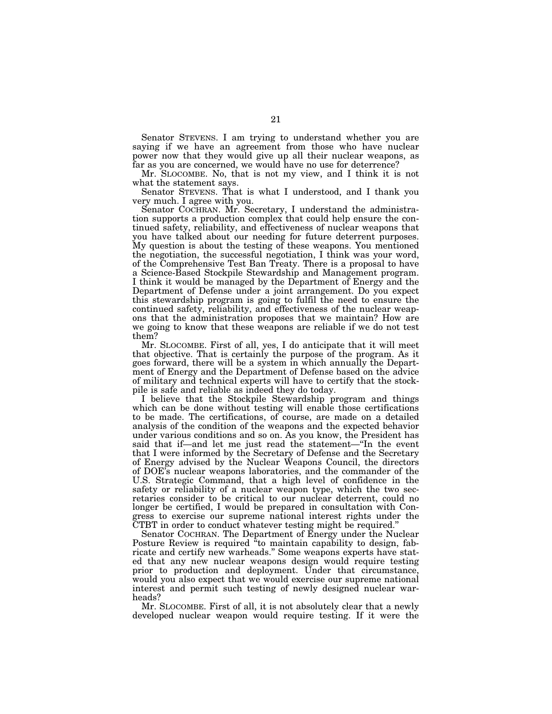Senator STEVENS. I am trying to understand whether you are saying if we have an agreement from those who have nuclear power now that they would give up all their nuclear weapons, as far as you are concerned, we would have no use for deterrence?

Mr. SLOCOMBE. No, that is not my view, and I think it is not what the statement says.

Senator STEVENS. That is what I understood, and I thank you very much. I agree with you.

Senator COCHRAN. Mr. Secretary, I understand the administration supports a production complex that could help ensure the continued safety, reliability, and effectiveness of nuclear weapons that you have talked about our needing for future deterrent purposes. My question is about the testing of these weapons. You mentioned the negotiation, the successful negotiation, I think was your word, of the Comprehensive Test Ban Treaty. There is a proposal to have a Science-Based Stockpile Stewardship and Management program. I think it would be managed by the Department of Energy and the Department of Defense under a joint arrangement. Do you expect this stewardship program is going to fulfil the need to ensure the continued safety, reliability, and effectiveness of the nuclear weapons that the administration proposes that we maintain? How are we going to know that these weapons are reliable if we do not test them?

Mr. SLOCOMBE. First of all, yes, I do anticipate that it will meet that objective. That is certainly the purpose of the program. As it goes forward, there will be a system in which annually the Department of Energy and the Department of Defense based on the advice of military and technical experts will have to certify that the stockpile is safe and reliable as indeed they do today.

I believe that the Stockpile Stewardship program and things which can be done without testing will enable those certifications to be made. The certifications, of course, are made on a detailed analysis of the condition of the weapons and the expected behavior under various conditions and so on. As you know, the President has said that if—and let me just read the statement—''In the event that I were informed by the Secretary of Defense and the Secretary of Energy advised by the Nuclear Weapons Council, the directors of DOE's nuclear weapons laboratories, and the commander of the U.S. Strategic Command, that a high level of confidence in the safety or reliability of a nuclear weapon type, which the two secretaries consider to be critical to our nuclear deterrent, could no longer be certified, I would be prepared in consultation with Congress to exercise our supreme national interest rights under the CTBT in order to conduct whatever testing might be required.''

Senator COCHRAN. The Department of Energy under the Nuclear Posture Review is required ''to maintain capability to design, fabricate and certify new warheads.'' Some weapons experts have stated that any new nuclear weapons design would require testing prior to production and deployment. Under that circumstance, would you also expect that we would exercise our supreme national interest and permit such testing of newly designed nuclear warheads?

Mr. SLOCOMBE. First of all, it is not absolutely clear that a newly developed nuclear weapon would require testing. If it were the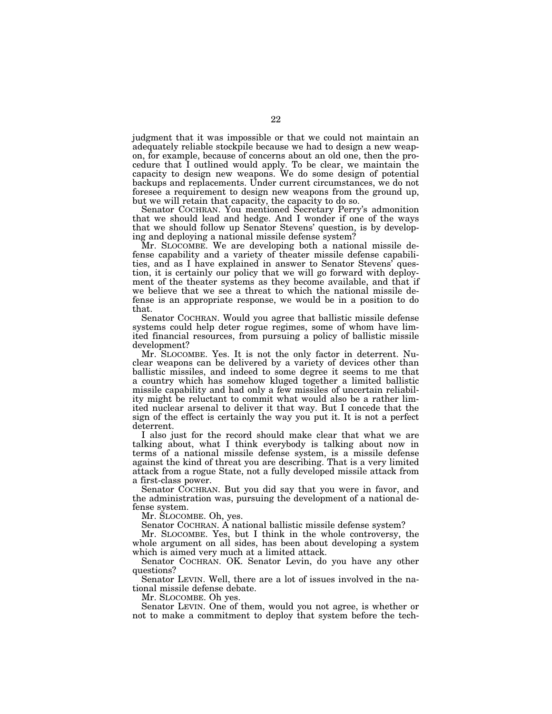judgment that it was impossible or that we could not maintain an adequately reliable stockpile because we had to design a new weapon, for example, because of concerns about an old one, then the procedure that I outlined would apply. To be clear, we maintain the capacity to design new weapons. We do some design of potential backups and replacements. Under current circumstances, we do not foresee a requirement to design new weapons from the ground up, but we will retain that capacity, the capacity to do so.

Senator COCHRAN. You mentioned Secretary Perry's admonition that we should lead and hedge. And I wonder if one of the ways that we should follow up Senator Stevens' question, is by developing and deploying a national missile defense system?

Mr. SLOCOMBE. We are developing both a national missile defense capability and a variety of theater missile defense capabilities, and as I have explained in answer to Senator Stevens' question, it is certainly our policy that we will go forward with deployment of the theater systems as they become available, and that if we believe that we see a threat to which the national missile defense is an appropriate response, we would be in a position to do that.

Senator COCHRAN. Would you agree that ballistic missile defense systems could help deter rogue regimes, some of whom have limited financial resources, from pursuing a policy of ballistic missile development?

Mr. SLOCOMBE. Yes. It is not the only factor in deterrent. Nuclear weapons can be delivered by a variety of devices other than ballistic missiles, and indeed to some degree it seems to me that a country which has somehow kluged together a limited ballistic missile capability and had only a few missiles of uncertain reliability might be reluctant to commit what would also be a rather limited nuclear arsenal to deliver it that way. But I concede that the sign of the effect is certainly the way you put it. It is not a perfect deterrent.

I also just for the record should make clear that what we are talking about, what I think everybody is talking about now in terms of a national missile defense system, is a missile defense against the kind of threat you are describing. That is a very limited attack from a rogue State, not a fully developed missile attack from a first-class power.

Senator COCHRAN. But you did say that you were in favor, and the administration was, pursuing the development of a national defense system.

Mr. SLOCOMBE. Oh, yes.

Senator COCHRAN. A national ballistic missile defense system?

Mr. SLOCOMBE. Yes, but I think in the whole controversy, the whole argument on all sides, has been about developing a system which is aimed very much at a limited attack.

Senator COCHRAN. OK. Senator Levin, do you have any other questions?

Senator LEVIN. Well, there are a lot of issues involved in the national missile defense debate.

Mr. SLOCOMBE. Oh yes.

Senator LEVIN. One of them, would you not agree, is whether or not to make a commitment to deploy that system before the tech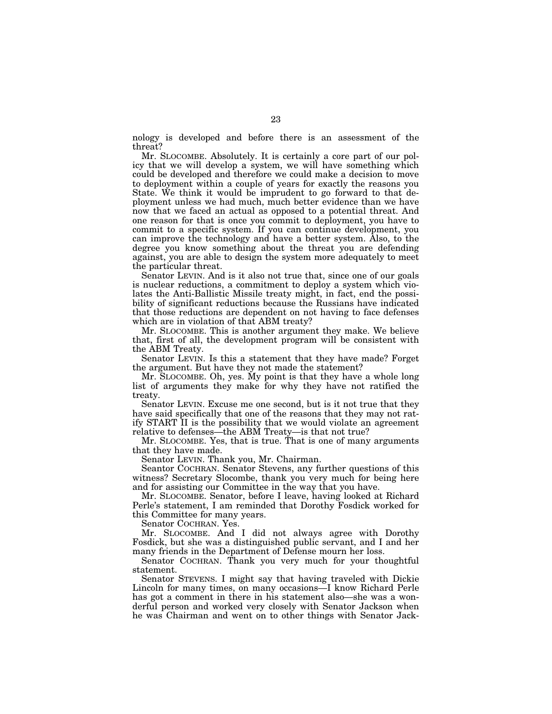nology is developed and before there is an assessment of the threat?

Mr. SLOCOMBE. Absolutely. It is certainly a core part of our policy that we will develop a system, we will have something which could be developed and therefore we could make a decision to move to deployment within a couple of years for exactly the reasons you State. We think it would be imprudent to go forward to that deployment unless we had much, much better evidence than we have now that we faced an actual as opposed to a potential threat. And one reason for that is once you commit to deployment, you have to commit to a specific system. If you can continue development, you can improve the technology and have a better system. Also, to the degree you know something about the threat you are defending against, you are able to design the system more adequately to meet the particular threat.

Senator LEVIN. And is it also not true that, since one of our goals is nuclear reductions, a commitment to deploy a system which violates the Anti-Ballistic Missile treaty might, in fact, end the possibility of significant reductions because the Russians have indicated that those reductions are dependent on not having to face defenses which are in violation of that ABM treaty?

Mr. SLOCOMBE. This is another argument they make. We believe that, first of all, the development program will be consistent with the ABM Treaty.

Senator LEVIN. Is this a statement that they have made? Forget the argument. But have they not made the statement?

Mr. SLOCOMBE. Oh, yes. My point is that they have a whole long list of arguments they make for why they have not ratified the treaty.

Senator LEVIN. Excuse me one second, but is it not true that they have said specifically that one of the reasons that they may not ratify START II is the possibility that we would violate an agreement relative to defenses—the ABM Treaty—is that not true?

Mr. SLOCOMBE. Yes, that is true. That is one of many arguments that they have made.

Senator LEVIN. Thank you, Mr. Chairman.

Seantor COCHRAN. Senator Stevens, any further questions of this witness? Secretary Slocombe, thank you very much for being here and for assisting our Committee in the way that you have.

Mr. SLOCOMBE. Senator, before I leave, having looked at Richard Perle's statement, I am reminded that Dorothy Fosdick worked for this Committee for many years.

Senator COCHRAN. Yes.

Mr. SLOCOMBE. And I did not always agree with Dorothy Fosdick, but she was a distinguished public servant, and I and her many friends in the Department of Defense mourn her loss.

Senator COCHRAN. Thank you very much for your thoughtful statement.

Senator STEVENS. I might say that having traveled with Dickie Lincoln for many times, on many occasions—I know Richard Perle has got a comment in there in his statement also—she was a wonderful person and worked very closely with Senator Jackson when he was Chairman and went on to other things with Senator Jack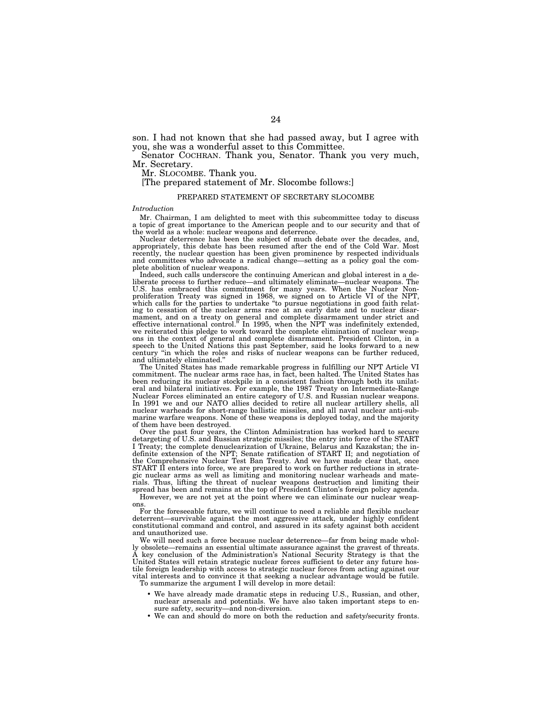son. I had not known that she had passed away, but I agree with you, she was a wonderful asset to this Committee.

Senator COCHRAN. Thank you, Senator. Thank you very much, Mr. Secretary.

Mr. SLOCOMBE. Thank you.

[The prepared statement of Mr. Slocombe follows:]

## PREPARED STATEMENT OF SECRETARY SLOCOMBE

*Introduction*

Mr. Chairman, I am delighted to meet with this subcommittee today to discuss a topic of great importance to the American people and to our security and that of the world as a whole: nuclear weapons and deterrence.

Nuclear deterrence has been the subject of much debate over the decades, and, appropriately, this debate has been resumed after the end of the Cold War. Most recently, the nuclear question has been given prominence by respected individuals and committees who advocate a radical change—setting as a policy goal the complete abolition of nuclear weapons.

Indeed, such calls underscore the continuing American and global interest in a deliberate process to further reduce—and ultimately eliminate—nuclear weapons. The U.S. has embraced this commitment for many years. When the Nuclear Nonproliferation Treaty was signed in 1968, we signed on to Article VI of the NPT, which calls for the parties to undertake ''to pursue negotiations in good faith relating to cessation of the nuclear arms race at an early date and to nuclear disarmament, and on a treaty on general and complete disarmament under strict and<br>effective international control." In 1995, when the NPT was indefinitely extended,<br>we reiterated this pledge to work toward the complete eliminat ons in the context of general and complete disarmament. President Clinton, in a speech to the United Nations this past September, said he looks forward to a new century ''in which the roles and risks of nuclear weapons can be further reduced, and ultimately eliminated.''

The United States has made remarkable progress in fulfilling our NPT Article VI commitment. The nuclear arms race has, in fact, been halted. The United States has been reducing its nuclear stockpile in a consistent fashion through both its unilateral and bilateral initiatives. For example, the 1987 Treaty on Intermediate-Range Nuclear Forces eliminated an entire category of U.S. and Russian nuclear weapons. In 1991 we and our NATO allies decided to retire all nuclear artillery shells, all nuclear warheads for short-range ballistic missiles, and all naval nuclear anti-submarine warfare weapons. None of these weapons is deployed today, and the majority of them have been destroyed.

Over the past four years, the Clinton Administration has worked hard to secure detargeting of U.S. and Russian strategic missiles; the entry into force of the START I Treaty; the complete denuclearization of Ukraine, Belarus and Kazakstan; the indefinite extension of the NPT; Senate ratification of START II; and negotiation of the Comprehensive Nuclear Test Ban Treaty. And we have made clear that, once START II enters into force, we are prepared to work on further reductions in strategic nuclear arms as well as limiting and monitoring nuclear warheads and materials. Thus, lifting the threat of nuclear weapons destruction and limiting their spread has been and remains at the top of President Clinton's foreign policy agenda.

However, we are not yet at the point where we can eliminate our nuclear weapons.

For the foreseeable future, we will continue to need a reliable and flexible nuclear deterrent—survivable against the most aggressive attack, under highly confident constitutional command and control, and assured in its safety against both accident and unauthorized use.

We will need such a force because nuclear deterrence—far from being made wholly obsolete—remains an essential ultimate assurance against the gravest of threats. A key conclusion of the Administration's National Security Strategy is that the United States will retain strategic nuclear forces sufficient to deter any future hostile foreign leadership with access to strategic nuclear forces from acting against our vital interests and to convince it that seeking a nuclear advantage would be futile. To summarize the argument I will develop in more detail:

- We have already made dramatic steps in reducing U.S., Russian, and other, nuclear arsenals and potentials. We have also taken important steps to ensure safety, security—and non-diversion.
- We can and should do more on both the reduction and safety/security fronts.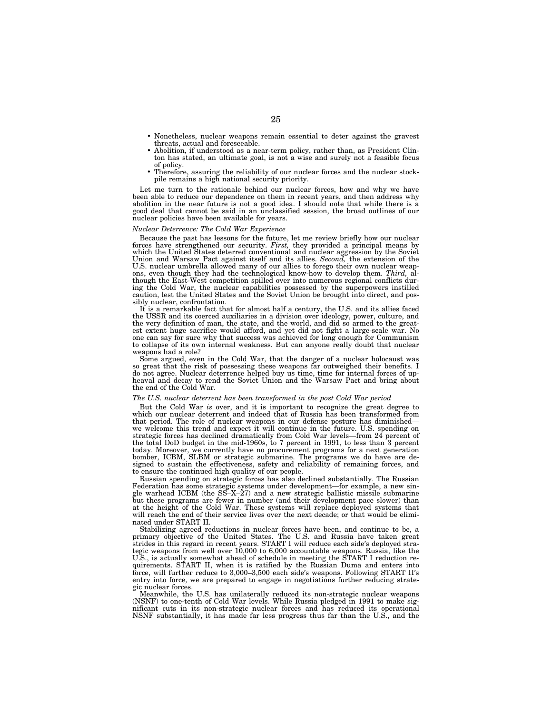- Nonetheless, nuclear weapons remain essential to deter against the gravest
- threats, actual and foreseeable. Abolition, if understood as a near-term policy, rather than, as President Clinton has stated, an ultimate goal, is not a wise and surely not a feasible focus of policy. • Therefore, assuring the reliability of our nuclear forces and the nuclear stock-
- pile remains a high national security priority.

Let me turn to the rationale behind our nuclear forces, how and why we have been able to reduce our dependence on them in recent years, and then address why abolition in the near future is not a good idea. I should note that while there is a good deal that cannot be said in an unclassified session, the broad outlines of our nuclear policies have been available for years.

## *Nuclear Deterrence: The Cold War Experience*

Because the past has lessons for the future, let me review briefly how our nuclear forces have strengthened our security. *First,* they provided a principal means by which the United States deterred conventional and nuclear aggression by the Soviet Union and Warsaw Pact against itself and its allies. *Second,* the extension of the U.S. nuclear umbrella allowed many of our allies to forego their own nuclear weapons, even though they had the technological know-how to develop them. *Third,* although the East-West competition spilled over into numerous regional conflicts during the Cold War, the nuclear capabilities possessed by the superpowers instilled caution, lest the United States and the Soviet Union be brought into direct, and possibly nuclear, confrontation.

It is a remarkable fact that for almost half a century, the U.S. and its allies faced the USSR and its coerced auxiliaries in a division over ideology, power, culture, and the very definition of man, the state, and the world, and did so armed to the greatest extent huge sacrifice would afford, and yet did not fight a large-scale war. No one can say for sure why that success was achieved for long enough for Communism to collapse of its own internal weakness. But can anyone really doubt that nuclear weapons had a role?

Some argued, even in the Cold War, that the danger of a nuclear holocaust was so great that the risk of possessing these weapons far outweighed their benefits. I do not agree. Nuclear deterrence helped buy us time, time for internal forces of up-heaval and decay to rend the Soviet Union and the Warsaw Pact and bring about the end of the Cold War.

## *The U.S. nuclear deterrent has been transformed in the post Cold War period*

But the Cold War *is* over, and it is important to recognize the great degree to which our nuclear deterrent and indeed that of Russia has been transformed from that period. The role of nuclear weapons in our defense posture has diminished we welcome this trend and expect it will continue in the future. U.S. spending on strategic forces has declined dramatically from Cold War levels—from 24 percent of the total DoD budget in the mid-1960s, to 7 percent in 1991, to less than 3 percent today. Moreover, we currently have no procurement programs for a next generation bomber, ICBM, SLBM or strategic submarine. The programs we do have are designed to sustain the effectiveness, safety and reliability of remaining forces, and to ensure the continued high quality of our people.

Russian spending on strategic forces has also declined substantially. The Russian Federation has some strategic systems under development—for example, a new single warhead ICBM (the SS–X–27) and a new strategic ballistic missile submarine but these programs are fewer in number (and their development pace slower) than at the height of the Cold War. These systems will replace deployed systems that will reach the end of their service lives over the next decade; or that would be eliminated under START II.

Stabilizing agreed reductions in nuclear forces have been, and continue to be, a primary objective of the United States. The U.S. and Russia have taken great strides in this regard in recent years. START I will reduce each side's deployed strategic weapons from well over 10,000 to 6,000 accountable weapons. Russia, like the U.S., is actually somewhat ahead of schedule in meeting the START I reduction requirements. START II, when it is ratified by the Russian Duma and enters into force, will further reduce to 3,000–3,500 each side's weapons. Following START II's entry into force, we are prepared to engage in negotiations further reducing strategic nuclear forces.

Meanwhile, the U.S. has unilaterally reduced its non-strategic nuclear weapons (NSNF) to one-tenth of Cold War levels. While Russia pledged in 1991 to make significant cuts in its non-strategic nuclear forces and has reduced its operational NSNF substantially, it has made far less progress thus far than the U.S., and the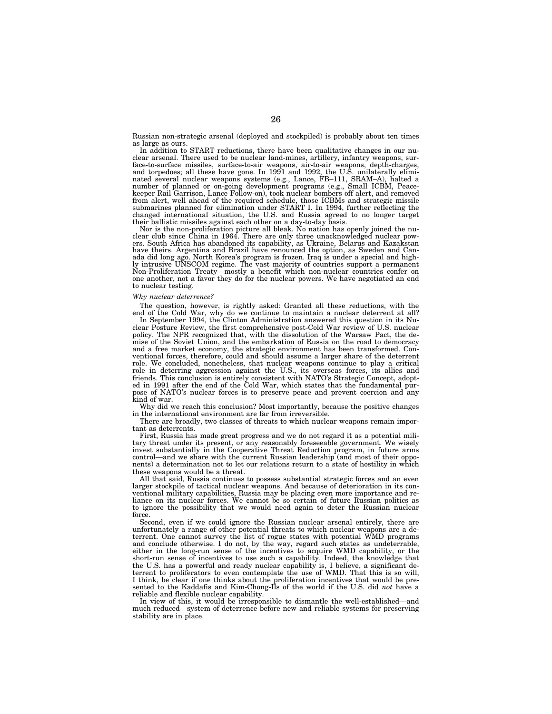Russian non-strategic arsenal (deployed and stockpiled) is probably about ten times as large as ours.

In addition to START reductions, there have been qualitative changes in our nuclear arsenal. There used to be nuclear land-mines, artillery, infantry weapons, sur-face-to-surface missiles, surface-to-air weapons, air-to-air weapons, depth-charges, and torpedoes; all these have gone. In 1991 and 1992, the U.S. unilaterally eliminated several nuclear weapons systems (e.g., Lance, FB–111, SRAM–A), halted a<br>number of planned or on-going development programs (e.g., Small ICBM, Peace-<br>keeper Rail Garrison, Lance Follow-on), took nuclear bombers off al from alert, well ahead of the required schedule, those ICBMs and strategic missile submarines planned for elimination under START I. In 1994, further reflecting the changed international situation, the U.S. and Russia agreed to no longer target their ballistic missiles against each other on a day-to-day basis.

Nor is the non-proliferation picture all bleak. No nation has openly joined the nu-clear club since China in 1964. There are only three unacknowledged nuclear powers. South Africa has abandoned its capability, as Ukraine, Belarus and Kazakstan have theirs. Argentina and Brazil have renounced the option, as Sweden and Canada did long ago. North Korea's program is frozen. Iraq is under a special and highly intrusive UNSCOM regime. The vast majority of countries support a permanent<br>Non-Proliferation Treaty—mostly a benefit which non-nuclear countries confer on<br>one another, not a favor they do for the nuclear powers. We hav to nuclear testing.

## *Why nuclear deterrence?*

The question, however, is rightly asked: Granted all these reductions, with the end of the Cold War, why do we continue to maintain a nuclear deterrent at all?

In September 1994, the Clinton Administration answered this question in its Nuclear Posture Review, the first comprehensive post-Cold War review of U.S. nuclear policy. The NPR recognized that, with the dissolution of the Warsaw Pact, the demise of the Soviet Union, and the embarkation of Russia on the road to democracy and a free market economy, the strategic environment has been transformed. Conventional forces, therefore, could and should assume a larger share of the deterrent role. We concluded, nonetheless, that nuclear weapons continue to play a critical role in deterring aggression against the U.S., its overseas forces, its allies and friends. This conclusion is entirely consistent with NATO's Strategic Concept, adopted in 1991 after the end of the Cold War, which states that the fundamental purpose of NATO's nuclear forces is to preserve peace and prevent coercion and any kind of war.

Why did we reach this conclusion? Most importantly, because the positive changes in the international environment are far from irreversible.

There are broadly, two classes of threats to which nuclear weapons remain important as deterrents.

First, Russia has made great progress and we do not regard it as a potential military threat under its present, or any reasonably foreseeable government. We wisely invest substantially in the Cooperative Threat Reduction program, in future arms control—and we share with the current Russian leadership (and most of their opponents) a determination not to let our relations return to a state of hostility in which these weapons would be a threat.

All that said, Russia continues to possess substantial strategic forces and an even larger stockpile of tactical nuclear weapons. And because of deterioration in its conventional military capabilities, Russia may be placing even more importance and reliance on its nuclear forces. We cannot be so certain of future Russian politics as to ignore the possibility that we would need again to deter the Russian nuclear force.

Second, even if we could ignore the Russian nuclear arsenal entirely, there are unfortunately a range of other potential threats to which nuclear weapons are a deterrent. One cannot survey the list of rogue states with potential WMD programs and conclude otherwise. I do not, by the way, regard such states as undeterrable, either in the long-run sense of the incentives to acquire WMD capability, or the short-run sense of incentives to use such a capability. Indeed, the knowledge that the U.S. has a powerful and ready nuclear capability is, I believe, a significant deterrent to proliferators to even contemplate the use of WMD. That this is so will, I think, be clear if one thinks about the proliferation incentives that would be presented to the Kaddafis and Kim-Chong-Ils of the world if the U.S. did *not* have a reliable and flexible nuclear capability.

In view of this, it would be irresponsible to dismantle the well-established—and much reduced—system of deterrence before new and reliable systems for preserving stability are in place.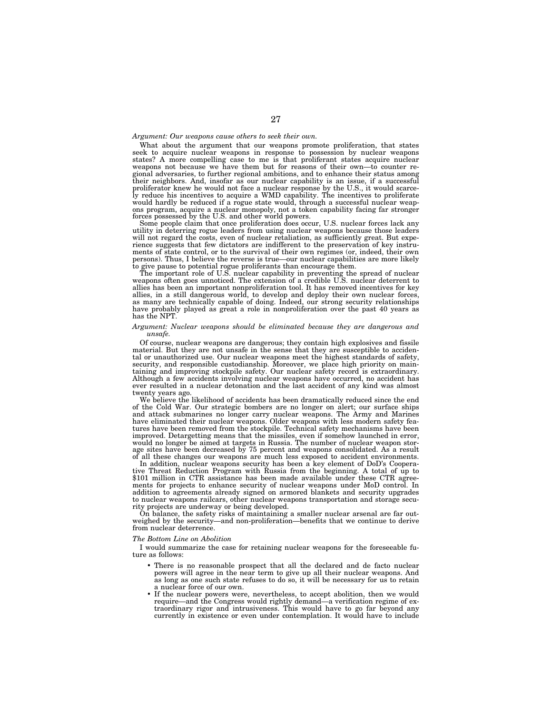### *Argument: Our weapons cause others to seek their own.*

What about the argument that our weapons promote proliferation, that states seek to acquire nuclear weapons in response to possession by nuclear weapons states? A more compelling case to me is that proliferant states acquire nuclear weapons not because we have them but for reasons of their own—to counter regional adversaries, to further regional ambitions, and to enhance their status among their neighbors. And, insofar as our nuclear capability is an issue, if a successful proliferator knew he would not face a nuclear response by the U.S., it would scarce-ly reduce his incentives to acquire a WMD capability. The incentives to proliferate would hardly be reduced if a rogue state would, through a successful nuclear weapons program, acquire a nuclear monopoly, not a token capability facing far stronger

forces possessed by the U.S. and other world powers. Some people claim that once proliferation does occur, U.S. nuclear forces lack any utility in deterring rogue leaders from using nuclear weapons because those leaders will not regard the costs, even of nuclear retaliation, as sufficiently great. But experience suggests that few dictators are indifferent to the preservation of key instruments of state control, or to the survival of their own regimes (or, indeed, their own persons). Thus, I believe the reverse is true—our nuclear capabilities are more likely

to give pause to potential rogue proliferants than encourage them. The important role of U.S. nuclear capability in preventing the spread of nuclear weapons often goes unnoticed. The extension of a credible U.S. nuclear deterrent to allies has been an important nonproliferation tool. It has removed incentives for key allies, in a still dangerous world, to develop and deploy their own nuclear forces, as many are technically capable of doing. Indeed, our strong security relationships have probably played as great a role in nonproliferation over the past 40 years as has the NPT.

## *Argument: Nuclear weapons should be eliminated because they are dangerous and unsafe.*

Of course, nuclear weapons are dangerous; they contain high explosives and fissile material. But they are not unsafe in the sense that they are susceptible to accidental or unauthorized use. Our nuclear weapons meet the highest standards of safety, security, and responsible custodianship. Moreover, we place high priority on maintaining and improving stockpile safety. Our nuclear safety record is extraordinary. Although a few accidents involving nuclear weapons have occurred, no accident has ever resulted in a nuclear detonation and the last accident of any kind was almost twenty years ago.

We believe the likelihood of accidents has been dramatically reduced since the end of the Cold War. Our strategic bombers are no longer on alert; our surface ships and attack submarines no longer carry nuclear weapons. The Army and Marines have eliminated their nuclear weapons. Older weapons with less modern safety features have been removed from the stockpile. Technical safety mechanisms have been improved. Detargetting means that the missiles, even if somehow launched in error, would no longer be aimed at targets in Russia. The number of nuclear weapon storage sites have been decreased by 75 percent and weapons consolidated. As a result of all these changes our weapons are much less exposed to accident environments.

In addition, nuclear weapons security has been a key element of DoD's Cooperative Threat Reduction Program with Russia from the beginning. A total of up to \$101 million in CTR assistance has been made available under these CTR agreements for projects to enhance security of nuclear weapons under MoD control. In addition to agreements already signed on armored blankets and security upgrades to nuclear weapons railcars, other nuclear weapons transportation and storage security projects are underway or being developed.

On balance, the safety risks of maintaining a smaller nuclear arsenal are far outweighed by the security—and non-proliferation—benefits that we continue to derive from nuclear deterrence.

## *The Bottom Line on Abolition*

I would summarize the case for retaining nuclear weapons for the foreseeable future as follows:

- There is no reasonable prospect that all the declared and de facto nuclear powers will agree in the near term to give up all their nuclear weapons. And as long as one such state refuses to do so, it will be necessary for us to retain a nuclear force of our own.
- If the nuclear powers were, nevertheless, to accept abolition, then we would require—and the Congress would rightly demand—a verification regime of extraordinary rigor and intrusiveness. This would have to go far beyond any currently in existence or even under contemplation. It would have to include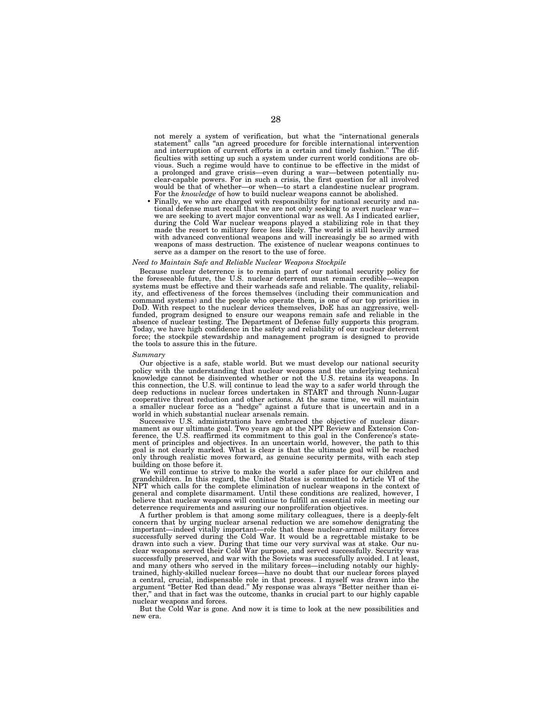not merely a system of verification, but what the ''international generals statement<sup>"</sup> calls "an agreed procedure for forcible international intervention and interruption of current efforts in a certain and timely fashion.'' The difficulties with setting up such a system under current world conditions are obvious. Such a regime would have to continue to be effective in the midst of a prolonged and grave crisis—even during a war—between potentially nuclear-capable powers. For in such a crisis, the first question for all involved would be that of whether—or when—to start a clandestine nuclear program. For the *knowledge* of how to build nuclear weapons cannot be abolished.

• Finally, we who are charged with responsibility for national security and national defense must recall that we are not only seeking to avert nuclear war we are seeking to avert major conventional war as well. As I indicated earlier, during the Cold War nuclear weapons played a stabilizing role in that they made the resort to military force less likely. The world is still heavily armed with advanced conventional weapons and will increasingly be so armed with weapons of mass destruction. The existence of nuclear weapons continues to serve as a damper on the resort to the use of force.

## *Need to Maintain Safe and Reliable Nuclear Weapons Stockpile*

Because nuclear deterrence is to remain part of our national security policy for the foreseeable future, the U.S. nuclear deterrent must remain credible—weapon systems must be effective and their warheads safe and reliable. The quality, reliability, and effectiveness of the forces themselves (including their communication and command systems) and the people who operate them, is one of our top priorities in DoD. With respect to the nuclear devices themselves, DoE has an aggressive, wellfunded, program designed to ensure our weapons remain safe and reliable in the absence of nuclear testing. The Department of Defense fully supports this program. Today, we have high confidence in the safety and reliability of our nuclear deterrent force; the stockpile stewardship and management program is designed to provide the tools to assure this in the future.

### *Summary*

Our objective is a safe, stable world. But we must develop our national security policy with the understanding that nuclear weapons and the underlying technical knowledge cannot be disinvented whether or not the U.S. retains its weapons. In this connection, the U.S. will continue to lead the way to a safer world through the deep reductions in nuclear forces undertaken in START and through Nunn-Lugar cooperative threat reduction and other actions. At the same time, we will maintain a smaller nuclear force as a ''hedge'' against a future that is uncertain and in a world in which substantial nuclear arsenals remain.

Successive U.S. administrations have embraced the objective of nuclear disarmament as our ultimate goal. Two years ago at the NPT Review and Extension Conference, the U.S. reaffirmed its commitment to this goal in the Conference's statement of principles and objectives. In an uncertain world, however, the path to this goal is not clearly marked. What is clear is that the ultimate goal will be reached only through realistic moves forward, as genuine security permits, with each step building on those before it.

We will continue to strive to make the world a safer place for our children and grandchildren. In this regard, the United States is committed to Article VI of the NPT which calls for the complete elimination of nuclear weapons in the context of general and complete disarmament. Until these conditions are realized, however, I believe that nuclear weapons will continue to fulfill an essential role in meeting our deterrence requirements and assuring our nonproliferation objectives.

A further problem is that among some military colleagues, there is a deeply-felt concern that by urging nuclear arsenal reduction we are somehow denigrating the important—indeed vitally important—role that these nuclear-armed military forces successfully served during the Cold War. It would be a regrettable mistake to be drawn into such a view. During that time our very survival was at stake. Our nuclear weapons served their Cold War purpose, and served successfully. Security was successfully preserved, and war with the Soviets was successfully avoided. I at least, and many others who served in the military forces—including notably our highlytrained, highly-skilled nuclear forces—have no doubt that our nuclear forces played a central, crucial, indispensable role in that process. I myself was drawn into the argument ''Better Red than dead.'' My response was always ''Better neither than either,'' and that in fact was the outcome, thanks in crucial part to our highly capable nuclear weapons and forces.

But the Cold War is gone. And now it is time to look at the new possibilities and new era.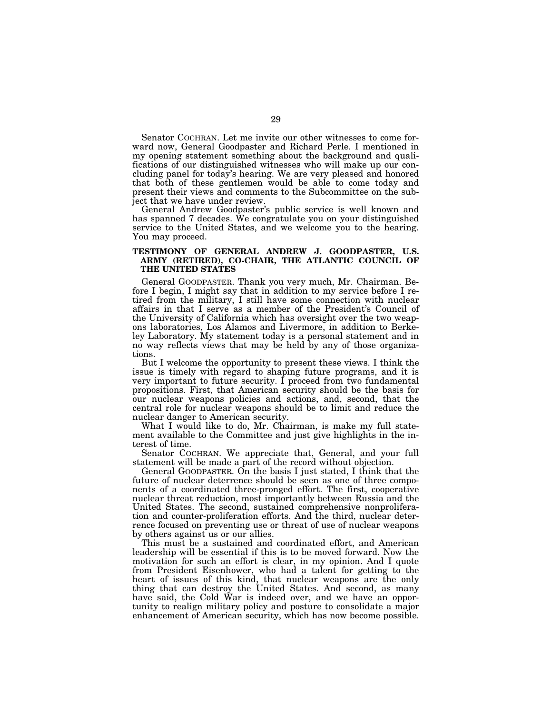Senator COCHRAN. Let me invite our other witnesses to come forward now, General Goodpaster and Richard Perle. I mentioned in my opening statement something about the background and qualifications of our distinguished witnesses who will make up our concluding panel for today's hearing. We are very pleased and honored that both of these gentlemen would be able to come today and present their views and comments to the Subcommittee on the subject that we have under review.

General Andrew Goodpaster's public service is well known and has spanned 7 decades. We congratulate you on your distinguished service to the United States, and we welcome you to the hearing. You may proceed.

## **TESTIMONY OF GENERAL ANDREW J. GOODPASTER, U.S. ARMY (RETIRED), CO-CHAIR, THE ATLANTIC COUNCIL OF THE UNITED STATES**

General GOODPASTER. Thank you very much, Mr. Chairman. Before I begin, I might say that in addition to my service before I retired from the military, I still have some connection with nuclear affairs in that I serve as a member of the President's Council of the University of California which has oversight over the two weapons laboratories, Los Alamos and Livermore, in addition to Berkeley Laboratory. My statement today is a personal statement and in no way reflects views that may be held by any of those organizations.

But I welcome the opportunity to present these views. I think the issue is timely with regard to shaping future programs, and it is very important to future security. I proceed from two fundamental propositions. First, that American security should be the basis for our nuclear weapons policies and actions, and, second, that the central role for nuclear weapons should be to limit and reduce the nuclear danger to American security.

What I would like to do, Mr. Chairman, is make my full statement available to the Committee and just give highlights in the interest of time.

Senator COCHRAN. We appreciate that, General, and your full statement will be made a part of the record without objection.

General GOODPASTER. On the basis I just stated, I think that the future of nuclear deterrence should be seen as one of three components of a coordinated three-pronged effort. The first, cooperative nuclear threat reduction, most importantly between Russia and the United States. The second, sustained comprehensive nonproliferation and counter-proliferation efforts. And the third, nuclear deterrence focused on preventing use or threat of use of nuclear weapons by others against us or our allies.

This must be a sustained and coordinated effort, and American leadership will be essential if this is to be moved forward. Now the motivation for such an effort is clear, in my opinion. And I quote from President Eisenhower, who had a talent for getting to the heart of issues of this kind, that nuclear weapons are the only thing that can destroy the United States. And second, as many have said, the Cold War is indeed over, and we have an opportunity to realign military policy and posture to consolidate a major enhancement of American security, which has now become possible.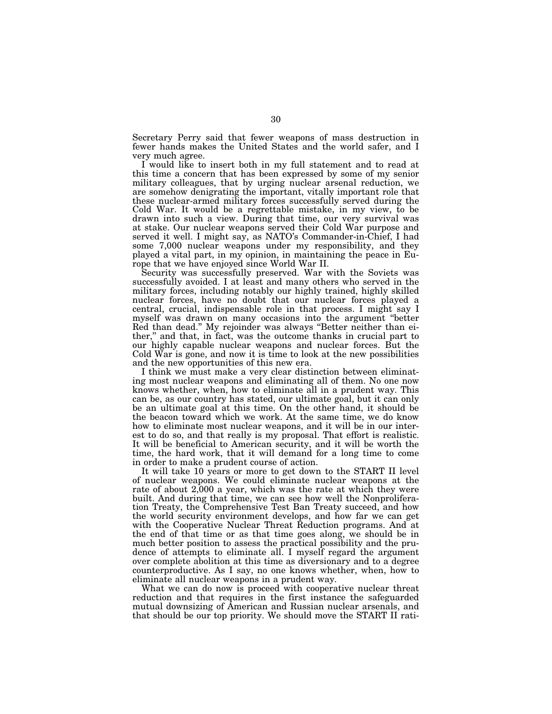Secretary Perry said that fewer weapons of mass destruction in fewer hands makes the United States and the world safer, and I very much agree.

I would like to insert both in my full statement and to read at this time a concern that has been expressed by some of my senior military colleagues, that by urging nuclear arsenal reduction, we are somehow denigrating the important, vitally important role that these nuclear-armed military forces successfully served during the Cold War. It would be a regrettable mistake, in my view, to be drawn into such a view. During that time, our very survival was at stake. Our nuclear weapons served their Cold War purpose and served it well. I might say, as NATO's Commander-in-Chief, I had some 7,000 nuclear weapons under my responsibility, and they played a vital part, in my opinion, in maintaining the peace in Europe that we have enjoyed since World War II.

Security was successfully preserved. War with the Soviets was successfully avoided. I at least and many others who served in the military forces, including notably our highly trained, highly skilled nuclear forces, have no doubt that our nuclear forces played a central, crucial, indispensable role in that process. I might say I myself was drawn on many occasions into the argument ''better Red than dead.'' My rejoinder was always ''Better neither than either,'' and that, in fact, was the outcome thanks in crucial part to our highly capable nuclear weapons and nuclear forces. But the Cold War is gone, and now it is time to look at the new possibilities and the new opportunities of this new era.

I think we must make a very clear distinction between eliminating most nuclear weapons and eliminating all of them. No one now knows whether, when, how to eliminate all in a prudent way. This can be, as our country has stated, our ultimate goal, but it can only be an ultimate goal at this time. On the other hand, it should be the beacon toward which we work. At the same time, we do know how to eliminate most nuclear weapons, and it will be in our interest to do so, and that really is my proposal. That effort is realistic. It will be beneficial to American security, and it will be worth the time, the hard work, that it will demand for a long time to come in order to make a prudent course of action.

It will take 10 years or more to get down to the START II level of nuclear weapons. We could eliminate nuclear weapons at the rate of about 2,000 a year, which was the rate at which they were built. And during that time, we can see how well the Nonproliferation Treaty, the Comprehensive Test Ban Treaty succeed, and how the world security environment develops, and how far we can get with the Cooperative Nuclear Threat Reduction programs. And at the end of that time or as that time goes along, we should be in much better position to assess the practical possibility and the prudence of attempts to eliminate all. I myself regard the argument over complete abolition at this time as diversionary and to a degree counterproductive. As I say, no one knows whether, when, how to eliminate all nuclear weapons in a prudent way.

What we can do now is proceed with cooperative nuclear threat reduction and that requires in the first instance the safeguarded mutual downsizing of American and Russian nuclear arsenals, and that should be our top priority. We should move the START II rati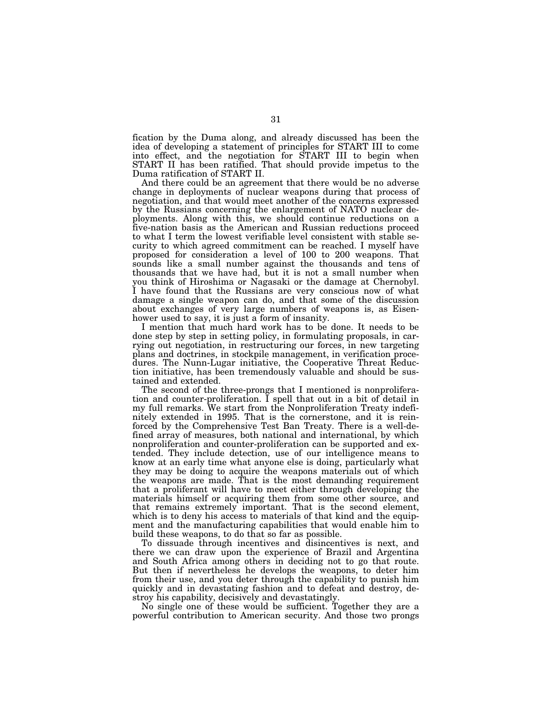fication by the Duma along, and already discussed has been the idea of developing a statement of principles for START III to come into effect, and the negotiation for START III to begin when START II has been ratified. That should provide impetus to the Duma ratification of START II.

And there could be an agreement that there would be no adverse change in deployments of nuclear weapons during that process of negotiation, and that would meet another of the concerns expressed by the Russians concerning the enlargement of NATO nuclear deployments. Along with this, we should continue reductions on a five-nation basis as the American and Russian reductions proceed to what I term the lowest verifiable level consistent with stable security to which agreed commitment can be reached. I myself have proposed for consideration a level of 100 to 200 weapons. That sounds like a small number against the thousands and tens of thousands that we have had, but it is not a small number when you think of Hiroshima or Nagasaki or the damage at Chernobyl. I have found that the Russians are very conscious now of what damage a single weapon can do, and that some of the discussion about exchanges of very large numbers of weapons is, as Eisenhower used to say, it is just a form of insanity.

I mention that much hard work has to be done. It needs to be done step by step in setting policy, in formulating proposals, in carrying out negotiation, in restructuring our forces, in new targeting plans and doctrines, in stockpile management, in verification procedures. The Nunn-Lugar initiative, the Cooperative Threat Reduction initiative, has been tremendously valuable and should be sustained and extended.

The second of the three-prongs that I mentioned is nonproliferation and counter-proliferation. I spell that out in a bit of detail in my full remarks. We start from the Nonproliferation Treaty indefinitely extended in 1995. That is the cornerstone, and it is reinforced by the Comprehensive Test Ban Treaty. There is a well-defined array of measures, both national and international, by which nonproliferation and counter-proliferation can be supported and extended. They include detection, use of our intelligence means to know at an early time what anyone else is doing, particularly what they may be doing to acquire the weapons materials out of which the weapons are made. That is the most demanding requirement that a proliferant will have to meet either through developing the materials himself or acquiring them from some other source, and that remains extremely important. That is the second element, which is to deny his access to materials of that kind and the equipment and the manufacturing capabilities that would enable him to build these weapons, to do that so far as possible.

To dissuade through incentives and disincentives is next, and there we can draw upon the experience of Brazil and Argentina and South Africa among others in deciding not to go that route. But then if nevertheless he develops the weapons, to deter him from their use, and you deter through the capability to punish him quickly and in devastating fashion and to defeat and destroy, destroy his capability, decisively and devastatingly.

No single one of these would be sufficient. Together they are a powerful contribution to American security. And those two prongs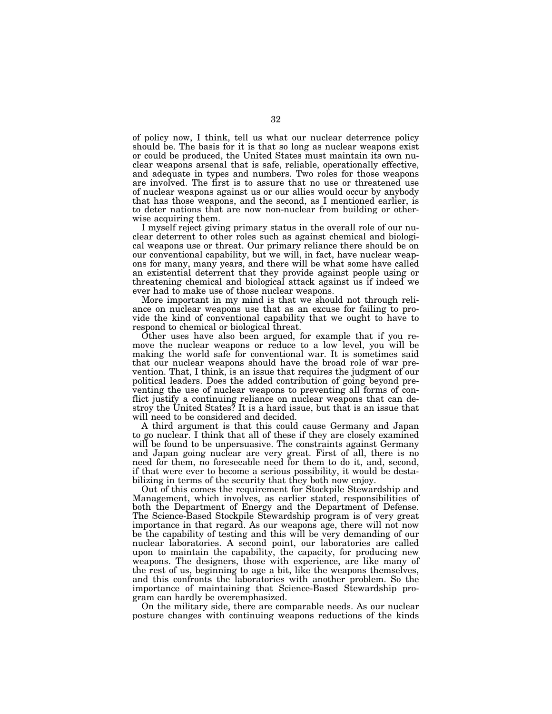of policy now, I think, tell us what our nuclear deterrence policy should be. The basis for it is that so long as nuclear weapons exist or could be produced, the United States must maintain its own nuclear weapons arsenal that is safe, reliable, operationally effective, and adequate in types and numbers. Two roles for those weapons are involved. The first is to assure that no use or threatened use of nuclear weapons against us or our allies would occur by anybody that has those weapons, and the second, as I mentioned earlier, is to deter nations that are now non-nuclear from building or otherwise acquiring them.

I myself reject giving primary status in the overall role of our nuclear deterrent to other roles such as against chemical and biological weapons use or threat. Our primary reliance there should be on our conventional capability, but we will, in fact, have nuclear weapons for many, many years, and there will be what some have called an existential deterrent that they provide against people using or threatening chemical and biological attack against us if indeed we ever had to make use of those nuclear weapons.

More important in my mind is that we should not through reliance on nuclear weapons use that as an excuse for failing to provide the kind of conventional capability that we ought to have to respond to chemical or biological threat.

Other uses have also been argued, for example that if you remove the nuclear weapons or reduce to a low level, you will be making the world safe for conventional war. It is sometimes said that our nuclear weapons should have the broad role of war prevention. That, I think, is an issue that requires the judgment of our political leaders. Does the added contribution of going beyond preventing the use of nuclear weapons to preventing all forms of conflict justify a continuing reliance on nuclear weapons that can destroy the United States? It is a hard issue, but that is an issue that will need to be considered and decided.

A third argument is that this could cause Germany and Japan to go nuclear. I think that all of these if they are closely examined will be found to be unpersuasive. The constraints against Germany and Japan going nuclear are very great. First of all, there is no need for them, no foreseeable need for them to do it, and, second, if that were ever to become a serious possibility, it would be destabilizing in terms of the security that they both now enjoy.

Out of this comes the requirement for Stockpile Stewardship and Management, which involves, as earlier stated, responsibilities of both the Department of Energy and the Department of Defense. The Science-Based Stockpile Stewardship program is of very great importance in that regard. As our weapons age, there will not now be the capability of testing and this will be very demanding of our nuclear laboratories. A second point, our laboratories are called upon to maintain the capability, the capacity, for producing new weapons. The designers, those with experience, are like many of the rest of us, beginning to age a bit, like the weapons themselves, and this confronts the laboratories with another problem. So the importance of maintaining that Science-Based Stewardship program can hardly be overemphasized.

On the military side, there are comparable needs. As our nuclear posture changes with continuing weapons reductions of the kinds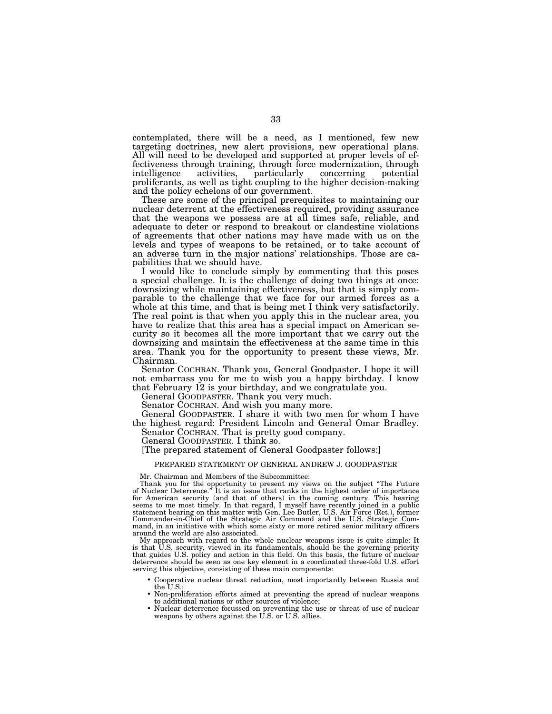contemplated, there will be a need, as I mentioned, few new targeting doctrines, new alert provisions, new operational plans. All will need to be developed and supported at proper levels of effectiveness through training, through force modernization, through intelligence activities, particularly concerning potential proliferants, as well as tight coupling to the higher decision-making and the policy echelons of our government.

These are some of the principal prerequisites to maintaining our nuclear deterrent at the effectiveness required, providing assurance that the weapons we possess are at all times safe, reliable, and adequate to deter or respond to breakout or clandestine violations of agreements that other nations may have made with us on the levels and types of weapons to be retained, or to take account of an adverse turn in the major nations' relationships. Those are capabilities that we should have.

I would like to conclude simply by commenting that this poses a special challenge. It is the challenge of doing two things at once: downsizing while maintaining effectiveness, but that is simply comparable to the challenge that we face for our armed forces as a whole at this time, and that is being met I think very satisfactorily. The real point is that when you apply this in the nuclear area, you have to realize that this area has a special impact on American security so it becomes all the more important that we carry out the downsizing and maintain the effectiveness at the same time in this area. Thank you for the opportunity to present these views, Mr. Chairman.

Senator COCHRAN. Thank you, General Goodpaster. I hope it will not embarrass you for me to wish you a happy birthday. I know that February 12 is your birthday, and we congratulate you.

General GOODPASTER. Thank you very much.

Senator COCHRAN. And wish you many more.

General GOODPASTER. I share it with two men for whom I have

the highest regard: President Lincoln and General Omar Bradley. Senator COCHRAN. That is pretty good company.

General GOODPASTER. I think so.

[The prepared statement of General Goodpaster follows:]

## PREPARED STATEMENT OF GENERAL ANDREW J. GOODPASTER

Mr. Chairman and Members of the Subcommittee:

Thank you for the opportunity to present my views on the subject "The Future<br>of Nuclear Deterrence." It is an issue that ranks in the highest order of importance<br>for American security (and that of others) in the coming cen seems to me most timely. In that regard, I myself have recently joined in a public statement bearing on this matter with Gen. Lee Butler, U.S. Air Force (Ret.), former Commander-in-Chief of the Strategic Air Command and the U.S. Strategic Command, in an initiative with which some sixty or more retired senior military officers around the world are also associated.

My approach with regard to the whole nuclear weapons issue is quite simple: It is that U.S. security, viewed in its fundamentals, should be the governing priority that guides U.S. policy and action in this field. On this basis, the future of nuclear deterrence should be seen as one key element in a coordinated three-fold U.S. effort serving this objective, consisting of these main components:

- Cooperative nuclear threat reduction, most importantly between Russia and the U.S.;
- Non-proliferation efforts aimed at preventing the spread of nuclear weapons to additional nations or other sources of violence;
- Nuclear deterrence focussed on preventing the use or threat of use of nuclear weapons by others against the U.S. or U.S. allies.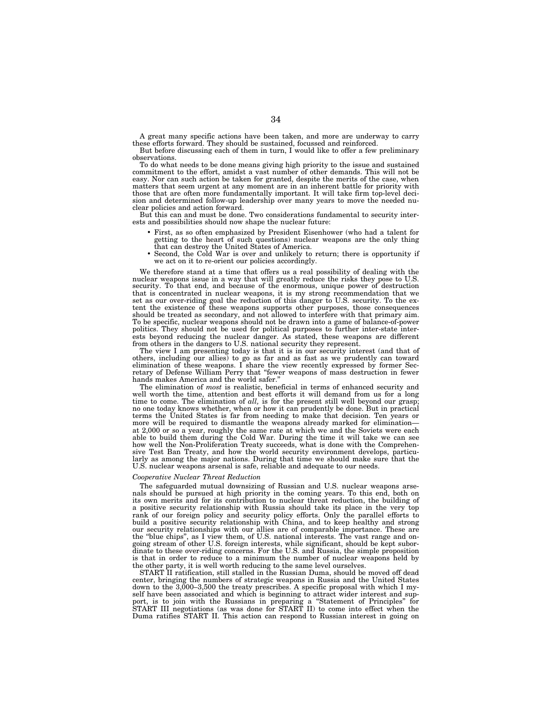A great many specific actions have been taken, and more are underway to carry these efforts forward. They should be sustained, focussed and reinforced.

But before discussing each of them in turn, I would like to offer a few preliminary observations.

To do what needs to be done means giving high priority to the issue and sustained commitment to the effort, amidst a vast number of other demands. This will not be easy. Nor can such action be taken for granted, despite the merits of the case, when matters that seem urgent at any moment are in an inherent battle for priority with those that are often more fundamentally important. It will take firm top-level decision and determined follow-up leadership over many years to move the needed nuclear policies and action forward.

But this can and must be done. Two considerations fundamental to security interests and possibilities should now shape the nuclear future:

- First, as so often emphasized by President Eisenhower (who had a talent for getting to the heart of such questions) nuclear weapons are the only thing that can destroy the United States of America.
- Second, the Cold War is over and unlikely to return; there is opportunity if we act on it to re-orient our policies accordingly.

We therefore stand at a time that offers us a real possibility of dealing with the nuclear weapons issue in a way that will greatly reduce the risks they pose to U.S. security. To that end, and because of the enormous, unique power of destruction that is concentrated in nuclear weapons, it is my strong recommendation that we set as our over-riding goal the reduction of this danger to U.S. security. To the extent the existence of these weapons supports other purposes, those consequences should be treated as secondary, and not allowed to interfere with that primary aim. To be specific, nuclear weapons should not be drawn into a game of balance-of-power politics. They should not be used for political purposes to further inter-state interests beyond reducing the nuclear danger. As stated, these weapons are different from others in the dangers to U.S. national security they represent.

The view I am presenting today is that it is in our security interest (and that of others, including our allies) to go as far and as fast as we prudently can toward elimination of these weapons. I share the view recently expressed by former Secretary of Defense William Perry that ''fewer weapons of mass destruction in fewer hands makes America and the world safer.''

The elimination of *most* is realistic, beneficial in terms of enhanced security and well worth the time, attention and best efforts it will demand from us for a long time to come. The elimination of *all,* is for the present still well beyond our grasp; no one today knows whether, when or how it can prudently be done. But in practical terms the United States is far from needing to make that decision. Ten years or more will be required to dismantle the weapons already marked for elimination at 2,000 or so a year, roughly the same rate at which we and the Soviets were each able to build them during the Cold War. During the time it will take we can see how well the Non-Proliferation Treaty succeeds, what is done with the Comprehensive Test Ban Treaty, and how the world security environment develops, particularly as among the major nations. During that time we should make sure that the U.S. nuclear weapons arsenal is safe, reliable and adequate to our needs.

## *Cooperative Nuclear Threat Reduction*

The safeguarded mutual downsizing of Russian and U.S. nuclear weapons arsenals should be pursued at high priority in the coming years. To this end, both on its own merits and for its contribution to nuclear threat reduction, the building of a positive security relationship with Russia should take its place in the very top rank of our foreign policy and security policy efforts. Only the parallel efforts to build a positive security relationship with China, and to keep healthy and strong our security relationships with our allies are of comparable importance. These are the "blue chips", as I view them, of U.S. national interests. The vast range and ongoing stream of other U.S. foreign interests, while significant, should be kept subordinate to these over-riding concerns. For the U.S. and Russia, the simple proposition is that in order to reduce to a minimum the number of nuclear weapons held by the other party, it is well worth reducing to the same level ourselves.

START II ratification, still stalled in the Russian Duma, should be moved off dead center, bringing the numbers of strategic weapons in Russia and the United States down to the 3,000–3,500 the treaty prescribes. A specific proposal with which I myself have been associated and which is beginning to attract wider interest and support, is to join with the Russians in preparing a ''Statement of Principles'' for START III negotiations (as was done for START II) to come into effect when the Duma ratifies START II. This action can respond to Russian interest in going on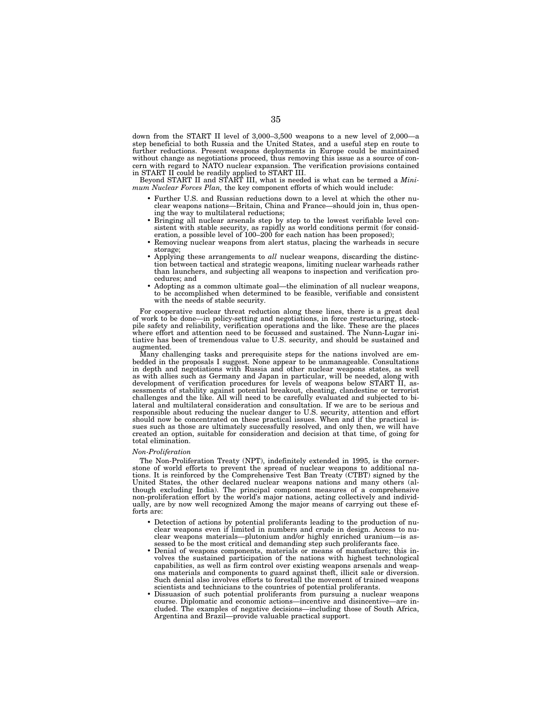down from the START II level of 3,000–3,500 weapons to a new level of 2,000—a step beneficial to both Russia and the United States, and a useful step en route to further reductions. Present weapons deployments in Europe could be maintained without change as negotiations proceed, thus removing this issue as a source of concern with regard to NATO nuclear expansion. The verification provisions contained in START II could be readily applied to START III.

Beyond START II and START III, what is needed is what can be termed a *Minimum Nuclear Forces Plan,* the key component efforts of which would include:

- Further U.S. and Russian reductions down to a level at which the other nuclear weapons nations—Britain, China and France—should join in, thus opening the way to multilateral reductions;
- Bringing all nuclear arsenals step by step to the lowest verifiable level consistent with stable security, as rapidly as world conditions permit (for consideration, a possible level of 100–200 for each nation has been proposed);
- Removing nuclear weapons from alert status, placing the warheads in secure storage;
- Applying these arrangements to *all* nuclear weapons, discarding the distinction between tactical and strategic weapons, limiting nuclear warheads rather than launchers, and subjecting all weapons to inspection and verification procedures; and
- Adopting as a common ultimate goal—the elimination of all nuclear weapons, to be accomplished when determined to be feasible, verifiable and consistent with the needs of stable security.

For cooperative nuclear threat reduction along these lines, there is a great deal of work to be done—in policy-setting and negotiations, in force restructuring, stockpile safety and reliability, verification operations and the like. These are the places where effort and attention need to be focussed and sustained. The Nunn-Lugar initiative has been of tremendous value to U.S. security, and should be sustained and augmented.

Many challenging tasks and prerequisite steps for the nations involved are embedded in the proposals I suggest. None appear to be unmanageable. Consultations in depth and negotiations with Russia and other nuclear weapons states, as well as with allies such as Germany and Japan in particular, will be needed, along with development of verification procedures for levels of weapons below START II, assessments of stability against potential breakout, cheating, clandestine or terrorist challenges and the like. All will need to be carefully evaluated and subjected to bilateral and multilateral consideration and consultation. If we are to be serious and responsible about reducing the nuclear danger to U.S. security, attention and effort should now be concentrated on these practical issues. When and if the practical issues such as those are ultimately successfully resolved, and only then, we will have created an option, suitable for consideration and decision at that time, of going for total elimination.

## *Non-Proliferation*

The Non-Proliferation Treaty (NPT), indefinitely extended in 1995, is the cornerstone of world efforts to prevent the spread of nuclear weapons to additional nations. It is reinforced by the Comprehensive Test Ban Treaty (CTBT) signed by the United States, the other declared nuclear weapons nations and many others (although excluding India). The principal component measures of a comprehensive non-proliferation effort by the world's major nations, acting collectively and individually, are by now well recognized Among the major means of carrying out these efforts are:

- Detection of actions by potential proliferants leading to the production of nuclear weapons even if limited in numbers and crude in design. Access to nuclear weapons materials—plutonium and/or highly enriched uranium—is assessed to be the most critical and demanding step such proliferants face.
- Denial of weapons components, materials or means of manufacture; this involves the sustained participation of the nations with highest technological capabilities, as well as firm control over existing weapons arsenals and weapons materials and components to guard against theft, illicit sale or diversion. Such denial also involves efforts to forestall the movement of trained weapons scientists and technicians to the countries of potential proliferants.
- Dissuasion of such potential proliferants from pursuing a nuclear weapons course. Diplomatic and economic actions—incentive and disincentive—are included. The examples of negative decisions—including those of South Africa, Argentina and Brazil—provide valuable practical support.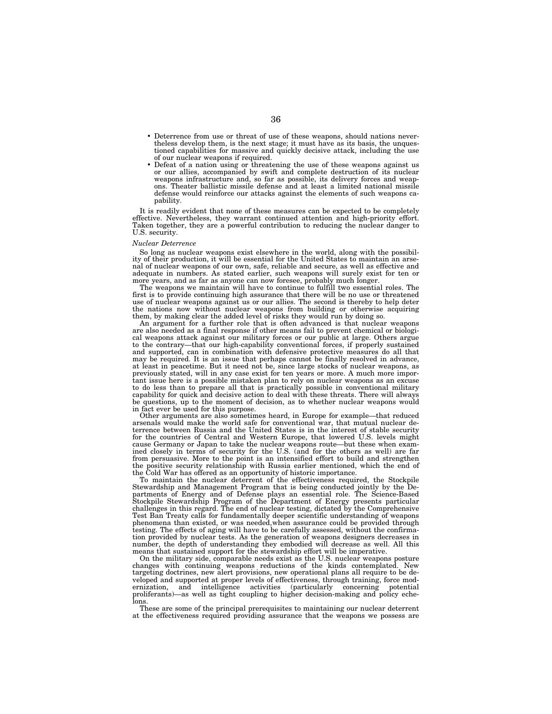- Deterrence from use or threat of use of these weapons, should nations nevertheless develop them, is the next stage; it must have as its basis, the unques-tioned capabilities for massive and quickly decisive attack, including the use of our nuclear weapons if required. • Defeat of a nation using or threatening the use of these weapons against us
- or our allies, accompanied by swift and complete destruction of its nuclear weapons infrastructure and, so far as possible, its delivery forces and weap-ons. Theater ballistic missile defense and at least a limited national missile defense would reinforce our attacks against the elements of such weapons capability.

It is readily evident that none of these measures can be expected to be completely effective. Nevertheless, they warrant continued attention and high-priority effort. Taken together, they are a powerful contribution to reducing the nuclear danger to U.S. security.

### *Nuclear Deterrence*

So long as nuclear weapons exist elsewhere in the world, along with the possibility of their production, it will be essential for the United States to maintain an arsenal of nuclear weapons of our own, safe, reliable and secure, as well as effective and adequate in numbers. As stated earlier, such weapons will surely exist for ten or more years, and as far as anyone can now foresee, probably much longer.

The weapons we maintain will have to continue to fulfill two essential roles. The first is to provide continuing high assurance that there will be no use or threatened use of nuclear weapons against us or our allies. The second is thereby to help deter the nations now without nuclear weapons from building or otherwise acquiring them, by making clear the added level of risks they would run by doing so.

An argument for a further role that is often advanced is that nuclear weapons are also needed as a final response if other means fail to prevent chemical or biological weapons attack against our military forces or our public at large. Others argue to the contrary—that our high-capability conventional forces, if properly sustained and supported, can in combination with defensive protective measures do all that may be required. It is an issue that perhaps cannot be finally resolved in advance, at least in peacetime. But it need not be, since large stocks of nuclear weapons, as previously stated, will in any case exist for ten years or more. A much more important issue here is a possible mistaken plan to rely on nuclear weapons as an excuse to do less than to prepare all that is practically possible in conventional military capability for quick and decisive action to deal with these threats. There will always be questions, up to the moment of decision, as to whether nuclear weapons would in fact ever be used for this purpose.

Other arguments are also sometimes heard, in Europe for example—that reduced arsenals would make the world safe for conventional war, that mutual nuclear deterrence between Russia and the United States is in the interest of stable security for the countries of Central and Western Europe, that lowered U.S. levels might cause Germany or Japan to take the nuclear weapons route—but these when exam-ined closely in terms of security for the U.S. (and for the others as well) are far from persuasive. More to the point is an intensified effort to build and strengthen the positive security relationship with Russia earlier mentioned, which the end of the Cold War has offered as an opportunity of historic importance.

To maintain the nuclear deterrent of the effectiveness required, the Stockpile Stewardship and Management Program that is being conducted jointly by the Departments of Energy and of Defense plays an essential role. The Science-Based Stockpile Stewardship Program of the Department of Energy presents particular challenges in this regard. The end of nuclear testing, dictated by the Comprehensive Test Ban Treaty calls for fundamentally deeper scientific understanding of weapons phenomena than existed, or was needed,when assurance could be provided through testing. The effects of aging will have to be carefully assessed, without the confirmation provided by nuclear tests. As the generation of weapons designers decreases in number, the depth of understanding they embodied will decrease as well. All this means that sustained support for the stewardship effort will be imperative.

On the military side, comparable needs exist as the U.S. nuclear weapons posture changes with continuing weapons reductions of the kinds contemplated. New targeting doctrines, new alert provisions, new operational plans all require to be developed and supported at proper levels of effectiveness, through training, force modernization, and intelligence activities (particularly concerning potential proliferants)—as well as tight coupling to higher decision-making and policy echelons.

These are some of the principal prerequisites to maintaining our nuclear deterrent at the effectiveness required providing assurance that the weapons we possess are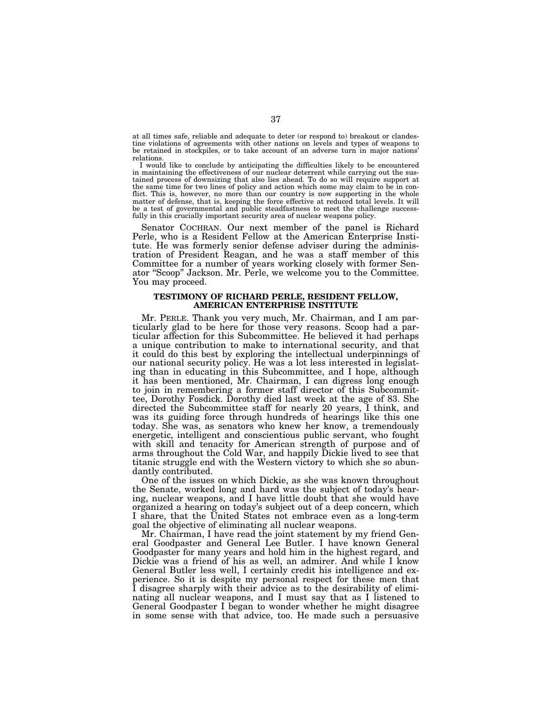at all times safe, reliable and adequate to deter (or respond to) breakout or clandestine violations of agreements with other nations on levels and types of weapons to be retained in stockpiles, or to take account of an adverse turn in major nations' relations.

I would like to conclude by anticipating the difficulties likely to be encountered in maintaining the effectiveness of our nuclear deterrent while carrying out the sustained process of downsizing that also lies ahead. To do so will require support at the same time for two lines of policy and action which some may claim to be in conflict. This is, however, no more than our country is now supporting in the whole matter of defense, that is, keeping the force effective at reduced total levels. It will be a test of governmental and public steadfastness to meet the challenge successfully in this crucially important security area of nuclear weapons policy.

Senator COCHRAN. Our next member of the panel is Richard Perle, who is a Resident Fellow at the American Enterprise Institute. He was formerly senior defense adviser during the administration of President Reagan, and he was a staff member of this Committee for a number of years working closely with former Senator ''Scoop'' Jackson. Mr. Perle, we welcome you to the Committee. You may proceed.

## **TESTIMONY OF RICHARD PERLE, RESIDENT FELLOW, AMERICAN ENTERPRISE INSTITUTE**

Mr. PERLE. Thank you very much, Mr. Chairman, and I am particularly glad to be here for those very reasons. Scoop had a particular affection for this Subcommittee. He believed it had perhaps a unique contribution to make to international security, and that it could do this best by exploring the intellectual underpinnings of our national security policy. He was a lot less interested in legislating than in educating in this Subcommittee, and I hope, although it has been mentioned, Mr. Chairman, I can digress long enough to join in remembering a former staff director of this Subcommittee, Dorothy Fosdick. Dorothy died last week at the age of 83. She directed the Subcommittee staff for nearly 20 years, I think, and was its guiding force through hundreds of hearings like this one today. She was, as senators who knew her know, a tremendously energetic, intelligent and conscientious public servant, who fought with skill and tenacity for American strength of purpose and of arms throughout the Cold War, and happily Dickie lived to see that titanic struggle end with the Western victory to which she so abundantly contributed.

One of the issues on which Dickie, as she was known throughout the Senate, worked long and hard was the subject of today's hearing, nuclear weapons, and I have little doubt that she would have organized a hearing on today's subject out of a deep concern, which I share, that the United States not embrace even as a long-term goal the objective of eliminating all nuclear weapons.

Mr. Chairman, I have read the joint statement by my friend General Goodpaster and General Lee Butler. I have known General Goodpaster for many years and hold him in the highest regard, and Dickie was a friend of his as well, an admirer. And while I know General Butler less well, I certainly credit his intelligence and experience. So it is despite my personal respect for these men that I disagree sharply with their advice as to the desirability of eliminating all nuclear weapons, and I must say that as I listened to General Goodpaster I began to wonder whether he might disagree in some sense with that advice, too. He made such a persuasive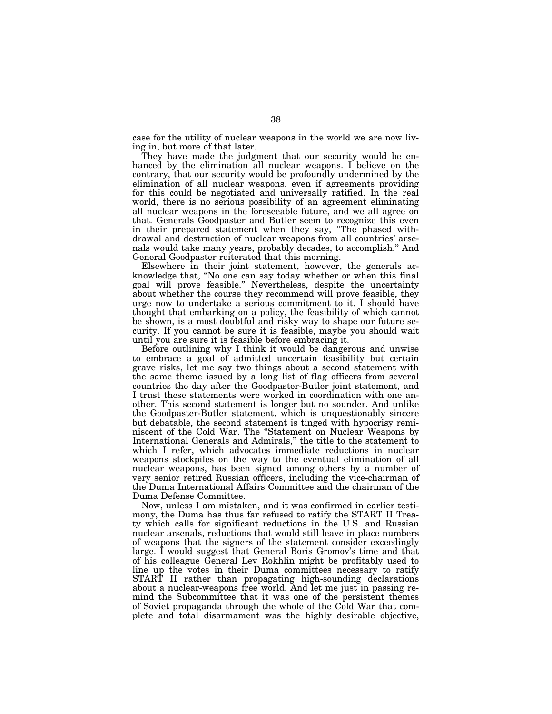case for the utility of nuclear weapons in the world we are now living in, but more of that later.

They have made the judgment that our security would be enhanced by the elimination all nuclear weapons. I believe on the contrary, that our security would be profoundly undermined by the elimination of all nuclear weapons, even if agreements providing for this could be negotiated and universally ratified. In the real world, there is no serious possibility of an agreement eliminating all nuclear weapons in the foreseeable future, and we all agree on that. Generals Goodpaster and Butler seem to recognize this even in their prepared statement when they say, ''The phased withdrawal and destruction of nuclear weapons from all countries' arsenals would take many years, probably decades, to accomplish.'' And General Goodpaster reiterated that this morning.

Elsewhere in their joint statement, however, the generals acknowledge that, ''No one can say today whether or when this final goal will prove feasible.'' Nevertheless, despite the uncertainty about whether the course they recommend will prove feasible, they urge now to undertake a serious commitment to it. I should have thought that embarking on a policy, the feasibility of which cannot be shown, is a most doubtful and risky way to shape our future security. If you cannot be sure it is feasible, maybe you should wait until you are sure it is feasible before embracing it.

Before outlining why I think it would be dangerous and unwise to embrace a goal of admitted uncertain feasibility but certain grave risks, let me say two things about a second statement with the same theme issued by a long list of flag officers from several countries the day after the Goodpaster-Butler joint statement, and I trust these statements were worked in coordination with one another. This second statement is longer but no sounder. And unlike the Goodpaster-Butler statement, which is unquestionably sincere but debatable, the second statement is tinged with hypocrisy reminiscent of the Cold War. The ''Statement on Nuclear Weapons by International Generals and Admirals,'' the title to the statement to which I refer, which advocates immediate reductions in nuclear weapons stockpiles on the way to the eventual elimination of all nuclear weapons, has been signed among others by a number of very senior retired Russian officers, including the vice-chairman of the Duma International Affairs Committee and the chairman of the Duma Defense Committee.

Now, unless I am mistaken, and it was confirmed in earlier testimony, the Duma has thus far refused to ratify the START II Treaty which calls for significant reductions in the U.S. and Russian nuclear arsenals, reductions that would still leave in place numbers of weapons that the signers of the statement consider exceedingly large. I would suggest that General Boris Gromov's time and that of his colleague General Lev Rokhlin might be profitably used to line up the votes in their Duma committees necessary to ratify START II rather than propagating high-sounding declarations about a nuclear-weapons free world. And let me just in passing remind the Subcommittee that it was one of the persistent themes of Soviet propaganda through the whole of the Cold War that complete and total disarmament was the highly desirable objective,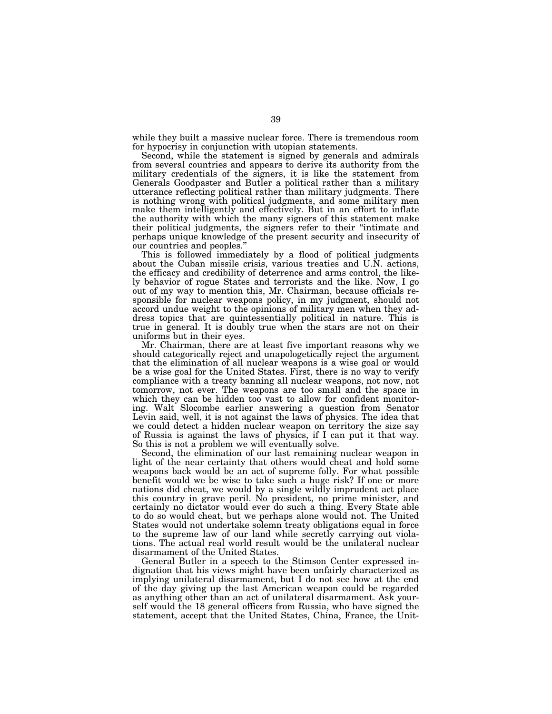while they built a massive nuclear force. There is tremendous room for hypocrisy in conjunction with utopian statements.

Second, while the statement is signed by generals and admirals from several countries and appears to derive its authority from the military credentials of the signers, it is like the statement from Generals Goodpaster and Butler a political rather than a military utterance reflecting political rather than military judgments. There is nothing wrong with political judgments, and some military men make them intelligently and effectively. But in an effort to inflate the authority with which the many signers of this statement make their political judgments, the signers refer to their ''intimate and perhaps unique knowledge of the present security and insecurity of our countries and peoples.''

This is followed immediately by a flood of political judgments about the Cuban missile crisis, various treaties and U.N. actions, the efficacy and credibility of deterrence and arms control, the likely behavior of rogue States and terrorists and the like. Now, I go out of my way to mention this, Mr. Chairman, because officials responsible for nuclear weapons policy, in my judgment, should not accord undue weight to the opinions of military men when they address topics that are quintessentially political in nature. This is true in general. It is doubly true when the stars are not on their uniforms but in their eyes.

Mr. Chairman, there are at least five important reasons why we should categorically reject and unapologetically reject the argument that the elimination of all nuclear weapons is a wise goal or would be a wise goal for the United States. First, there is no way to verify compliance with a treaty banning all nuclear weapons, not now, not tomorrow, not ever. The weapons are too small and the space in which they can be hidden too vast to allow for confident monitoring. Walt Slocombe earlier answering a question from Senator Levin said, well, it is not against the laws of physics. The idea that we could detect a hidden nuclear weapon on territory the size say of Russia is against the laws of physics, if I can put it that way. So this is not a problem we will eventually solve.

Second, the elimination of our last remaining nuclear weapon in light of the near certainty that others would cheat and hold some weapons back would be an act of supreme folly. For what possible benefit would we be wise to take such a huge risk? If one or more nations did cheat, we would by a single wildly imprudent act place this country in grave peril. No president, no prime minister, and certainly no dictator would ever do such a thing. Every State able to do so would cheat, but we perhaps alone would not. The United States would not undertake solemn treaty obligations equal in force to the supreme law of our land while secretly carrying out violations. The actual real world result would be the unilateral nuclear disarmament of the United States.

General Butler in a speech to the Stimson Center expressed indignation that his views might have been unfairly characterized as implying unilateral disarmament, but I do not see how at the end of the day giving up the last American weapon could be regarded as anything other than an act of unilateral disarmament. Ask yourself would the 18 general officers from Russia, who have signed the statement, accept that the United States, China, France, the Unit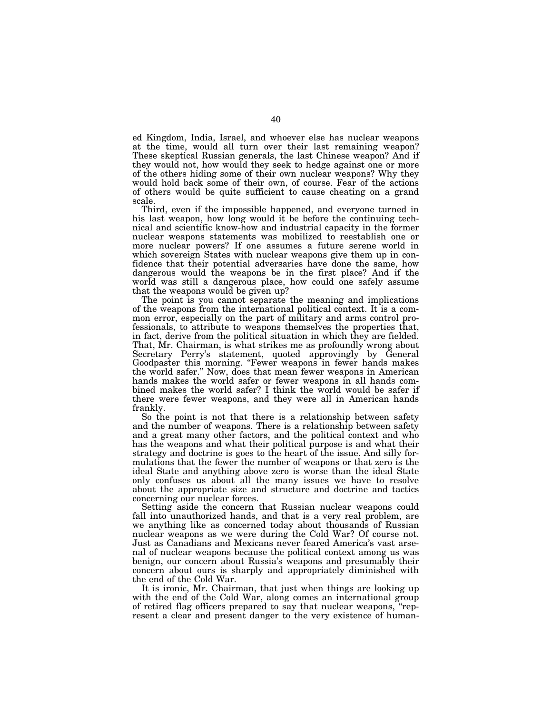ed Kingdom, India, Israel, and whoever else has nuclear weapons at the time, would all turn over their last remaining weapon? These skeptical Russian generals, the last Chinese weapon? And if they would not, how would they seek to hedge against one or more of the others hiding some of their own nuclear weapons? Why they would hold back some of their own, of course. Fear of the actions of others would be quite sufficient to cause cheating on a grand scale.

Third, even if the impossible happened, and everyone turned in his last weapon, how long would it be before the continuing technical and scientific know-how and industrial capacity in the former nuclear weapons statements was mobilized to reestablish one or more nuclear powers? If one assumes a future serene world in which sovereign States with nuclear weapons give them up in confidence that their potential adversaries have done the same, how dangerous would the weapons be in the first place? And if the world was still a dangerous place, how could one safely assume that the weapons would be given up?

The point is you cannot separate the meaning and implications of the weapons from the international political context. It is a common error, especially on the part of military and arms control professionals, to attribute to weapons themselves the properties that, in fact, derive from the political situation in which they are fielded. That, Mr. Chairman, is what strikes me as profoundly wrong about Secretary Perry's statement, quoted approvingly by General Goodpaster this morning. ''Fewer weapons in fewer hands makes the world safer.'' Now, does that mean fewer weapons in American hands makes the world safer or fewer weapons in all hands combined makes the world safer? I think the world would be safer if there were fewer weapons, and they were all in American hands frankly.

So the point is not that there is a relationship between safety and the number of weapons. There is a relationship between safety and a great many other factors, and the political context and who has the weapons and what their political purpose is and what their strategy and doctrine is goes to the heart of the issue. And silly formulations that the fewer the number of weapons or that zero is the ideal State and anything above zero is worse than the ideal State only confuses us about all the many issues we have to resolve about the appropriate size and structure and doctrine and tactics concerning our nuclear forces.

Setting aside the concern that Russian nuclear weapons could fall into unauthorized hands, and that is a very real problem, are we anything like as concerned today about thousands of Russian nuclear weapons as we were during the Cold War? Of course not. Just as Canadians and Mexicans never feared America's vast arsenal of nuclear weapons because the political context among us was benign, our concern about Russia's weapons and presumably their concern about ours is sharply and appropriately diminished with the end of the Cold War.

It is ironic, Mr. Chairman, that just when things are looking up with the end of the Cold War, along comes an international group of retired flag officers prepared to say that nuclear weapons, ''represent a clear and present danger to the very existence of human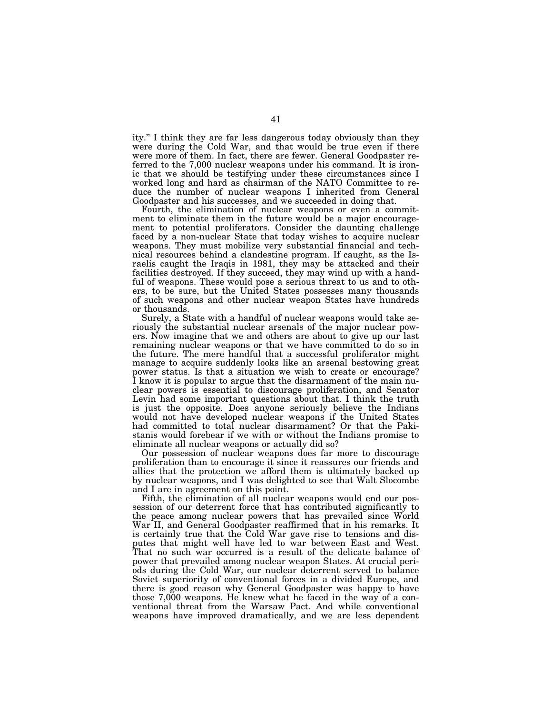ity.'' I think they are far less dangerous today obviously than they were during the Cold War, and that would be true even if there were more of them. In fact, there are fewer. General Goodpaster referred to the 7,000 nuclear weapons under his command. It is ironic that we should be testifying under these circumstances since I worked long and hard as chairman of the NATO Committee to reduce the number of nuclear weapons I inherited from General Goodpaster and his successes, and we succeeded in doing that.

Fourth, the elimination of nuclear weapons or even a commitment to eliminate them in the future would be a major encouragement to potential proliferators. Consider the daunting challenge faced by a non-nuclear State that today wishes to acquire nuclear weapons. They must mobilize very substantial financial and technical resources behind a clandestine program. If caught, as the Israelis caught the Iraqis in 1981, they may be attacked and their facilities destroyed. If they succeed, they may wind up with a handful of weapons. These would pose a serious threat to us and to others, to be sure, but the United States possesses many thousands of such weapons and other nuclear weapon States have hundreds or thousands.

Surely, a State with a handful of nuclear weapons would take seriously the substantial nuclear arsenals of the major nuclear powers. Now imagine that we and others are about to give up our last remaining nuclear weapons or that we have committed to do so in the future. The mere handful that a successful proliferator might manage to acquire suddenly looks like an arsenal bestowing great power status. Is that a situation we wish to create or encourage? I know it is popular to argue that the disarmament of the main nuclear powers is essential to discourage proliferation, and Senator Levin had some important questions about that. I think the truth is just the opposite. Does anyone seriously believe the Indians would not have developed nuclear weapons if the United States had committed to total nuclear disarmament? Or that the Pakistanis would forebear if we with or without the Indians promise to eliminate all nuclear weapons or actually did so?

Our possession of nuclear weapons does far more to discourage proliferation than to encourage it since it reassures our friends and allies that the protection we afford them is ultimately backed up by nuclear weapons, and I was delighted to see that Walt Slocombe and I are in agreement on this point.

Fifth, the elimination of all nuclear weapons would end our possession of our deterrent force that has contributed significantly to the peace among nuclear powers that has prevailed since World War II, and General Goodpaster reaffirmed that in his remarks. It is certainly true that the Cold War gave rise to tensions and disputes that might well have led to war between East and West. That no such war occurred is a result of the delicate balance of power that prevailed among nuclear weapon States. At crucial periods during the Cold War, our nuclear deterrent served to balance Soviet superiority of conventional forces in a divided Europe, and there is good reason why General Goodpaster was happy to have those 7,000 weapons. He knew what he faced in the way of a conventional threat from the Warsaw Pact. And while conventional weapons have improved dramatically, and we are less dependent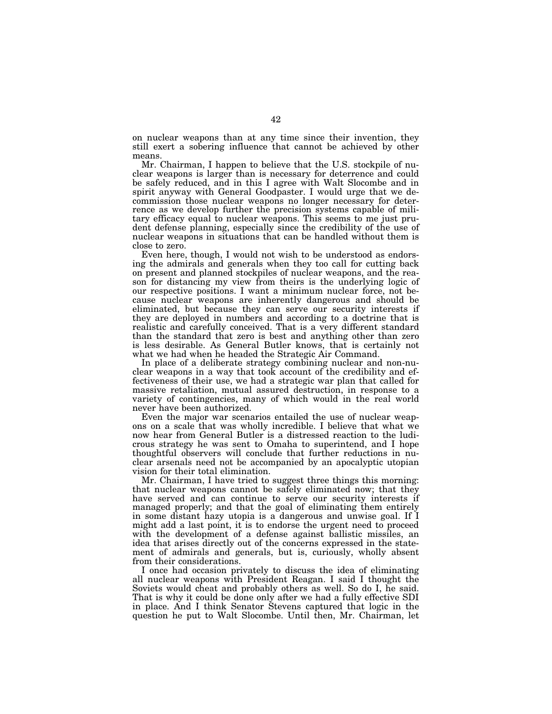on nuclear weapons than at any time since their invention, they still exert a sobering influence that cannot be achieved by other means.

Mr. Chairman, I happen to believe that the U.S. stockpile of nuclear weapons is larger than is necessary for deterrence and could be safely reduced, and in this I agree with Walt Slocombe and in spirit anyway with General Goodpaster. I would urge that we decommission those nuclear weapons no longer necessary for deterrence as we develop further the precision systems capable of military efficacy equal to nuclear weapons. This seems to me just prudent defense planning, especially since the credibility of the use of nuclear weapons in situations that can be handled without them is close to zero.

Even here, though, I would not wish to be understood as endorsing the admirals and generals when they too call for cutting back on present and planned stockpiles of nuclear weapons, and the reason for distancing my view from theirs is the underlying logic of our respective positions. I want a minimum nuclear force, not because nuclear weapons are inherently dangerous and should be eliminated, but because they can serve our security interests if they are deployed in numbers and according to a doctrine that is realistic and carefully conceived. That is a very different standard than the standard that zero is best and anything other than zero is less desirable. As General Butler knows, that is certainly not what we had when he headed the Strategic Air Command.

In place of a deliberate strategy combining nuclear and non-nuclear weapons in a way that took account of the credibility and effectiveness of their use, we had a strategic war plan that called for massive retaliation, mutual assured destruction, in response to a variety of contingencies, many of which would in the real world never have been authorized.

Even the major war scenarios entailed the use of nuclear weapons on a scale that was wholly incredible. I believe that what we now hear from General Butler is a distressed reaction to the ludicrous strategy he was sent to Omaha to superintend, and I hope thoughtful observers will conclude that further reductions in nuclear arsenals need not be accompanied by an apocalyptic utopian vision for their total elimination.

Mr. Chairman, I have tried to suggest three things this morning: that nuclear weapons cannot be safely eliminated now; that they have served and can continue to serve our security interests if managed properly; and that the goal of eliminating them entirely in some distant hazy utopia is a dangerous and unwise goal. If I might add a last point, it is to endorse the urgent need to proceed with the development of a defense against ballistic missiles, an idea that arises directly out of the concerns expressed in the statement of admirals and generals, but is, curiously, wholly absent from their considerations.

I once had occasion privately to discuss the idea of eliminating all nuclear weapons with President Reagan. I said I thought the Soviets would cheat and probably others as well. So do I, he said. That is why it could be done only after we had a fully effective SDI in place. And I think Senator Stevens captured that logic in the question he put to Walt Slocombe. Until then, Mr. Chairman, let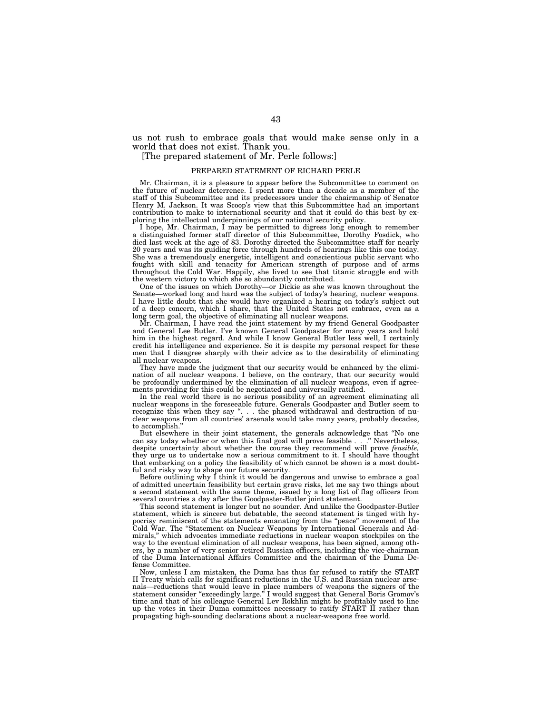us not rush to embrace goals that would make sense only in a world that does not exist. Thank you.

[The prepared statement of Mr. Perle follows:]

## PREPARED STATEMENT OF RICHARD PERLE

Mr. Chairman, it is a pleasure to appear before the Subcommittee to comment on the future of nuclear deterrence. I spent more than a decade as a member of the staff of this Subcommittee and its predecessors under the chairmanship of Senator Henry M. Jackson. It was Scoop's view that this Subcommittee had an important contribution to make to international security and that it could do this best by exploring the intellectual underpinnings of our national security policy.

I hope, Mr. Chairman, I may be permitted to digress long enough to remember a distinguished former staff director of this Subcommittee, Dorothy Fosdick, who died last week at the age of 83. Dorothy directed the Subcommittee staff for nearly 20 years and was its guiding force through hundreds of hearings like this one today. She was a tremendously energetic, intelligent and conscientious public servant who fought with skill and tenacity for American strength of purpose and of arms throughout the Cold War. Happily, she lived to see that titanic struggle end with the western victory to which she so abundantly contributed.

One of the issues on which Dorothy—or Dickie as she was known throughout the Senate—worked long and hard was the subject of today's hearing, nuclear weapons. I have little doubt that she would have organized a hearing on today's subject out of a deep concern, which I share, that the United States not embrace, even as a long term goal, the objective of eliminating all nuclear weapons.

Mr. Chairman, I have read the joint statement by my friend General Goodpaster and General Lee Butler. I've known General Goodpaster for many years and hold him in the highest regard. And while I know General Butler less well, I certainly credit his intelligence and experience. So it is despite my personal respect for these men that I disagree sharply with their advice as to the desirability of eliminating all nuclear weapons.

They have made the judgment that our security would be enhanced by the elimination of all nuclear weapons. I believe, on the contrary, that our security would be profoundly undermined by the elimination of all nuclear weapons, even if agreements providing for this could be negotiated and universally ratified.

In the real world there is no serious possibility of an agreement eliminating all nuclear weapons in the foreseeable future. Generals Goodpaster and Butler seem to recognize this when they say ''. . . the phased withdrawal and destruction of nuclear weapons from all countries' arsenals would take many years, probably decades, to accomplish.''

But elsewhere in their joint statement, the generals acknowledge that ''No one can say today whether or when this final goal will prove feasible . . .'' Nevertheless, despite uncertainty about whether the course they recommend will prove *feasible,* they urge us to undertake now a serious commitment to it. I should have thought that embarking on a policy the feasibility of which cannot be shown is a most doubtful and risky way to shape our future security.

Before outlining why I think it would be dangerous and unwise to embrace a goal of admitted uncertain feasibility but certain grave risks, let me say two things about a second statement with the same theme, issued by a long list of flag officers from several countries a day after the Goodpaster-Butler joint statement.

This second statement is longer but no sounder. And unlike the Goodpaster-Butler statement, which is sincere but debatable, the second statement is tinged with hypocrisy reminiscent of the statements emanating from the "peace" movement of the Cold War. The ''Statement on Nuclear Weapons by International Generals and Admirals,'' which advocates immediate reductions in nuclear weapon stockpiles on the way to the eventual elimination of all nuclear weapons, has been signed, among others, by a number of very senior retired Russian officers, including the vice-chairman of the Duma International Affairs Committee and the chairman of the Duma Defense Committee.

Now, unless I am mistaken, the Duma has thus far refused to ratify the START II Treaty which calls for significant reductions in the U.S. and Russian nuclear arsenals—reductions that would leave in place numbers of weapons the signers of the statement consider "exceedingly large." I would suggest that General Boris Gromov's time and that of his colleague General Lev Rokhlin might be profitably used to line up the votes in their Duma committees necessary to ratify START II rather than propagating high-sounding declarations about a nuclear-weapons free world.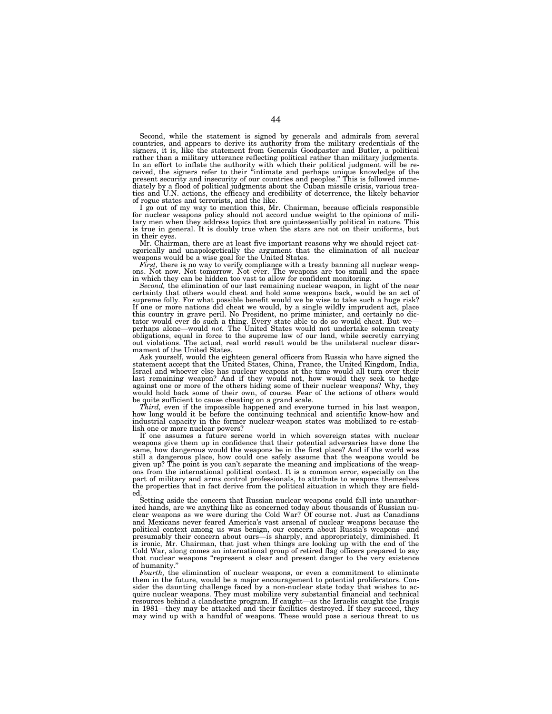Second, while the statement is signed by generals and admirals from several countries, and appears to derive its authority from the military credentials of the signers, it is, like the statement from Generals Goodpaster and Butler, a political rather than a military utterance reflecting political rather than military judgments.<br>In an effort to inflate the authority with which their political judgment will be re-<br>ceived, the signers refer to their "intimate and p present security and insecurity of our countries and peoples.'' This is followed immediately by a flood of political judgments about the Cuban missile crisis, various treaties and U.N. actions, the efficacy and credibility of deterrence, the likely behavior of rogue states and terrorists, and the like.

I go out of my way to mention this, Mr. Chairman, because officials responsible for nuclear weapons policy should not accord undue weight to the opinions of military men when they address topics that are quintessentially political in nature. This is true in general. It is doubly true when the stars are not on their uniforms, but in their eyes.

Mr. Chairman, there are at least five important reasons why we should reject categorically and unapologetically the argument that the elimination of all nuclear weapons would be a wise goal for the United States.

*First*, there is no way to verify compliance with a treaty banning all nuclear weapons. Not now. Not tomorrow. Not ever. The weapons are too small and the space in which they can be hidden too vast to allow for confident monitoring.

*Second,* the elimination of our last remaining nuclear weapon, in light of the near certainty that others would cheat and hold some weapons back, would be an act of supreme folly. For what possible benefit would we be wise to take such a huge risk? If one or more nations did cheat we would, by a single wildly imprudent act, place this country in grave peril. No President, no prime minister, and certainly no dictator would ever do such a thing. Every state able to do so would cheat. But we—<br>perhaps alone—would *not*. The United States would not unde out violations. The actual, real world result would be the unilateral nuclear disarmament of the United States.

Ask yourself, would the eighteen general officers from Russia who have signed the statement accept that the United States, China, France, the United Kingdom, India, Israel and whoever else has nuclear weapons at the time would all turn over their last remaining weapon? And if they would not, how would they seek to hedge against one or more of the others hiding some of their nuclear weapons? Why, they would hold back some of their own, of course. Fear of the actions of others would be quite sufficient to cause cheating on a grand scale.

*Third,* even if the impossible happened and everyone turned in his last weapon, how long would it be before the continuing technical and scientific know-how and industrial capacity in the former nuclear-weapon states was mobilized to re-establish one or more nuclear powers?

If one assumes a future serene world in which sovereign states with nuclear weapons give them up in confidence that their potential adversaries have done the same, how dangerous would the weapons be in the first place? And if the world was still a dangerous place, how could one safely assume that the weapons would be given up? The point is you can't separate the meaning and implications of the weapons from the international political context. It is a common error, especially on the part of military and arms control professionals, to attribute to weapons themselves the properties that in fact derive from the political situation in which they are fielded.

Setting aside the concern that Russian nuclear weapons could fall into unauthorized hands, are we anything like as concerned today about thousands of Russian nuclear weapons as we were during the Cold War? Of course not. Just as Canadians and Mexicans never feared America's vast arsenal of nuclear weapons because the political context among us was benign, our concern about Russia's weapons—and presumably their concern about ours—is sharply, and appropriately, diminished. It is ironic, Mr. Chairman, that just when things are looking up with the end of the Cold War, along comes an international group of retired flag officers prepared to say that nuclear weapons ''represent a clear and present danger to the very existence of humanity.

*Fourth,* the elimination of nuclear weapons, or even a commitment to eliminate them in the future, would be a major encouragement to potential proliferators. Consider the daunting challenge faced by a non-nuclear state today that wishes to acquire nuclear weapons. They must mobilize very substantial financial and technical resources behind a clandestine program. If caught—as the Israelis caught the Iraqis in 1981—they may be attacked and their facilities destroyed. If they succeed, they may wind up with a handful of weapons. These would pose a serious threat to us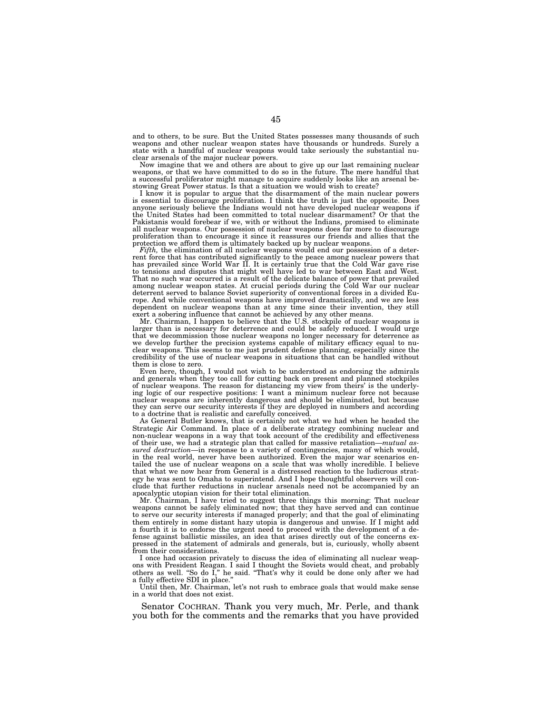and to others, to be sure. But the United States possesses many thousands of such weapons and other nuclear weapon states have thousands or hundreds. Surely a state with a handful of nuclear weapons would take seriously the substantial nuclear arsenals of the major nuclear powers.

Now imagine that we and others are about to give up our last remaining nuclear weapons, or that we have committed to do so in the future. The mere handful that a successful proliferator might manage to acquire suddenly looks like an arsenal bestowing Great Power status. Is that a situation we would wish to create?

I know it is popular to argue that the disarmament of the main nuclear powers is essential to discourage proliferation. I think the truth is just the opposite. Does anyone seriously believe the Indians would not have developed nuclear weapons if the United States had been committed to total nuclear disarmament? Or that the Pakistanis would forebear if we, with or without the Indians, promised to eliminate all nuclear weapons. Our possession of nuclear weapons does far more to discourage proliferation than to encourage it since it reassures our friends and allies that the protection we afford them is ultimately backed up by nuclear weapons.

*Fifth*, the elimination of all nuclear weapons would end our possession of a deterrent force that has contributed significantly to the peace among nuclear powers that has prevailed since World War II. It is certainly true that the Cold War gave rise to tensions and disputes that might well have led to war between East and West. That no such war occurred is a result of the delicate balance of power that prevailed among nuclear weapon states. At crucial periods during the Cold War our nuclear deterrent served to balance Soviet superiority of conventional forces in a divided Europe. And while conventional weapons have improved dramatically, and we are less dependent on nuclear weapons than at any time since their invention, they still exert a sobering influence that cannot be achieved by any other means. Mr. Chairman, I happen to believe that the U.S. stockpile of nuclear weapons is

larger than is necessary for deterrence and could be safely reduced. I would urge that we decommission those nuclear weapons no longer necessary for deterrence as we develop further the precision systems capable of military efficacy equal to nuclear weapons. This seems to me just prudent defense planning, especially since the credibility of the use of nuclear weapons in situations that can be handled without them is close to zero.

Even here, though, I would not wish to be understood as endorsing the admirals and generals when they too call for cutting back on present and planned stockpiles of nuclear weapons. The reason for distancing my view from theirs' is the underlying logic of our respective positions: I want a minimum nuclear force not because nuclear weapons are inherently dangerous and should be eliminated, but because they can serve our security interests if they are deployed in numbers and according to a doctrine that is realistic and carefully conceived.

As General Butler knows, that is certainly not what we had when he headed the Strategic Air Command. In place of a deliberate strategy combining nuclear and non-nuclear weapons in a way that took account of the credibility and effectiveness of their use, we had a strategic plan that called for massive retaliation—*mutual assured destruction*—in response to a variety of contingencies, many of which would, in the real world, never have been authorized. Even the major war scenarios entailed the use of nuclear weapons on a scale that was wholly incredible. I believe that what we now hear from General is a distressed reaction to the ludicrous strategy he was sent to Omaha to superintend. And I hope thoughtful observers will conclude that further reductions in nuclear arsenals need not be accompanied by an apocalyptic utopian vision for their total elimination.

Mr. Chairman, I have tried to suggest three things this morning: That nuclear weapons cannot be safely eliminated now; that they have served and can continue to serve our security interests if managed properly; and that the goal of eliminating them entirely in some distant hazy utopia is dangerous and unwise. If I might add a fourth it is to endorse the urgent need to proceed with the development of a defense against ballistic missiles, an idea that arises directly out of the concerns expressed in the statement of admirals and generals, but is, curiously, wholly absent from their considerations.

I once had occasion privately to discuss the idea of eliminating all nuclear weapons with President Reagan. I said I thought the Soviets would cheat, and probably others as well. ''So do I,'' he said. ''That's why it could be done only after we had a fully effective SDI in place.''

Until then, Mr. Chairman, let's not rush to embrace goals that would make sense in a world that does not exist.

Senator COCHRAN. Thank you very much, Mr. Perle, and thank you both for the comments and the remarks that you have provided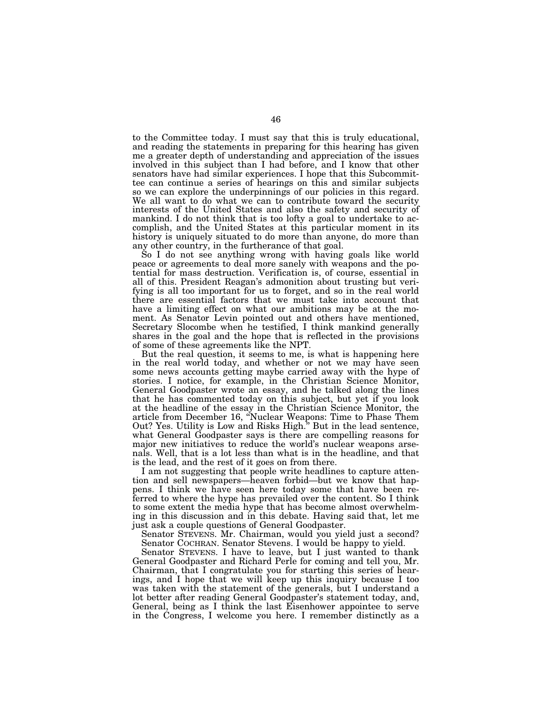to the Committee today. I must say that this is truly educational, and reading the statements in preparing for this hearing has given me a greater depth of understanding and appreciation of the issues involved in this subject than I had before, and I know that other senators have had similar experiences. I hope that this Subcommittee can continue a series of hearings on this and similar subjects so we can explore the underpinnings of our policies in this regard. We all want to do what we can to contribute toward the security interests of the United States and also the safety and security of mankind. I do not think that is too lofty a goal to undertake to accomplish, and the United States at this particular moment in its history is uniquely situated to do more than anyone, do more than any other country, in the furtherance of that goal.

So I do not see anything wrong with having goals like world peace or agreements to deal more sanely with weapons and the potential for mass destruction. Verification is, of course, essential in all of this. President Reagan's admonition about trusting but verifying is all too important for us to forget, and so in the real world there are essential factors that we must take into account that have a limiting effect on what our ambitions may be at the moment. As Senator Levin pointed out and others have mentioned, Secretary Slocombe when he testified, I think mankind generally shares in the goal and the hope that is reflected in the provisions of some of these agreements like the NPT.

But the real question, it seems to me, is what is happening here in the real world today, and whether or not we may have seen some news accounts getting maybe carried away with the hype of stories. I notice, for example, in the Christian Science Monitor, General Goodpaster wrote an essay, and he talked along the lines that he has commented today on this subject, but yet if you look at the headline of the essay in the Christian Science Monitor, the article from December 16, ''Nuclear Weapons: Time to Phase Them Out? Yes. Utility is Low and Risks High.'' But in the lead sentence, what General Goodpaster says is there are compelling reasons for major new initiatives to reduce the world's nuclear weapons arsenals. Well, that is a lot less than what is in the headline, and that is the lead, and the rest of it goes on from there.

I am not suggesting that people write headlines to capture attention and sell newspapers—heaven forbid—but we know that happens. I think we have seen here today some that have been referred to where the hype has prevailed over the content. So I think to some extent the media hype that has become almost overwhelming in this discussion and in this debate. Having said that, let me just ask a couple questions of General Goodpaster.

Senator STEVENS. Mr. Chairman, would you yield just a second? Senator COCHRAN. Senator Stevens. I would be happy to yield.

Senator STEVENS. I have to leave, but I just wanted to thank General Goodpaster and Richard Perle for coming and tell you, Mr. Chairman, that I congratulate you for starting this series of hearings, and I hope that we will keep up this inquiry because I too was taken with the statement of the generals, but I understand a lot better after reading General Goodpaster's statement today, and, General, being as I think the last Eisenhower appointee to serve in the Congress, I welcome you here. I remember distinctly as a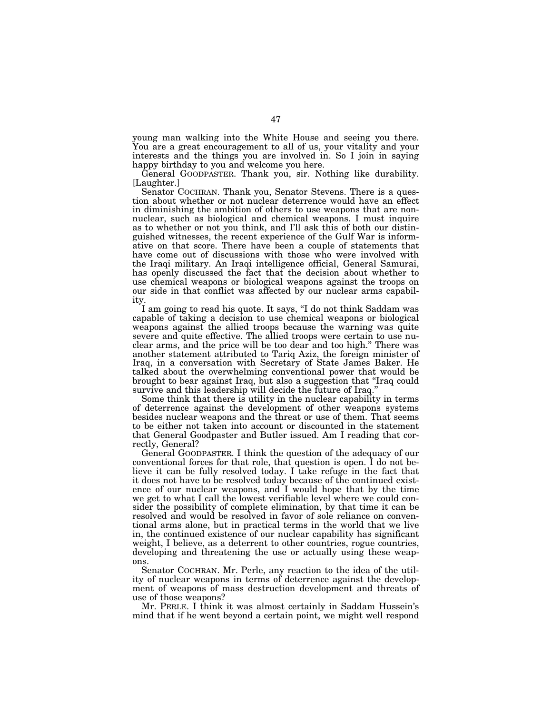young man walking into the White House and seeing you there. You are a great encouragement to all of us, your vitality and your interests and the things you are involved in. So I join in saying happy birthday to you and welcome you here.

General GOODPASTER. Thank you, sir. Nothing like durability. [Laughter.]

Senator COCHRAN. Thank you, Senator Stevens. There is a question about whether or not nuclear deterrence would have an effect in diminishing the ambition of others to use weapons that are nonnuclear, such as biological and chemical weapons. I must inquire as to whether or not you think, and I'll ask this of both our distinguished witnesses, the recent experience of the Gulf War is informative on that score. There have been a couple of statements that have come out of discussions with those who were involved with the Iraqi military. An Iraqi intelligence official, General Samurai, has openly discussed the fact that the decision about whether to use chemical weapons or biological weapons against the troops on our side in that conflict was affected by our nuclear arms capability.

I am going to read his quote. It says, "I do not think Saddam was capable of taking a decision to use chemical weapons or biological weapons against the allied troops because the warning was quite severe and quite effective. The allied troops were certain to use nuclear arms, and the price will be too dear and too high.'' There was another statement attributed to Tariq Aziz, the foreign minister of Iraq, in a conversation with Secretary of State James Baker. He talked about the overwhelming conventional power that would be brought to bear against Iraq, but also a suggestion that ''Iraq could survive and this leadership will decide the future of Iraq.

Some think that there is utility in the nuclear capability in terms of deterrence against the development of other weapons systems besides nuclear weapons and the threat or use of them. That seems to be either not taken into account or discounted in the statement that General Goodpaster and Butler issued. Am I reading that correctly, General?

General GOODPASTER. I think the question of the adequacy of our conventional forces for that role, that question is open. I do not believe it can be fully resolved today. I take refuge in the fact that it does not have to be resolved today because of the continued existence of our nuclear weapons, and I would hope that by the time we get to what I call the lowest verifiable level where we could consider the possibility of complete elimination, by that time it can be resolved and would be resolved in favor of sole reliance on conventional arms alone, but in practical terms in the world that we live in, the continued existence of our nuclear capability has significant weight, I believe, as a deterrent to other countries, rogue countries, developing and threatening the use or actually using these weapons.

Senator COCHRAN. Mr. Perle, any reaction to the idea of the utility of nuclear weapons in terms of deterrence against the development of weapons of mass destruction development and threats of use of those weapons?

Mr. PERLE. I think it was almost certainly in Saddam Hussein's mind that if he went beyond a certain point, we might well respond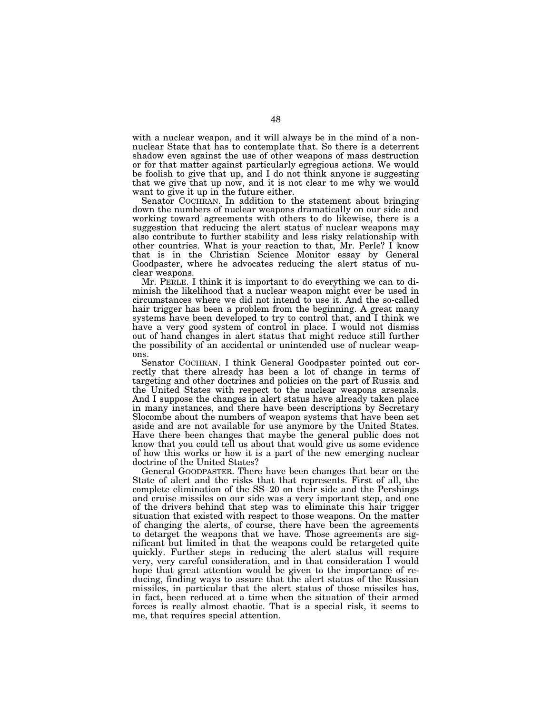with a nuclear weapon, and it will always be in the mind of a nonnuclear State that has to contemplate that. So there is a deterrent shadow even against the use of other weapons of mass destruction or for that matter against particularly egregious actions. We would be foolish to give that up, and I do not think anyone is suggesting that we give that up now, and it is not clear to me why we would want to give it up in the future either.

Senator COCHRAN. In addition to the statement about bringing down the numbers of nuclear weapons dramatically on our side and working toward agreements with others to do likewise, there is a suggestion that reducing the alert status of nuclear weapons may also contribute to further stability and less risky relationship with other countries. What is your reaction to that, Mr. Perle? I know that is in the Christian Science Monitor essay by General Goodpaster, where he advocates reducing the alert status of nuclear weapons.

Mr. PERLE. I think it is important to do everything we can to diminish the likelihood that a nuclear weapon might ever be used in circumstances where we did not intend to use it. And the so-called hair trigger has been a problem from the beginning. A great many systems have been developed to try to control that, and I think we have a very good system of control in place. I would not dismiss out of hand changes in alert status that might reduce still further the possibility of an accidental or unintended use of nuclear weapons.

Senator COCHRAN. I think General Goodpaster pointed out correctly that there already has been a lot of change in terms of targeting and other doctrines and policies on the part of Russia and the United States with respect to the nuclear weapons arsenals. And I suppose the changes in alert status have already taken place in many instances, and there have been descriptions by Secretary Slocombe about the numbers of weapon systems that have been set aside and are not available for use anymore by the United States. Have there been changes that maybe the general public does not know that you could tell us about that would give us some evidence of how this works or how it is a part of the new emerging nuclear doctrine of the United States?

General GOODPASTER. There have been changes that bear on the State of alert and the risks that that represents. First of all, the complete elimination of the SS–20 on their side and the Pershings and cruise missiles on our side was a very important step, and one of the drivers behind that step was to eliminate this hair trigger situation that existed with respect to those weapons. On the matter of changing the alerts, of course, there have been the agreements to detarget the weapons that we have. Those agreements are significant but limited in that the weapons could be retargeted quite quickly. Further steps in reducing the alert status will require very, very careful consideration, and in that consideration I would hope that great attention would be given to the importance of reducing, finding ways to assure that the alert status of the Russian missiles, in particular that the alert status of those missiles has, in fact, been reduced at a time when the situation of their armed forces is really almost chaotic. That is a special risk, it seems to me, that requires special attention.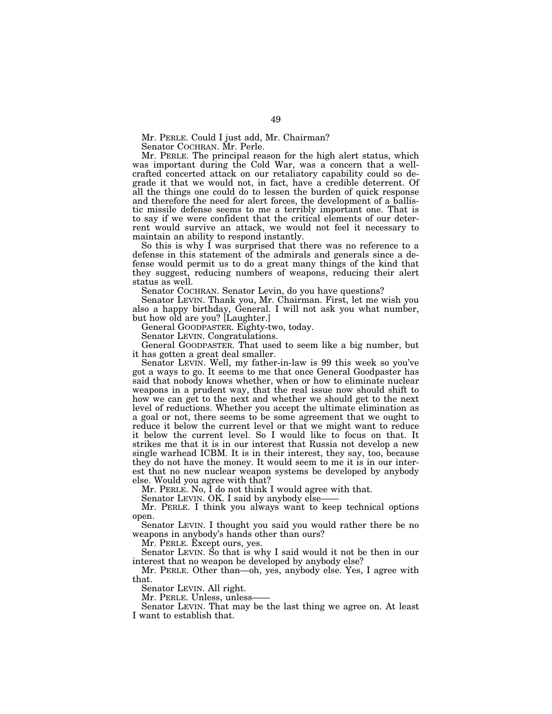Mr. PERLE. Could I just add, Mr. Chairman?

Senator COCHRAN. Mr. Perle.

Mr. PERLE. The principal reason for the high alert status, which was important during the Cold War, was a concern that a wellcrafted concerted attack on our retaliatory capability could so degrade it that we would not, in fact, have a credible deterrent. Of all the things one could do to lessen the burden of quick response and therefore the need for alert forces, the development of a ballistic missile defense seems to me a terribly important one. That is to say if we were confident that the critical elements of our deterrent would survive an attack, we would not feel it necessary to maintain an ability to respond instantly.

So this is why I was surprised that there was no reference to a defense in this statement of the admirals and generals since a defense would permit us to do a great many things of the kind that they suggest, reducing numbers of weapons, reducing their alert status as well.

Senator COCHRAN. Senator Levin, do you have questions?

Senator LEVIN. Thank you, Mr. Chairman. First, let me wish you also a happy birthday, General. I will not ask you what number, but how old are you? [Laughter.]

General GOODPASTER. Eighty-two, today.

Senator LEVIN. Congratulations.

General GOODPASTER. That used to seem like a big number, but it has gotten a great deal smaller.

Senator LEVIN. Well, my father-in-law is 99 this week so you've got a ways to go. It seems to me that once General Goodpaster has said that nobody knows whether, when or how to eliminate nuclear weapons in a prudent way, that the real issue now should shift to how we can get to the next and whether we should get to the next level of reductions. Whether you accept the ultimate elimination as a goal or not, there seems to be some agreement that we ought to reduce it below the current level or that we might want to reduce it below the current level. So I would like to focus on that. It strikes me that it is in our interest that Russia not develop a new single warhead ICBM. It is in their interest, they say, too, because they do not have the money. It would seem to me it is in our interest that no new nuclear weapon systems be developed by anybody else. Would you agree with that?

Mr. PERLE. No, I do not think I would agree with that.

Senator LEVIN. OK. I said by anybody else-

Mr. PERLE. I think you always want to keep technical options open.

Senator LEVIN. I thought you said you would rather there be no weapons in anybody's hands other than ours?

Mr. PERLE. Except ours, yes.

Senator LEVIN. So that is why I said would it not be then in our interest that no weapon be developed by anybody else?

Mr. PERLE. Other than—oh, yes, anybody else. Yes, I agree with that.

Senator LEVIN. All right.

Mr. PERLE. Unless, unless-

Senator LEVIN. That may be the last thing we agree on. At least I want to establish that.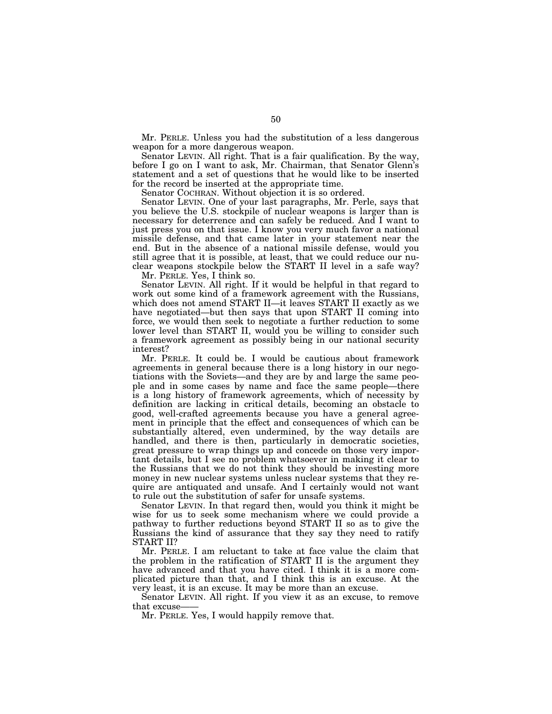Mr. PERLE. Unless you had the substitution of a less dangerous weapon for a more dangerous weapon.

Senator LEVIN. All right. That is a fair qualification. By the way, before I go on I want to ask, Mr. Chairman, that Senator Glenn's statement and a set of questions that he would like to be inserted for the record be inserted at the appropriate time.

Senator COCHRAN. Without objection it is so ordered.

Senator LEVIN. One of your last paragraphs, Mr. Perle, says that you believe the U.S. stockpile of nuclear weapons is larger than is necessary for deterrence and can safely be reduced. And I want to just press you on that issue. I know you very much favor a national missile defense, and that came later in your statement near the end. But in the absence of a national missile defense, would you still agree that it is possible, at least, that we could reduce our nuclear weapons stockpile below the START II level in a safe way?

Mr. PERLE. Yes, I think so.

Senator LEVIN. All right. If it would be helpful in that regard to work out some kind of a framework agreement with the Russians, which does not amend START II—it leaves START II exactly as we have negotiated—but then says that upon START II coming into force, we would then seek to negotiate a further reduction to some lower level than START II, would you be willing to consider such a framework agreement as possibly being in our national security interest?

Mr. PERLE. It could be. I would be cautious about framework agreements in general because there is a long history in our negotiations with the Soviets—and they are by and large the same people and in some cases by name and face the same people—there is a long history of framework agreements, which of necessity by definition are lacking in critical details, becoming an obstacle to good, well-crafted agreements because you have a general agreement in principle that the effect and consequences of which can be substantially altered, even undermined, by the way details are handled, and there is then, particularly in democratic societies, great pressure to wrap things up and concede on those very important details, but I see no problem whatsoever in making it clear to the Russians that we do not think they should be investing more money in new nuclear systems unless nuclear systems that they require are antiquated and unsafe. And I certainly would not want to rule out the substitution of safer for unsafe systems.

Senator LEVIN. In that regard then, would you think it might be wise for us to seek some mechanism where we could provide a pathway to further reductions beyond START II so as to give the Russians the kind of assurance that they say they need to ratify START II?

Mr. PERLE. I am reluctant to take at face value the claim that the problem in the ratification of START II is the argument they have advanced and that you have cited. I think it is a more complicated picture than that, and I think this is an excuse. At the very least, it is an excuse. It may be more than an excuse.

Senator LEVIN. All right. If you view it as an excuse, to remove that excuse-

Mr. PERLE. Yes, I would happily remove that.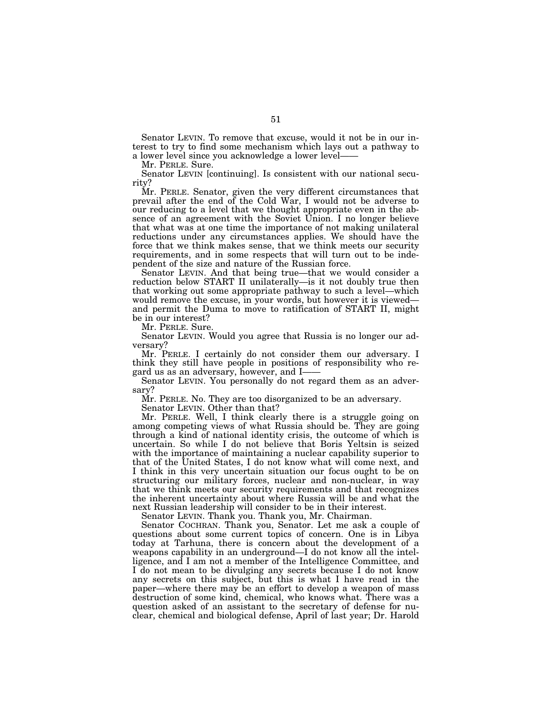Senator LEVIN. To remove that excuse, would it not be in our interest to try to find some mechanism which lays out a pathway to a lower level since you acknowledge a lower level——

Mr. PERLE. Sure.

Senator LEVIN [continuing]. Is consistent with our national security?

Mr. PERLE. Senator, given the very different circumstances that prevail after the end of the Cold War, I would not be adverse to our reducing to a level that we thought appropriate even in the absence of an agreement with the Soviet Union. I no longer believe that what was at one time the importance of not making unilateral reductions under any circumstances applies. We should have the force that we think makes sense, that we think meets our security requirements, and in some respects that will turn out to be independent of the size and nature of the Russian force.

Senator LEVIN. And that being true—that we would consider a reduction below START II unilaterally—is it not doubly true then that working out some appropriate pathway to such a level-which would remove the excuse, in your words, but however it is viewed and permit the Duma to move to ratification of START II, might be in our interest?

Mr. PERLE. Sure.

Senator LEVIN. Would you agree that Russia is no longer our adversary?

Mr. PERLE. I certainly do not consider them our adversary. I think they still have people in positions of responsibility who regard us as an adversary, however, and I——

Senator LEVIN. You personally do not regard them as an adversary?

Mr. PERLE. No. They are too disorganized to be an adversary.

Senator LEVIN. Other than that?

Mr. PERLE. Well, I think clearly there is a struggle going on among competing views of what Russia should be. They are going through a kind of national identity crisis, the outcome of which is uncertain. So while I do not believe that Boris Yeltsin is seized with the importance of maintaining a nuclear capability superior to that of the United States, I do not know what will come next, and I think in this very uncertain situation our focus ought to be on structuring our military forces, nuclear and non-nuclear, in way that we think meets our security requirements and that recognizes the inherent uncertainty about where Russia will be and what the next Russian leadership will consider to be in their interest.

Senator LEVIN. Thank you. Thank you, Mr. Chairman.

Senator COCHRAN. Thank you, Senator. Let me ask a couple of questions about some current topics of concern. One is in Libya today at Tarhuna, there is concern about the development of a weapons capability in an underground—I do not know all the intelligence, and I am not a member of the Intelligence Committee, and I do not mean to be divulging any secrets because I do not know any secrets on this subject, but this is what I have read in the paper—where there may be an effort to develop a weapon of mass destruction of some kind, chemical, who knows what. There was a question asked of an assistant to the secretary of defense for nuclear, chemical and biological defense, April of last year; Dr. Harold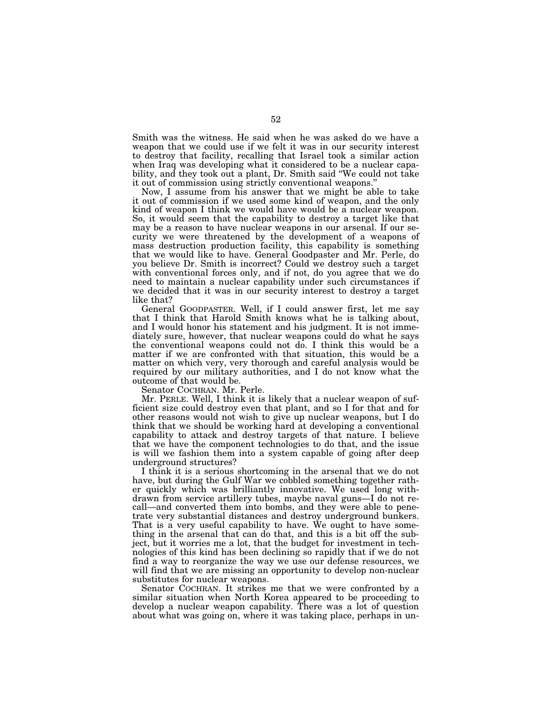Smith was the witness. He said when he was asked do we have a weapon that we could use if we felt it was in our security interest to destroy that facility, recalling that Israel took a similar action when Iraq was developing what it considered to be a nuclear capability, and they took out a plant, Dr. Smith said "We could not take it out of commission using strictly conventional weapons.''

Now, I assume from his answer that we might be able to take it out of commission if we used some kind of weapon, and the only kind of weapon I think we would have would be a nuclear weapon. So, it would seem that the capability to destroy a target like that may be a reason to have nuclear weapons in our arsenal. If our security we were threatened by the development of a weapons of mass destruction production facility, this capability is something that we would like to have. General Goodpaster and Mr. Perle, do you believe Dr. Smith is incorrect? Could we destroy such a target with conventional forces only, and if not, do you agree that we do need to maintain a nuclear capability under such circumstances if we decided that it was in our security interest to destroy a target like that?

General GOODPASTER. Well, if I could answer first, let me say that I think that Harold Smith knows what he is talking about, and I would honor his statement and his judgment. It is not immediately sure, however, that nuclear weapons could do what he says the conventional weapons could not do. I think this would be a matter if we are confronted with that situation, this would be a matter on which very, very thorough and careful analysis would be required by our military authorities, and I do not know what the outcome of that would be.

Senator COCHRAN. Mr. Perle.

Mr. PERLE. Well, I think it is likely that a nuclear weapon of sufficient size could destroy even that plant, and so I for that and for other reasons would not wish to give up nuclear weapons, but I do think that we should be working hard at developing a conventional capability to attack and destroy targets of that nature. I believe that we have the component technologies to do that, and the issue is will we fashion them into a system capable of going after deep underground structures?

I think it is a serious shortcoming in the arsenal that we do not have, but during the Gulf War we cobbled something together rather quickly which was brilliantly innovative. We used long withdrawn from service artillery tubes, maybe naval guns—I do not recall—and converted them into bombs, and they were able to penetrate very substantial distances and destroy underground bunkers. That is a very useful capability to have. We ought to have something in the arsenal that can do that, and this is a bit off the subject, but it worries me a lot, that the budget for investment in technologies of this kind has been declining so rapidly that if we do not find a way to reorganize the way we use our defense resources, we will find that we are missing an opportunity to develop non-nuclear substitutes for nuclear weapons.

Senator COCHRAN. It strikes me that we were confronted by a similar situation when North Korea appeared to be proceeding to develop a nuclear weapon capability. There was a lot of question about what was going on, where it was taking place, perhaps in un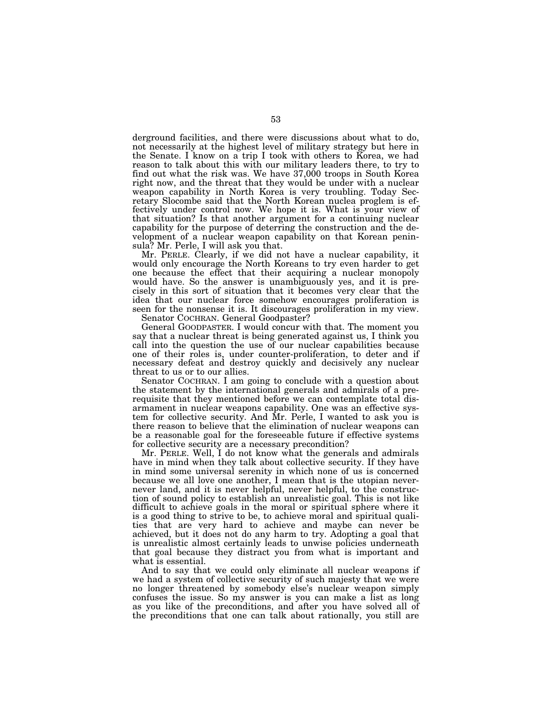derground facilities, and there were discussions about what to do, not necessarily at the highest level of military strategy but here in the Senate. I know on a trip I took with others to Korea, we had reason to talk about this with our military leaders there, to try to find out what the risk was. We have 37,000 troops in South Korea right now, and the threat that they would be under with a nuclear weapon capability in North Korea is very troubling. Today Secretary Slocombe said that the North Korean nuclea proglem is effectively under control now. We hope it is. What is your view of that situation? Is that another argument for a continuing nuclear capability for the purpose of deterring the construction and the development of a nuclear weapon capability on that Korean peninsula? Mr. Perle, I will ask you that.

Mr. PERLE. Clearly, if we did not have a nuclear capability, it would only encourage the North Koreans to try even harder to get one because the effect that their acquiring a nuclear monopoly would have. So the answer is unambiguously yes, and it is precisely in this sort of situation that it becomes very clear that the idea that our nuclear force somehow encourages proliferation is seen for the nonsense it is. It discourages proliferation in my view.

Senator COCHRAN. General Goodpaster?

General GOODPASTER. I would concur with that. The moment you say that a nuclear threat is being generated against us, I think you call into the question the use of our nuclear capabilities because one of their roles is, under counter-proliferation, to deter and if necessary defeat and destroy quickly and decisively any nuclear threat to us or to our allies.

Senator COCHRAN. I am going to conclude with a question about the statement by the international generals and admirals of a prerequisite that they mentioned before we can contemplate total disarmament in nuclear weapons capability. One was an effective system for collective security. And Mr. Perle, I wanted to ask you is there reason to believe that the elimination of nuclear weapons can be a reasonable goal for the foreseeable future if effective systems for collective security are a necessary precondition?

Mr. PERLE. Well, I do not know what the generals and admirals have in mind when they talk about collective security. If they have in mind some universal serenity in which none of us is concerned because we all love one another, I mean that is the utopian nevernever land, and it is never helpful, never helpful, to the construction of sound policy to establish an unrealistic goal. This is not like difficult to achieve goals in the moral or spiritual sphere where it is a good thing to strive to be, to achieve moral and spiritual qualities that are very hard to achieve and maybe can never be achieved, but it does not do any harm to try. Adopting a goal that is unrealistic almost certainly leads to unwise policies underneath that goal because they distract you from what is important and what is essential.

And to say that we could only eliminate all nuclear weapons if we had a system of collective security of such majesty that we were no longer threatened by somebody else's nuclear weapon simply confuses the issue. So my answer is you can make a list as long as you like of the preconditions, and after you have solved all of the preconditions that one can talk about rationally, you still are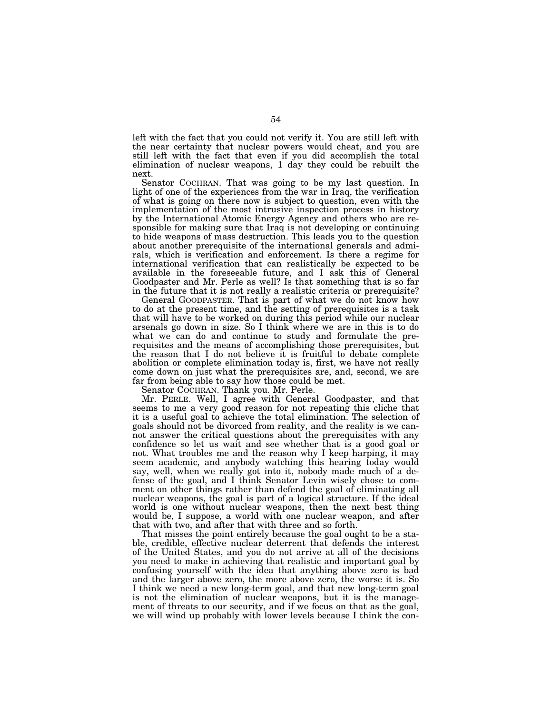left with the fact that you could not verify it. You are still left with the near certainty that nuclear powers would cheat, and you are still left with the fact that even if you did accomplish the total elimination of nuclear weapons, 1 day they could be rebuilt the next.

Senator COCHRAN. That was going to be my last question. In light of one of the experiences from the war in Iraq, the verification of what is going on there now is subject to question, even with the implementation of the most intrusive inspection process in history by the International Atomic Energy Agency and others who are responsible for making sure that Iraq is not developing or continuing to hide weapons of mass destruction. This leads you to the question about another prerequisite of the international generals and admirals, which is verification and enforcement. Is there a regime for international verification that can realistically be expected to be available in the foreseeable future, and I ask this of General Goodpaster and Mr. Perle as well? Is that something that is so far in the future that it is not really a realistic criteria or prerequisite?

General GOODPASTER. That is part of what we do not know how to do at the present time, and the setting of prerequisites is a task that will have to be worked on during this period while our nuclear arsenals go down in size. So I think where we are in this is to do what we can do and continue to study and formulate the prerequisites and the means of accomplishing those prerequisites, but the reason that I do not believe it is fruitful to debate complete abolition or complete elimination today is, first, we have not really come down on just what the prerequisites are, and, second, we are far from being able to say how those could be met.

Senator COCHRAN. Thank you. Mr. Perle.

Mr. PERLE. Well, I agree with General Goodpaster, and that seems to me a very good reason for not repeating this cliche that it is a useful goal to achieve the total elimination. The selection of goals should not be divorced from reality, and the reality is we cannot answer the critical questions about the prerequisites with any confidence so let us wait and see whether that is a good goal or not. What troubles me and the reason why I keep harping, it may seem academic, and anybody watching this hearing today would say, well, when we really got into it, nobody made much of a defense of the goal, and I think Senator Levin wisely chose to comment on other things rather than defend the goal of eliminating all nuclear weapons, the goal is part of a logical structure. If the ideal world is one without nuclear weapons, then the next best thing would be, I suppose, a world with one nuclear weapon, and after that with two, and after that with three and so forth.

That misses the point entirely because the goal ought to be a stable, credible, effective nuclear deterrent that defends the interest of the United States, and you do not arrive at all of the decisions you need to make in achieving that realistic and important goal by confusing yourself with the idea that anything above zero is bad and the larger above zero, the more above zero, the worse it is. So I think we need a new long-term goal, and that new long-term goal is not the elimination of nuclear weapons, but it is the management of threats to our security, and if we focus on that as the goal, we will wind up probably with lower levels because I think the con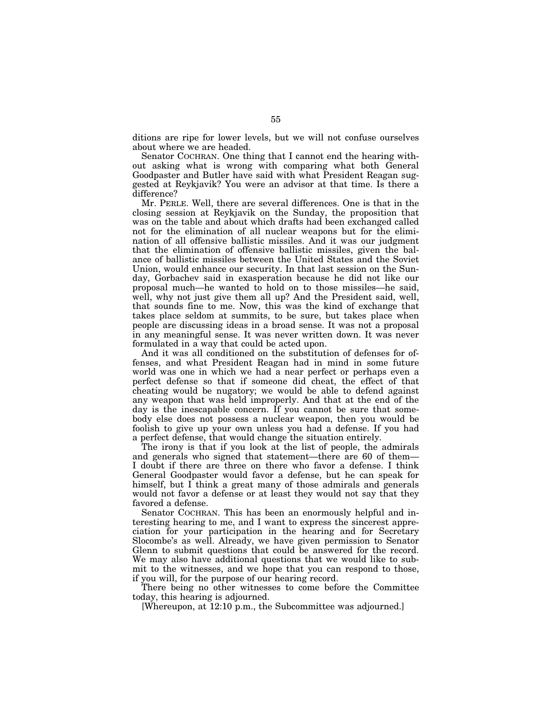ditions are ripe for lower levels, but we will not confuse ourselves about where we are headed.

Senator COCHRAN. One thing that I cannot end the hearing without asking what is wrong with comparing what both General Goodpaster and Butler have said with what President Reagan suggested at Reykjavik? You were an advisor at that time. Is there a difference?

Mr. PERLE. Well, there are several differences. One is that in the closing session at Reykjavik on the Sunday, the proposition that was on the table and about which drafts had been exchanged called not for the elimination of all nuclear weapons but for the elimination of all offensive ballistic missiles. And it was our judgment that the elimination of offensive ballistic missiles, given the balance of ballistic missiles between the United States and the Soviet Union, would enhance our security. In that last session on the Sunday, Gorbachev said in exasperation because he did not like our proposal much—he wanted to hold on to those missiles—he said, well, why not just give them all up? And the President said, well, that sounds fine to me. Now, this was the kind of exchange that takes place seldom at summits, to be sure, but takes place when people are discussing ideas in a broad sense. It was not a proposal in any meaningful sense. It was never written down. It was never formulated in a way that could be acted upon.

And it was all conditioned on the substitution of defenses for offenses, and what President Reagan had in mind in some future world was one in which we had a near perfect or perhaps even a perfect defense so that if someone did cheat, the effect of that cheating would be nugatory; we would be able to defend against any weapon that was held improperly. And that at the end of the day is the inescapable concern. If you cannot be sure that somebody else does not possess a nuclear weapon, then you would be foolish to give up your own unless you had a defense. If you had a perfect defense, that would change the situation entirely.

The irony is that if you look at the list of people, the admirals and generals who signed that statement—there are 60 of them— I doubt if there are three on there who favor a defense. I think General Goodpaster would favor a defense, but he can speak for himself, but  $I$  think a great many of those admirals and generals would not favor a defense or at least they would not say that they favored a defense.

Senator COCHRAN. This has been an enormously helpful and interesting hearing to me, and I want to express the sincerest appreciation for your participation in the hearing and for Secretary Slocombe's as well. Already, we have given permission to Senator Glenn to submit questions that could be answered for the record. We may also have additional questions that we would like to submit to the witnesses, and we hope that you can respond to those, if you will, for the purpose of our hearing record.

There being no other witnesses to come before the Committee today, this hearing is adjourned.

[Whereupon, at 12:10 p.m., the Subcommittee was adjourned.]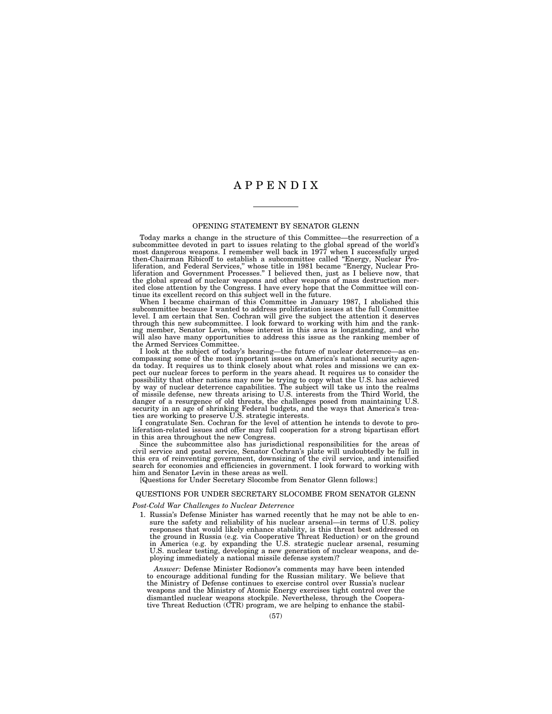## A P P E N D I X

## OPENING STATEMENT BY SENATOR GLENN

Today marks a change in the structure of this Committee—the resurrection of a subcommittee devoted in part to issues relating to the global spread of the world's most dangerous weapons. I remember well back in 1977 when I successfully urged then-Chairman Ribicoff to establish a subcommittee called ''Energy, Nuclear Proliferation, and Federal Services," whose title in 1981 became "Energy, Nuclear Pro-<br>liferation and Government Processes." I believed then, just as I believe now, that the global spread of nuclear weapons and other weapons of mass destruction merited close attention by the Congress. I have every hope that the Committee will continue its excellent record on this subject well in the future.

When I became chairman of this Committee in January 1987, I abolished this subcommittee because I wanted to address proliferation issues at the full Committee level. I am certain that Sen. Cochran will give the subject the attention it deserves through this new subcommittee. I look forward to working with him and the ranking member, Senator Levin, whose interest in this area is longstanding, and who will also have many opportunities to address this issue as the ranking member of the Armed Services Committee.

I look at the subject of today's hearing—the future of nuclear deterrence—as encompassing some of the most important issues on America's national security agenda today. It requires us to think closely about what roles and missions we can expect our nuclear forces to perform in the years ahead. It requires us to consider the possibility that other nations may now be trying to copy what the U.S. has achieved by way of nuclear deterrence capabilities. The subject will take us into the realms of missile defense, new threats arising to U.S. interests from the Third World, the danger of a resurgence of old threats, the challenges posed from maintaining U.S. security in an age of shrinking Federal budgets, and the ways that America's trea-ties are working to preserve U.S. strategic interests.

I congratulate Sen. Cochran for the level of attention he intends to devote to proliferation-related issues and offer may full cooperation for a strong bipartisan effort in this area throughout the new Congress.

Since the subcommittee also has jurisdictional responsibilities for the areas of civil service and postal service, Senator Cochran's plate will undoubtedly be full in this era of reinventing government, downsizing of the civil service, and intensified search for economies and efficiencies in government. I look forward to working with him and Senator Levin in these areas as well.

[Questions for Under Secretary Slocombe from Senator Glenn follows:]

## QUESTIONS FOR UNDER SECRETARY SLOCOMBE FROM SENATOR GLENN

## *Post-Cold War Challenges to Nuclear Deterrence*

1. Russia's Defense Minister has warned recently that he may not be able to ensure the safety and reliability of his nuclear arsenal—in terms of U.S. policy responses that would likely enhance stability, is this threat best addressed on the ground in Russia (e.g. via Cooperative Threat Reduction) or on the ground in America (e.g. by expanding the U.S. strategic nuclear arsenal, resuming U.S. nuclear testing, developing a new generation of nuclear weapons, and deploying immediately a national missile defense system)?

*Answer:* Defense Minister Rodionov's comments may have been intended to encourage additional funding for the Russian military. We believe that the Ministry of Defense continues to exercise control over Russia's nuclear weapons and the Ministry of Atomic Energy exercises tight control over the dismantled nuclear weapons stockpile. Nevertheless, through the Coopera-tive Threat Reduction (CTR) program, we are helping to enhance the stabil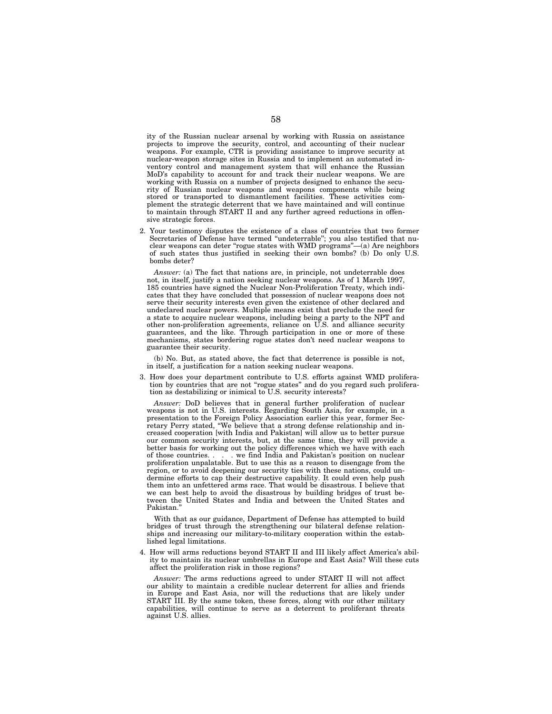ity of the Russian nuclear arsenal by working with Russia on assistance projects to improve the security, control, and accounting of their nuclear weapons. For example, CTR is providing assistance to improve security at nuclear-weapon storage sites in Russia and to implement an automated inventory control and management system that will enhance the Russian MoD's capability to account for and track their nuclear weapons. We are working with Russia on a number of projects designed to enhance the security of Russian nuclear weapons and weapons components while being stored or transported to dismantlement facilities. These activities complement the strategic deterrent that we have maintained and will continue to maintain through START II and any further agreed reductions in offensive strategic forces.

2. Your testimony disputes the existence of a class of countries that two former Secretaries of Defense have termed "undeterrable"; you also testified that nuclear weapons can deter "rogue states with WMD programs"— $(a)$  Are neighbors of such states thus justified in seeking their own bombs? (b) Do only U.S. bombs deter?

*Answer:* (a) The fact that nations are, in principle, not undeterrable does not, in itself, justify a nation seeking nuclear weapons. As of 1 March 1997, 185 countries have signed the Nuclear Non-Proliferation Treaty, which indicates that they have concluded that possession of nuclear weapons does not serve their security interests even given the existence of other declared and undeclared nuclear powers. Multiple means exist that preclude the need for a state to acquire nuclear weapons, including being a party to the NPT and other non-proliferation agreements, reliance on U.S. and alliance security guarantees, and the like. Through participation in one or more of these mechanisms, states bordering rogue states don't need nuclear weapons to guarantee their security.

(b) No. But, as stated above, the fact that deterrence is possible is not, in itself, a justification for a nation seeking nuclear weapons.

3. How does your department contribute to U.S. efforts against WMD proliferation by countries that are not ''rogue states'' and do you regard such proliferation as destabilizing or inimical to U.S. security interests?

*Answer:* DoD believes that in general further proliferation of nuclear weapons is not in U.S. interests. Regarding South Asia, for example, in a presentation to the Foreign Policy Association earlier this year, former Secretary Perry stated, ''We believe that a strong defense relationship and increased cooperation [with India and Pakistan] will allow us to better pursue our common security interests, but, at the same time, they will provide a better basis for working out the policy differences which we have with each of those countries. . .  $\check{\phantom{a}}$  . we find India and Pakistan's position on nuclear proliferation unpalatable. But to use this as a reason to disengage from the region, or to avoid deepening our security ties with these nations, could undermine efforts to cap their destructive capability. It could even help push them into an unfettered arms race. That would be disastrous. I believe that we can best help to avoid the disastrous by building bridges of trust between the United States and India and between the United States and Pakistan.

With that as our guidance, Department of Defense has attempted to build bridges of trust through the strengthening our bilateral defense relationships and increasing our military-to-military cooperation within the established legal limitations.

4. How will arms reductions beyond START II and III likely affect America's ability to maintain its nuclear umbrellas in Europe and East Asia? Will these cuts affect the proliferation risk in those regions?

*Answer:* The arms reductions agreed to under START II will not affect our ability to maintain a credible nuclear deterrent for allies and friends in Europe and East Asia, nor will the reductions that are likely under START III. By the same token, these forces, along with our other military capabilities, will continue to serve as a deterrent to proliferant threats against U.S. allies.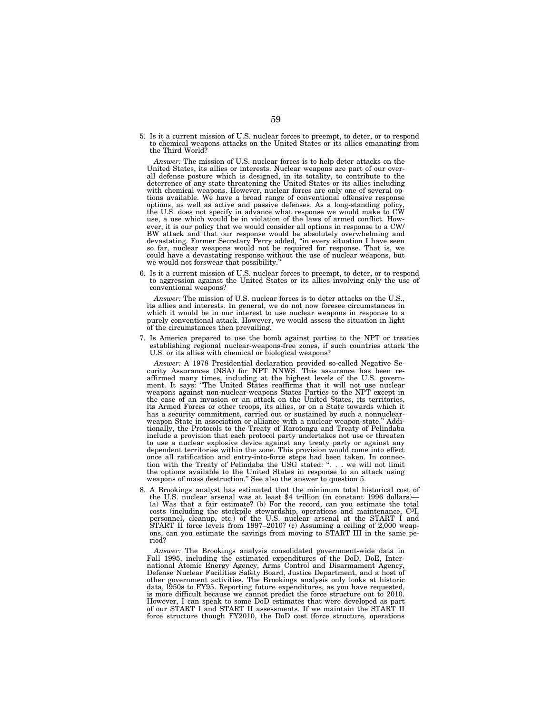5. Is it a current mission of U.S. nuclear forces to preempt, to deter, or to respond to chemical weapons attacks on the United States or its allies emanating from the Third World?

*Answer:* The mission of U.S. nuclear forces is to help deter attacks on the United States, its allies or interests. Nuclear weapons are part of our overall defense posture which is designed, in its totality, to contribute to the deterrence of any state threatening the United States or its allies including with chemical weapons. However, nuclear forces are only one of several options available. We have a broad range of conventional offensive response options, as well as active and passive defenses. As a long-standing policy, the U.S. does not specify in advance what response we would make to CW use, a use which would be in violation of the laws of armed conflict. However, it is our policy that we would consider all options in response to a CW/ BW attack and that our response would be absolutely overwhelming and devastating. Former Secretary Perry added, ''in every situation I have seen so far, nuclear weapons would not be required for response. That is, we could have a devastating response without the use of nuclear weapons, but we would not forswear that possibility.''

6. Is it a current mission of U.S. nuclear forces to preempt, to deter, or to respond to aggression against the United States or its allies involving only the use of conventional weapons?

*Answer:* The mission of U.S. nuclear forces is to deter attacks on the U.S., its allies and interests. In general, we do not now foresee circumstances in which it would be in our interest to use nuclear weapons in response to a purely conventional attack. However, we would assess the situation in light of the circumstances then prevailing.

7. Is America prepared to use the bomb against parties to the NPT or treaties establishing regional nuclear-weapons-free zones, if such countries attack the U.S. or its allies with chemical or biological weapons?

*Answer:* A 1978 Presidential declaration provided so-called Negative Security Assurances (NSA) for NPT NNWS. This assurance has been reaffirmed many times, including at the highest levels of the U.S. government. It says: ''The United States reaffirms that it will not use nuclear weapons against non-nuclear-weapons States Parties to the NPT except in the case of an invasion or an attack on the United States, its territories, its Armed Forces or other troops, its allies, or on a State towards which it has a security commitment, carried out or sustained by such a nonnuclearweapon State in association or alliance with a nuclear weapon-state.'' Additionally, the Protocols to the Treaty of Rarotonga and Treaty of Pelindaba include a provision that each protocol party undertakes not use or threaten to use a nuclear explosive device against any treaty party or against any dependent territories within the zone. This provision would come into effect once all ratification and entry-into-force steps had been taken. In connection with the Treaty of Pelindaba the USG stated: ''. . . we will not limit the options available to the United States in response to an attack using weapons of mass destruction.'' See also the answer to question 5.

8. A Brookings analyst has estimated that the minimum total historical cost of the U.S. nuclear arsenal was at least \$4 trillion (in constant 1996 dollars)— (a) Was that a fair estimate? (b) For the record, can you estimate the total costs (including the stockpile stewardship, operations and maintenance, C3I, personnel, cleanup, etc.) of the U.S. nuclear arsenal at the START I and START II force levels from 1997–2010? (c) Assuming a ceiling of 2,000 weapons, can you estimate the savings from moving to START III in the same period?

*Answer:* The Brookings analysis consolidated government-wide data in Fall 1995, including the estimated expenditures of the DoD, DoE, International Atomic Energy Agency, Arms Control and Disarmament Agency, Defense Nuclear Facilities Safety Board, Justice Department, and a host of other government activities. The Brookings analysis only looks at historic data, l950s to FY95. Reporting future expenditures, as you have requested, is more difficult because we cannot predict the force structure out to 2010. However, I can speak to some DoD estimates that were developed as part of our START I and START II assessments. If we maintain the START II force structure though FY2010, the DoD cost (force structure, operations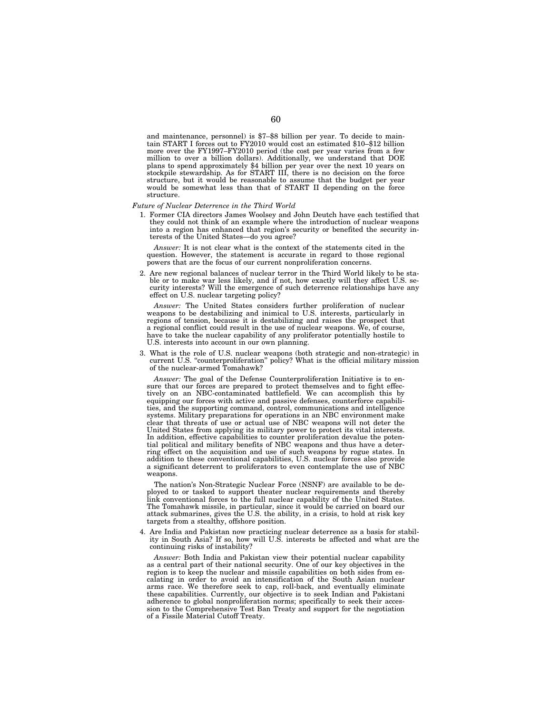and maintenance, personnel) is \$7–\$8 billion per year. To decide to maintain START I forces out to FY2010 would cost an estimated \$10–\$12 billion more over the FY1997–FY2010 period (the cost per year varies from a few million to over a billion dollars). Additionally, we understand that DOE plans to spend approximately \$4 billion per year over the next 10 years on stockpile stewardship. As for START III, there is no decision on the force structure, but it would be reasonable to assume that the budget per year would be somewhat less than that of START II depending on the force structure.

## *Future of Nuclear Deterrence in the Third World*

1. Former CIA directors James Woolsey and John Deutch have each testified that they could not think of an example where the introduction of nuclear weapons into a region has enhanced that region's security or benefited the security interests of the United States—do you agree?

*Answer:* It is not clear what is the context of the statements cited in the question. However, the statement is accurate in regard to those regional powers that are the focus of our current nonproliferation concerns.

2. Are new regional balances of nuclear terror in the Third World likely to be stable or to make war less likely, and if not, how exactly will they affect U.S. security interests? Will the emergence of such deterrence relationships have any effect on U.S. nuclear targeting policy?

*Answer:* The United States considers further proliferation of nuclear weapons to be destabilizing and inimical to U.S. interests, particularly in regions of tension, because it is destabilizing and raises the prospect that a regional conflict could result in the use of nuclear weapons. We, of course, have to take the nuclear capability of any proliferator potentially hostile to U.S. interests into account in our own planning.

3. What is the role of U.S. nuclear weapons (both strategic and non-strategic) in current U.S. ''counterproliferation'' policy? What is the official military mission of the nuclear-armed Tomahawk?

*Answer:* The goal of the Defense Counterproliferation Initiative is to ensure that our forces are prepared to protect themselves and to fight effectively on an NBC-contaminated battlefield. We can accomplish this by equipping our forces with active and passive defenses, counterforce capabilities, and the supporting command, control, communications and intelligence systems. Military preparations for operations in an NBC environment make clear that threats of use or actual use of NBC weapons will not deter the United States from applying its military power to protect its vital interests. In addition, effective capabilities to counter proliferation devalue the potential political and military benefits of NBC weapons and thus have a deterring effect on the acquisition and use of such weapons by rogue states. In addition to these conventional capabilities, U.S. nuclear forces also provide a significant deterrent to proliferators to even contemplate the use of NBC weapons.

The nation's Non-Strategic Nuclear Force (NSNF) are available to be deployed to or tasked to support theater nuclear requirements and thereby link conventional forces to the full nuclear capability of the United States. The Tomahawk missile, in particular, since it would be carried on board our attack submarines, gives the U.S. the ability, in a crisis, to hold at risk key targets from a stealthy, offshore position.

4. Are India and Pakistan now practicing nuclear deterrence as a basis for stability in South Asia? If so, how will U.S. interests be affected and what are the continuing risks of instability?

*Answer:* Both India and Pakistan view their potential nuclear capability as a central part of their national security. One of our key objectives in the region is to keep the nuclear and missile capabilities on both sides from escalating in order to avoid an intensification of the South Asian nuclear arms race. We therefore seek to cap, roll-back, and eventually eliminate these capabilities. Currently, our objective is to seek Indian and Pakistani adherence to global nonproliferation norms; specifically to seek their accession to the Comprehensive Test Ban Treaty and support for the negotiation of a Fissile Material Cutoff Treaty.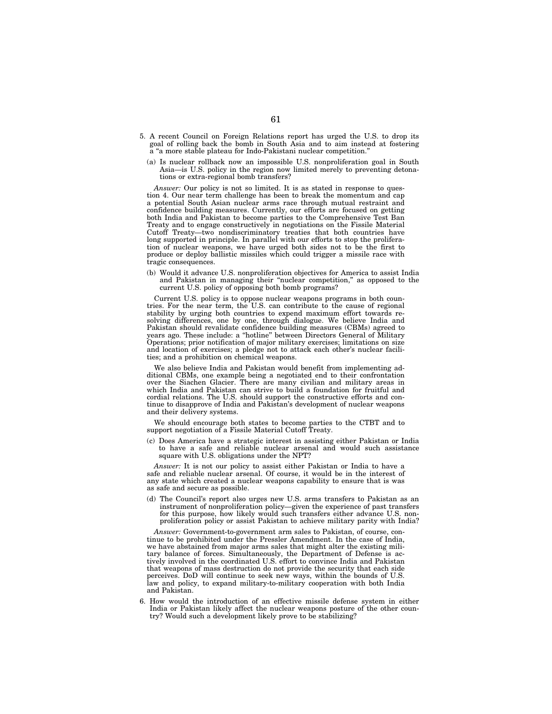- 5. A recent Council on Foreign Relations report has urged the U.S. to drop its goal of rolling back the bomb in South Asia and to aim instead at fostering a ''a more stable plateau for Indo-Pakistani nuclear competition.''
	- (a) Is nuclear rollback now an impossible U.S. nonproliferation goal in South Asia—is U.S. policy in the region now limited merely to preventing detonations or extra-regional bomb transfers?

*Answer*: Our policy is not so limited. It is as stated in response to question 4. Our near term challenge has been to break the momentum and cap a potential South Asian nuclear arms race through mutual restraint and confidence building measures. Currently, our efforts are focused on getting both India and Pakistan to become parties to the Comprehensive Test Ban Treaty and to engage constructively in negotiations on the Fissile Material Cutoff Treaty—two nondiscriminatory treaties that both countries have long supported in principle. In parallel with our efforts to stop the proliferation of nuclear weapons, we have urged both sides not to be the first to produce or deploy ballistic missiles which could trigger a missile race with tragic consequences.

(b) Would it advance U.S. nonproliferation objectives for America to assist India and Pakistan in managing their ''nuclear competition,'' as opposed to the current U.S. policy of opposing both bomb programs?

Current U.S. policy is to oppose nuclear weapons programs in both countries. For the near term, the U.S. can contribute to the cause of regional stability by urging both countries to expend maximum effort towards resolving differences, one by one, through dialogue. We believe India and Pakistan should revalidate confidence building measures (CBMs) agreed to years ago. These include: a ''hotline'' between Directors General of Military Operations; prior notification of major military exercises; limitations on size and location of exercises; a pledge not to attack each other's nuclear facilities; and a prohibition on chemical weapons.

We also believe India and Pakistan would benefit from implementing additional CBMs, one example being a negotiated end to their confrontation over the Siachen Glacier. There are many civilian and military areas in which India and Pakistan can strive to build a foundation for fruitful and cordial relations. The U.S. should support the constructive efforts and continue to disapprove of India and Pakistan's development of nuclear weapons and their delivery systems.

We should encourage both states to become parties to the CTBT and to support negotiation of a Fissile Material Cutoff Treaty.

(c) Does America have a strategic interest in assisting either Pakistan or India to have a safe and reliable nuclear arsenal and would such assistance square with U.S. obligations under the NPT?

*Answer:* It is not our policy to assist either Pakistan or India to have a safe and reliable nuclear arsenal. Of course, it would be in the interest of any state which created a nuclear weapons capability to ensure that is was as safe and secure as possible.

(d) The Council's report also urges new U.S. arms transfers to Pakistan as an instrument of nonproliferation policy—given the experience of past transfers for this purpose, how likely would such transfers either advance U.S. proliferation policy or assist Pakistan to achieve military parity with India?

*Answer:* Government-to-government arm sales to Pakistan, of course, continue to be prohibited under the Pressler Amendment. In the case of India, we have abstained from major arms sales that might alter the existing military balance of forces. Simultaneously, the Department of Defense is actively involved in the coordinated U.S. effort to convince India and Pakistan that weapons of mass destruction do not provide the security that each side perceives. DoD will continue to seek new ways, within the bounds of U.S. law and policy, to expand military-to-military cooperation with both India and Pakistan.

6. How would the introduction of an effective missile defense system in either India or Pakistan likely affect the nuclear weapons posture of the other country? Would such a development likely prove to be stabilizing?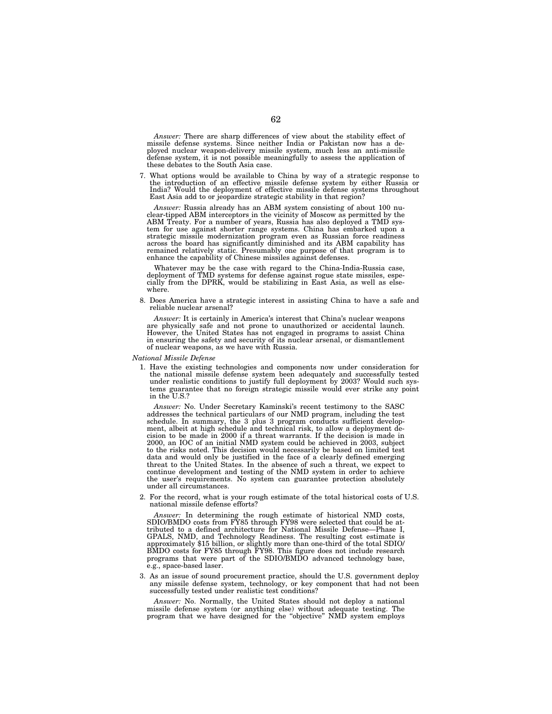*Answer:* There are sharp differences of view about the stability effect of missile defense systems. Since neither India or Pakistan now has a de-ployed nuclear weapon-delivery missile system, much less an anti-missile defense system, it is not possible meaningfully to assess the application of these debates to the South Asia case.

7. What options would be available to China by way of a strategic response to the introduction of an effective missile defense system by either Russia or India? Would the deployment of effective missile defense systems throughout East Asia add to or jeopardize strategic stability in that region?

Answer: Russia already has an ABM system consisting of about 100 nu-<br>clear-tipped ABM interceptors in the vicinity of Moscow as permitted by the<br>ABM Treaty. For a number of years, Russia has also deployed a TMD system for use against shorter range systems. China has embarked upon a strategic missile modernization program even as Russian force readiness across the board has significantly diminished and its ABM capability has remained relatively static. Presumably one purpose of that program is to enhance the capability of Chinese missiles against defenses.

Whatever may be the case with regard to the China-India-Russia case, deployment of TMD systems for defense against rogue state missiles, especially from the DPRK, would be stabilizing in East Asia, as well as elsewhere.

8. Does America have a strategic interest in assisting China to have a safe and reliable nuclear arsenal?

*Answer:* It is certainly in America's interest that China's nuclear weapons are physically safe and not prone to unauthorized or accidental launch. However, the United States has not engaged in programs to assist China in ensuring the safety and security of its nuclear arsenal, or dismantlement of nuclear weapons, as we have with Russia.

- *National Missile Defense*
	- 1. Have the existing technologies and components now under consideration for the national missile defense system been adequately and successfully tested under realistic conditions to justify full deployment by 2003? Would such systems guarantee that no foreign strategic missile would ever strike any point in the U.S.?

*Answer:* No. Under Secretary Kaminski's recent testimony to the SASC addresses the technical particulars of our NMD program, including the test schedule. In summary, the 3 plus 3 program conducts sufficient development, albeit at high schedule and technical risk, to allow a deployment decision to be made in 2000 if a threat warrants. If the decision is made in 2000, an IOC of an initial NMD system could be achieved in 2003, subject to the risks noted. This decision would necessarily be based on limited test data and would only be justified in the face of a clearly defined emerging threat to the United States. In the absence of such a threat, we expect to continue development and testing of the NMD system in order to achieve the user's requirements. No system can guarantee protection absolutely under all circumstances.

2. For the record, what is your rough estimate of the total historical costs of U.S. national missile defense efforts?

*Answer:* In determining the rough estimate of historical NMD costs, SDIO/BMDO costs from FY85 through FY98 were selected that could be attributed to a defined architecture for National Missile Defense—Phase I, GPALS, NMD, and Technology Readiness. The resulting cost estimate is approximately \$15 billion, or slightly more than one-third of the total SDIO/ BMDO costs for FY85 through FY98. This figure does not include research programs that were part of the SDIO/BMDO advanced technology base, e.g., space-based laser.

3. As an issue of sound procurement practice, should the U.S. government deploy any missile defense system, technology, or key component that had not been successfully tested under realistic test conditions?

*Answer:* No. Normally, the United States should not deploy a national missile defense system (or anything else) without adequate testing. The program that we have designed for the ''objective'' NMD system employs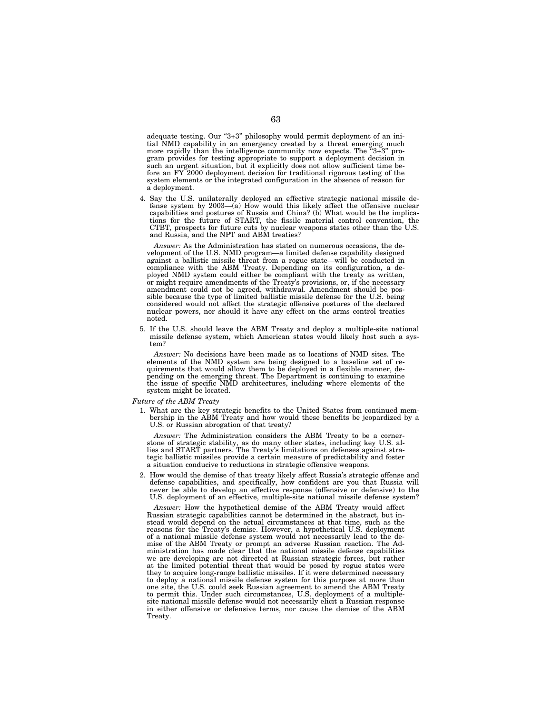adequate testing. Our "3+3" philosophy would permit deployment of an initial NMD capability in an emergency created by a threat emerging much more rapidly than the intelligence community now expects. The "3+3" program provides for testing appropriate to support a deployment decision in such an urgent situation, but it explicitly does not allow sufficient time before an FY 2000 deployment decision for traditional rigorous testing of the system elements or the integrated configuration in the absence of reason for a deployment.

4. Say the U.S. unilaterally deployed an effective strategic national missile defense system by 2003—(a) How would this likely affect the offensive nuclear capabilities and postures of Russia and China? (b) What would be the implications for the future of START, the fissile material control convention, the CTBT, prospects for future cuts by nuclear weapons states other than the U.S. and Russia, and the NPT and ABM treaties?

*Answer:* As the Administration has stated on numerous occasions, the development of the U.S. NMD program—a limited defense capability designed against a ballistic missile threat from a rogue state—will be conducted in compliance with the ABM Treaty. Depending on its configuration, a deployed NMD system could either be compliant with the treaty as written, or might require amendments of the Treaty's provisions, or, if the necessary amendment could not be agreed, withdrawal. Amendment should be possible because the type of limited ballistic missile defense for the U.S. being considered would not affect the strategic offensive postures of the declared nuclear powers, nor should it have any effect on the arms control treaties noted.

5. If the U.S. should leave the ABM Treaty and deploy a multiple-site national missile defense system, which American states would likely host such a system?

*Answer:* No decisions have been made as to locations of NMD sites. The elements of the NMD system are being designed to a baseline set of requirements that would allow them to be deployed in a flexible manner, depending on the emerging threat. The Department is continuing to examine the issue of specific NMD architectures, including where elements of the system might be located.

*Future of the ABM Treaty*

1. What are the key strategic benefits to the United States from continued membership in the ABM Treaty and how would these benefits be jeopardized by a U.S. or Russian abrogation of that treaty?

*Answer:* The Administration considers the ABM Treaty to be a cornerstone of strategic stability, as do many other states, including key U.S. allies and START partners. The Treaty's limitations on defenses against strategic ballistic missiles provide a certain measure of predictability and foster a situation conducive to reductions in strategic offensive weapons.

2. How would the demise of that treaty likely affect Russia's strategic offense and defense capabilities, and specifically, how confident are you that Russia will never be able to develop an effective response (offensive or defensive) to the U.S. deployment of an effective, multiple-site national missile defense system?

*Answer:* How the hypothetical demise of the ABM Treaty would affect Russian strategic capabilities cannot be determined in the abstract, but instead would depend on the actual circumstances at that time, such as the reasons for the Treaty's demise. However, a hypothetical U.S. deployment of a national missile defense system would not necessarily lead to the demise of the ABM Treaty or prompt an adverse Russian reaction. The Administration has made clear that the national missile defense capabilities we are developing are not directed at Russian strategic forces, but rather at the limited potential threat that would be posed by rogue states were they to acquire long-range ballistic missiles. If it were determined necessary to deploy a national missile defense system for this purpose at more than one site, the U.S. could seek Russian agreement to amend the ABM Treaty to permit this. Under such circumstances, U.S. deployment of a multiplesite national missile defense would not necessarily elicit a Russian response in either offensive or defensive terms, nor cause the demise of the ABM Treaty.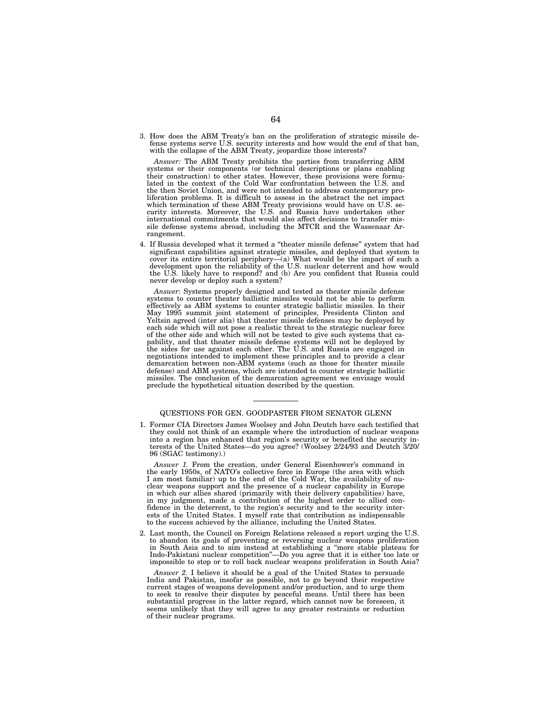3. How does the ABM Treaty's ban on the proliferation of strategic missile defense systems serve U.S. security interests and how would the end of that ban, with the collapse of the ABM Treaty, jeopardize those interests?

*Answer:* The ABM Treaty prohibits the parties from transferring ABM systems or their components (or technical descriptions or plans enabling their construction) to other states. However, these provisions were formulated in the context of the Cold War confrontation between the U.S. and the then Soviet Union, and were not intended to address contemporary proliferation problems. It is difficult to assess in the abstract the net impact which termination of these ABM Treaty provisions would have on U.S. security interests. Moreover, the U.S. and Russia have undertaken other international commitments that would also affect decisions to transfer missile defense systems abroad, including the MTCR and the Wassenaar Arrangement.

4. If Russia developed what it termed a ''theater missile defense'' system that had significant capabilities against strategic missiles, and deployed that system to cover its entire territorial periphery—(a) What would be the impact of such a development upon the reliability of the U.S. nuclear deterrent and how would the U.S. likely have to respond? and (b) Are you confident that Russia could never develop or deploy such a system?

*Answer:* Systems properly designed and tested as theater missile defense systems to counter theater ballistic missiles would not be able to perform effectively as ABM systems to counter strategic ballistic missiles. In their May 1995 summit joint statement of principles, Presidents Clinton and Yeltsin agreed (inter alia) that theater missile defenses may be deployed by each side which will not pose a realistic threat to the strategic nuclear force of the other side and which will not be tested to give such systems that capability, and that theater missile defense systems will not be deployed by the sides for use against each other. The U.S. and Russia are engaged in negotiations intended to implement these principles and to provide a clear demarcation between non-ABM systems (such as those for theater missile defense) and ABM systems, which are intended to counter strategic ballistic missiles. The conclusion of the demarcation agreement we envisage would preclude the hypothetical situation described by the question.

### QUESTIONS FOR GEN. GOODPASTER FROM SENATOR GLENN

1. Former CIA Directors James Woolsey and John Deutch have each testified that they could not think of an example where the introduction of nuclear weapons into a region has enhanced that region's security or benefited the security interests of the United States—do you agree? (Woolsey 2/24/93 and Deutch 3/20/ 96 (SGAC testimony).)

*Answer 1.* From the creation, under General Eisenhower's command in the early 1950s, of NATO's collective force in Europe (the area with which I am most familiar) up to the end of the Cold War, the availability of nuclear weapons support and the presence of a nuclear capability in Europe in which our allies shared (primarily with their delivery capabilities) have, in my judgment, made a contribution of the highest order to allied confidence in the deterrent, to the region's security and to the security interests of the United States. I myself rate that contribution as indispensable to the success achieved by the alliance, including the United States.

2. Last month, the Council on Foreign Relations released a report urging the U.S. to abandon its goals of preventing or reversing nuclear weapons proliferation in South Asia and to aim instead at establishing a ''more stable plateau for Indo-Pakistani nuclear competition''—Do you agree that it is either too late or impossible to stop or to roll back nuclear weapons proliferation in South Asia?

*Answer 2.* I believe it should be a goal of the United States to persuade India and Pakistan, insofar as possible, not to go beyond their respective current stages of weapons development and/or production, and to urge them to seek to resolve their disputes by peaceful means. Until there has been substantial progress in the latter regard, which cannot now be foreseen, it seems unlikely that they will agree to any greater restraints or reduction of their nuclear programs.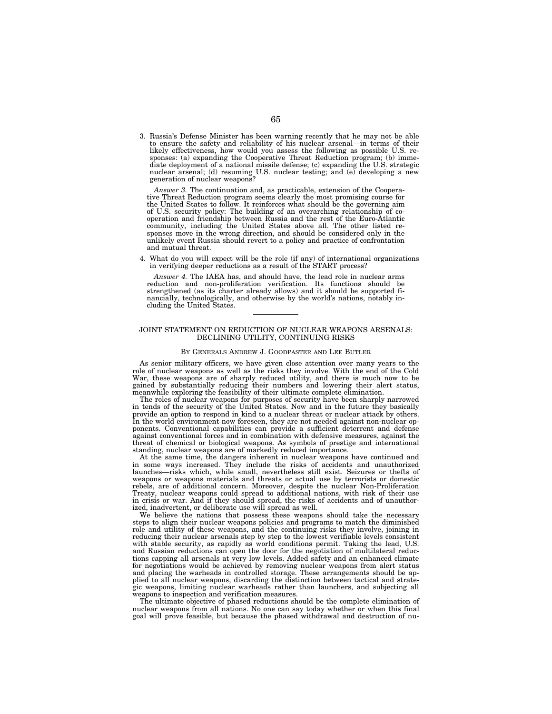3. Russia's Defense Minister has been warning recently that he may not be able to ensure the safety and reliability of his nuclear arsenal—in terms of their likely effectiveness, how would you assess the following as possible U.S. responses: (a) expanding the Cooperative Threat Reduction program; (b) imme-diate deployment of a national missile defense; (c) expanding the U.S. strategic nuclear arsenal; (d) resuming U.S. nuclear testing; and (e) developing a new generation of nuclear weapons?

*Answer 3.* The continuation and, as practicable, extension of the Cooperative Threat Reduction program seems clearly the most promising course for the United States to follow. It reinforces what should be the governing aim of U.S. security policy: The building of an overarching relationship of cooperation and friendship between Russia and the rest of the Euro-Atlantic community, including the United States above all. The other listed responses move in the wrong direction, and should be considered only in the unlikely event Russia should revert to a policy and practice of confrontation and mutual threat.

4. What do you will expect will be the role (if any) of international organizations in verifying deeper reductions as a result of the START process?

*Answer 4.* The IAEA has, and should have, the lead role in nuclear arms reduction and non-proliferation verification. Its functions should be strengthened (as its charter already allows) and it should be supported financially, technologically, and otherwise by the world's nations, notably including the United States.

## JOINT STATEMENT ON REDUCTION OF NUCLEAR WEAPONS ARSENALS: DECLINING UTILITY, CONTINUING RISKS

## BY GENERALS ANDREW J. GOODPASTER AND LEE BUTLER

As senior military officers, we have given close attention over many years to the role of nuclear weapons as well as the risks they involve. With the end of the Cold War, these weapons are of sharply reduced utility, and there is much now to be gained by substantially reducing their numbers and lowering their alert status, meanwhile exploring the feasibility of their ultimate complete elimination.

The roles of nuclear weapons for purposes of security have been sharply narrowed in tends of the security of the United States. Now and in the future they basically provide an option to respond in kind to a nuclear threat or nuclear attack by others. In the world environment now foreseen, they are not needed against non-nuclear opponents. Conventional capabilities can provide a sufficient deterrent and defense against conventional forces and in combination with defensive measures, against the threat of chemical or biological weapons. As symbols of prestige and international standing, nuclear weapons are of markedly reduced importance.

At the same time, the dangers inherent in nuclear weapons have continued and in some ways increased. They include the risks of accidents and unauthorized launches—risks which, while small, nevertheless still exist. Seizures or thefts of weapons or weapons materials and threats or actual use by terrorists or domestic rebels, are of additional concern. Moreover, despite the nuclear Non-Proliferation Treaty, nuclear weapons could spread to additional nations, with risk of their use in crisis or war. And if they should spread, the risks of accidents and of unauthorized, inadvertent, or deliberate use will spread as well.

We believe the nations that possess these weapons should take the necessary steps to align their nuclear weapons policies and programs to match the diminished role and utility of these weapons, and the continuing risks they involve, joining in reducing their nuclear arsenals step by step to the lowest verifiable levels consistent with stable security, as rapidly as world conditions permit. Taking the lead, U.S. and Russian reductions can open the door for the negotiation of multilateral reductions capping all arsenals at very low levels. Added safety and an enhanced climate for negotiations would be achieved by removing nuclear weapons from alert status and placing the warheads in controlled storage. These arrangements should be applied to all nuclear weapons, discarding the distinction between tactical and strategic weapons, limiting nuclear warheads rather than launchers, and subjecting all weapons to inspection and verification measures.

The ultimate objective of phased reductions should be the complete elimination of nuclear weapons from all nations. No one can say today whether or when this final goal will prove feasible, but because the phased withdrawal and destruction of nu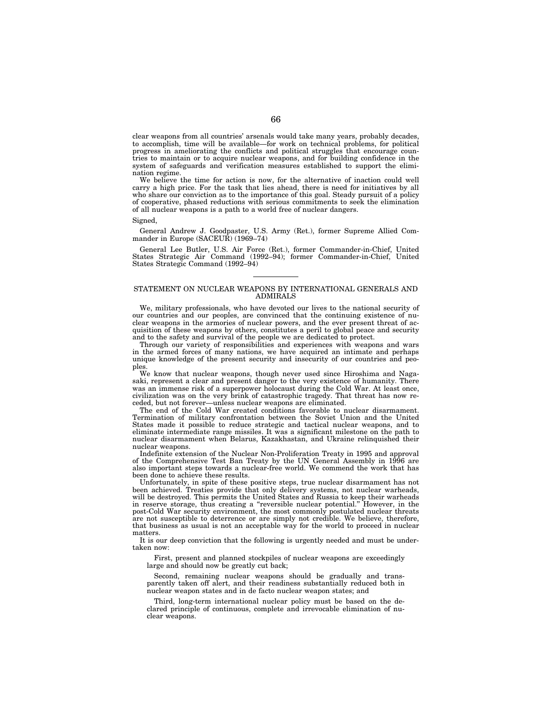clear weapons from all countries' arsenals would take many years, probably decades, to accomplish, time will be available—for work on technical problems, for political progress in ameliorating the conflicts and political struggles that encourage countries to maintain or to acquire nuclear weapons, and for building confidence in the system of safeguards and verification measures established to support the elimination regime.

We believe the time for action is now, for the alternative of inaction could well carry a high price. For the task that lies ahead, there is need for initiatives by all who share our conviction as to the importance of this goal. Steady pursuit of a policy of cooperative, phased reductions with serious commitments to seek the elimination of all nuclear weapons is a path to a world free of nuclear dangers.

Signed,

General Andrew J. Goodpaster, U.S. Army (Ret.), former Supreme Allied Commander in Europe (SACEUR) (1969–74)

General Lee Butler, U.S. Air Force (Ret.), former Commander-in-Chief, United States Strategic Air Command (1992–94); former Commander-in-Chief, United States Strategic Command (1992–94)

## STATEMENT ON NUCLEAR WEAPONS BY INTERNATIONAL GENERALS AND ADMIRALS

We, military professionals, who have devoted our lives to the national security of our countries and our peoples, are convinced that the continuing existence of nuclear weapons in the armories of nuclear powers, and the ever present threat of acquisition of these weapons by others, constitutes a peril to global peace and security and to the safety and survival of the people we are dedicated to protect.

Through our variety of responsibilities and experiences with weapons and wars in the armed forces of many nations, we have acquired an intimate and perhaps unique knowledge of the present security and insecurity of our countries and peoples.

We know that nuclear weapons, though never used since Hiroshima and Nagasaki, represent a clear and present danger to the very existence of humanity. There was an immense risk of a superpower holocaust during the Cold War. At least once, civilization was on the very brink of catastrophic tragedy. That threat has now receded, but not forever—unless nuclear weapons are eliminated.

The end of the Cold War created conditions favorable to nuclear disarmament. Termination of military confrontation between the Soviet Union and the United States made it possible to reduce strategic and tactical nuclear weapons, and to eliminate intermediate range missiles. It was a significant milestone on the path to nuclear disarmament when Belarus, Kazakhastan, and Ukraine relinquished their nuclear weapons.

Indefinite extension of the Nuclear Non-Proliferation Treaty in 1995 and approval of the Comprehensive Test Ban Treaty by the UN General Assembly in 1996 are also important steps towards a nuclear-free world. We commend the work that has been done to achieve these results.

Unfortunately, in spite of these positive steps, true nuclear disarmament has not been achieved. Treaties provide that only delivery systems, not nuclear warheads, will be destroyed. This permits the United States and Russia to keep their warheads in reserve storage, thus creating a ''reversible nuclear potential.'' However, in the post-Cold War security environment, the most commonly postulated nuclear threats are not susceptible to deterrence or are simply not credible. We believe, therefore, that business as usual is not an acceptable way for the world to proceed in nuclear matters.

It is our deep conviction that the following is urgently needed and must be undertaken now:

First, present and planned stockpiles of nuclear weapons are exceedingly large and should now be greatly cut back;

Second, remaining nuclear weapons should be gradually and transparently taken off alert, and their readiness substantially reduced both in nuclear weapon states and in de facto nuclear weapon states; and

Third, long-term international nuclear policy must be based on the declared principle of continuous, complete and irrevocable elimination of nuclear weapons.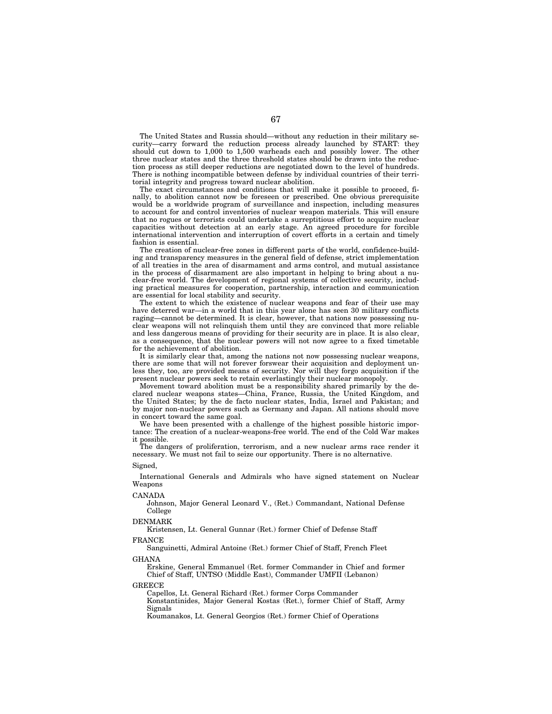The United States and Russia should—without any reduction in their military security—carry forward the reduction process already launched by START: they should cut down to 1,000 to 1,500 warheads each and possibly lower. The other three nuclear states and the three threshold states should be drawn into the reduction process as still deeper reductions are negotiated down to the level of hundreds. There is nothing incompatible between defense by individual countries of their territorial integrity and progress toward nuclear abolition.

The exact circumstances and conditions that will make it possible to proceed, finally, to abolition cannot now be foreseen or prescribed. One obvious prerequisite would be a worldwide program of surveillance and inspection, including measures to account for and control inventories of nuclear weapon materials. This will ensure that no rogues or terrorists could undertake a surreptitious effort to acquire nuclear capacities without detection at an early stage. An agreed procedure for forcible international intervention and interruption of covert efforts in a certain and timely fashion is essential.

The creation of nuclear-free zones in different parts of the world, confidence-building and transparency measures in the general field of defense, strict implementation of all treaties in the area of disarmament and arms control, and mutual assistance in the process of disarmament are also important in helping to bring about a nuclear-free world. The development of regional systems of collective security, including practical measures for cooperation, partnership, interaction and communication are essential for local stability and security.

The extent to which the existence of nuclear weapons and fear of their use may have deterred war—in a world that in this year alone has seen 30 military conflicts raging—cannot be determined. It is clear, however, that nations now possessing nuclear weapons will not relinquish them until they are convinced that more reliable and less dangerous means of providing for their security are in place. It is also clear, as a consequence, that the nuclear powers will not now agree to a fixed timetable for the achievement of abolition.

It is similarly clear that, among the nations not now possessing nuclear weapons, there are some that will not forever forswear their acquisition and deployment unless they, too, are provided means of security. Nor will they forgo acquisition if the present nuclear powers seek to retain everlastingly their nuclear monopoly.

Movement toward abolition must be a responsibility shared primarily by the declared nuclear weapons states—China, France, Russia, the United Kingdom, and the United States; by the de facto nuclear states, India, Israel and Pakistan; and by major non-nuclear powers such as Germany and Japan. All nations should move in concert toward the same goal.

We have been presented with a challenge of the highest possible historic importance: The creation of a nuclear-weapons-free world. The end of the Cold War makes it possible.

The dangers of proliferation, terrorism, and a new nuclear arms race render it necessary. We must not fail to seize our opportunity. There is no alternative. Signed,

International Generals and Admirals who have signed statement on Nuclear Weapons

### CANADA

Johnson, Major General Leonard V., (Ret.) Commandant, National Defense College

## DENMARK

Kristensen, Lt. General Gunnar (Ret.) former Chief of Defense Staff FRANCE

Sanguinetti, Admiral Antoine (Ret.) former Chief of Staff, French Fleet GHANA

Erskine, General Emmanuel (Ret. former Commander in Chief and former Chief of Staff, UNTSO (Middle East), Commander UMFII (Lebanon)

**GREECE** 

Capellos, Lt. General Richard (Ret.) former Corps Commander Konstantinides, Major General Kostas (Ret.), former Chief of Staff, Army Signals

Koumanakos, Lt. General Georgios (Ret.) former Chief of Operations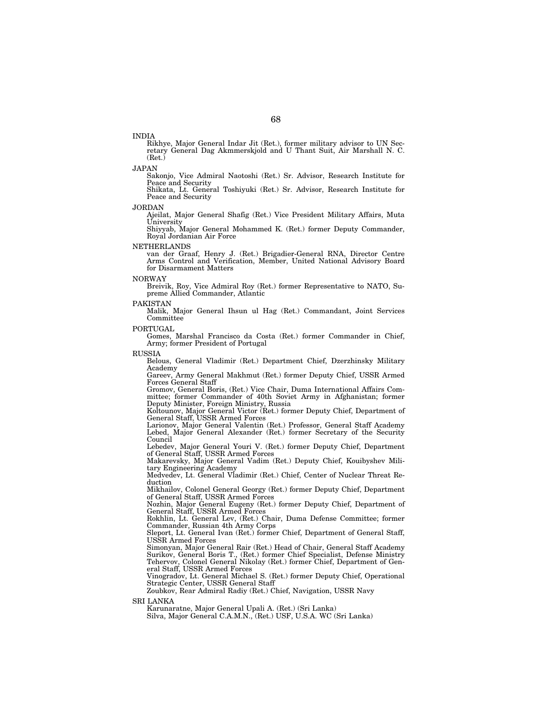INDIA

Rikhye, Major General Indar Jit (Ret.), former military advisor to UN Sec-retary General Dag Akmmerskjold and U Thant Suit, Air Marshall N. C. (Ret.)

JAPAN

Sakonjo, Vice Admiral Naotoshi (Ret.) Sr. Advisor, Research Institute for Peace and Security

Shikata, Lt. General Toshiyuki (Ret.) Sr. Advisor, Research Institute for Peace and Security

JORDAN

Ajeilat, Major General Shafig (Ret.) Vice President Military Affairs, Muta University

Shiyyab, Major General Mohammed K. (Ret.) former Deputy Commander, Royal Jordanian Air Force

NETHERLANDS

van der Graaf, Henry J. (Ret.) Brigadier-General RNA, Director Centre Arms Control and Verification, Member, United National Advisory Board for Disarmament Matters

NORWAY

Breivik, Roy, Vice Admiral Roy (Ret.) former Representative to NATO, Su-preme Allied Commander, Atlantic

PAKISTAN

Malik, Major General Ihsun ul Hag (Ret.) Commandant, Joint Services Committee

PORTUGAL

Gomes, Marshal Francisco da Costa (Ret.) former Commander in Chief, Army; former President of Portugal

RUSSIA

Belous, General Vladimir (Ret.) Department Chief, Dzerzhinsky Military Academy

Gareev, Army General Makhmut (Ret.) former Deputy Chief, USSR Armed Forces General Staff

Gromov, General Boris, (Ret.) Vice Chair, Duma International Affairs Committee; former Commander of 40th Soviet Army in Afghanistan; former

Deputy Minister, Foreign Ministry, Russia Koltounov, Major General Victor (Ret.) former Deputy Chief, Department of General Staff, USSR Armed Forces

Larionov, Major General Valentin (Ret.) Professor, General Staff Academy Lebed, Major General Alexander (Ret.) former Secretary of the Security Council

Lebedev, Major General Youri V. (Ret.) former Deputy Chief, Department of General Staff, USSR Armed Forces

Makarevsky, Major General Vadim (Ret.) Deputy Chief, Kouibyshev Military Engineering Academy

Medvedev, Lt. General Vladimir (Ret.) Chief, Center of Nuclear Threat Reduction

Mikhailov, Colonel General Georgy (Ret.) former Deputy Chief, Department of General Staff, USSR Armed Forces

Nozhin, Major General Eugeny (Ret.) former Deputy Chief, Department of General Staff, USSR Armed Forces

Rokhlin, Lt. General Lev, (Ret.) Chair, Duma Defense Committee; former Commander, Russian 4th Army Corps

Sleport, Lt. General Ivan (Ret.) former Chief, Department of General Staff, USSR Armed Forces

Simonyan, Major General Rair (Ret.) Head of Chair, General Staff Academy Surikov, General Boris T., (Ret.) former Chief Specialist, Defense Ministry Tehervov, Colonel General Nikolay (Ret.) former Chief, Department of General Staff, USSR Armed Forces

Vinogradov, Lt. General Michael S. (Ret.) former Deputy Chief, Operational Strategic Center, USSR General Staff

Zoubkov, Rear Admiral Radiy (Ret.) Chief, Navigation, USSR Navy

SRI LANKA

Karunaratne, Major General Upali A. (Ret.) (Sri Lanka)

Silva, Major General C.A.M.N., (Ret.) USF, U.S.A. WC (Sri Lanka)